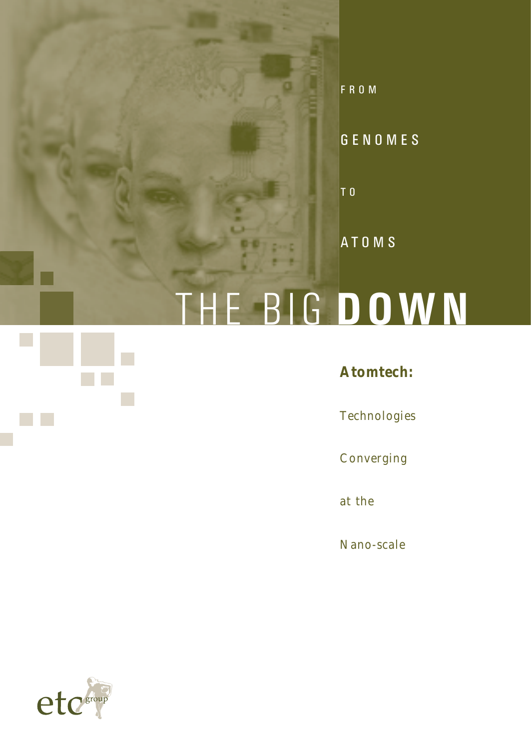FROM

GENOMES

 $|T\>0|$ 

ATOMS

# THE BIG DOWN

## **Atomtech:**

*Technologies* 

*Converging* 

*at the* 

*Nano-scale*

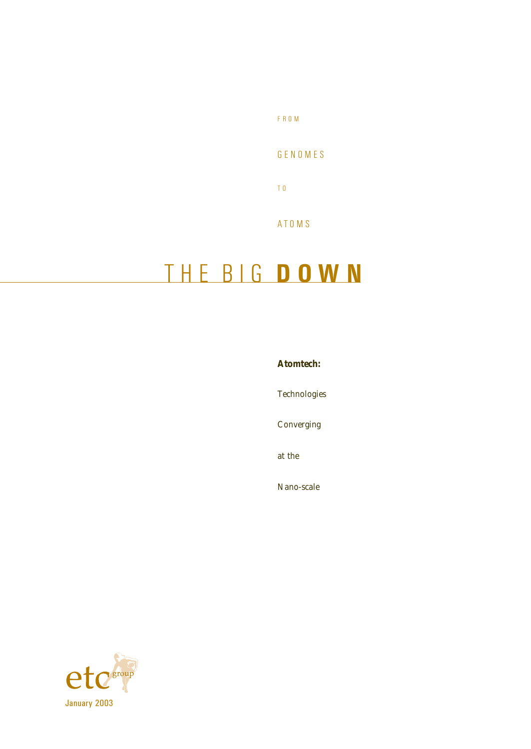FROM

GENOMES

T O

ATOMS

## THE BIG DOWN

**Atomtech:** 

*Technologies* 

*Converging* 

*at the* 

*Nano-scale*

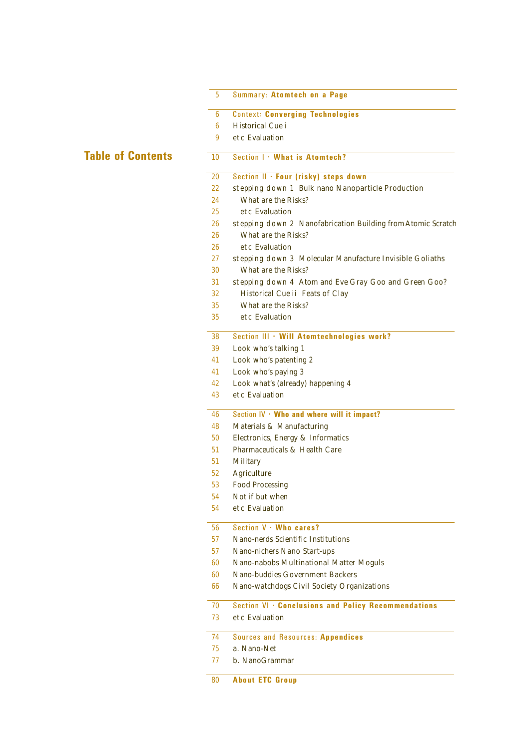| 5  | Summary: Atomtech on a Page                                  |
|----|--------------------------------------------------------------|
| 6  | <b>Context: Converging Technologies</b>                      |
| 6  | <b>Historical Cue i</b>                                      |
| 9  | etc Evaluation                                               |
| 10 | Section I . What is Atomtech?                                |
| 20 | Section II . Four (risky) steps down                         |
| 22 | stepping down 1 Bulk nano Nanoparticle Production            |
| 24 | What are the Risks?                                          |
| 25 | etc Evaluation                                               |
| 26 | stepping down 2 Nanofabrication Building from Atomic Scratch |
| 26 | What are the Risks?                                          |
| 26 | etc Evaluation                                               |
| 27 | stepping down 3 Molecular Manufacture Invisible Goliaths     |
| 30 | What are the Risks?                                          |
| 31 | stepping down 4 Atom and Eve Gray Goo and Green Goo?         |
| 32 | Historical Cue ii Feats of Clay                              |
| 35 | What are the Risks?                                          |
| 35 | etc Evaluation                                               |
| 38 | Section III . Will Atomtechnologies work?                    |
| 39 | Look who's talking 1                                         |
| 41 | Look who's patenting 2                                       |
| 41 | Look who's paying 3                                          |
| 42 | Look what's (already) happening 4                            |
| 43 | etc Evaluation                                               |
| 46 | Section IV · Who and where will it impact?                   |
| 48 | Materials & Manufacturing                                    |
| 50 | Electronics, Energy & Informatics                            |
| 51 | Pharmaceuticals & Health Care                                |
| 51 | <b>Military</b>                                              |
| 52 | Agriculture                                                  |
| 53 | <b>Food Processing</b>                                       |
| 54 | Not <i>if</i> but <i>when</i>                                |
| 54 | etc Evaluation                                               |
| 56 | Section V · Who cares?                                       |
| 57 | Nano-nerds Scientific Institutions                           |
| 57 | Nano-nichers Nano Start-ups                                  |
| 60 | Nano-nabobs Multinational Matter Moguls                      |
| 60 | Nano-buddies Government Backers                              |
| 66 | Nano-watchdogs Civil Society Organizations                   |
| 70 | Section VI . Conclusions and Policy Recommendations          |
| 73 | etc Evaluation                                               |
| 74 | <b>Sources and Resources: Appendices</b>                     |
| 75 | a. Nano-Net                                                  |
|    |                                                              |

## Table of Contents

#### About ETC Group 80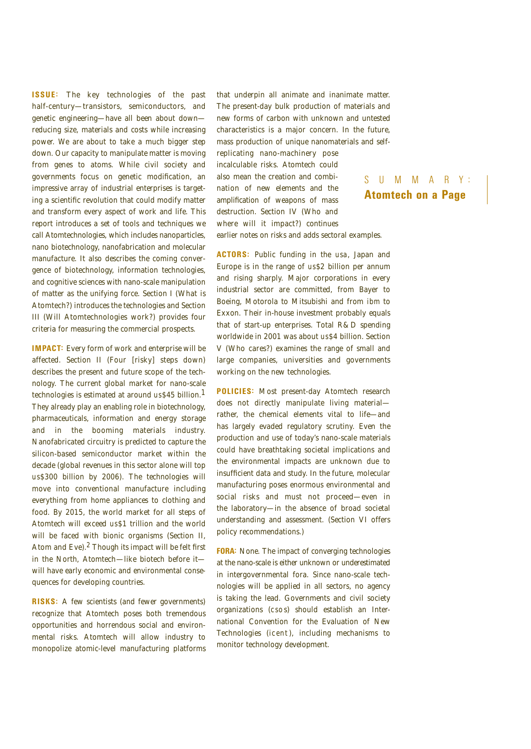ISSUE: The key technologies of the past half-century—transistors, semiconductors, and genetic engineering—have all been about down reducing size, materials and costs while increasing power. We are about to take a much bigger step down. Our capacity to manipulate matter is moving from genes to atoms. While civil society and governments focus on genetic modification, an impressive array of industrial enterprises is targeting a scientific revolution that could modify matter and transform every aspect of work and life. This report introduces a set of tools and techniques we call Atomtechnologies, which includes nanoparticles, nano biotechnology, nanofabrication and molecular manufacture. It also describes the coming convergence of biotechnology, information technologies, and cognitive sciences with nano-scale manipulation of matter as the unifying force. Section I (*What is Atomtech?*) introduces the technologies and Section III (*Will Atomtechnologies work?*) provides four criteria for measuring the commercial prospects.

IMPACT: Every form of work and enterprise will be affected. Section II (*Four [risky] steps down*) describes the present and future scope of the technology. The current global market for nano-scale technologies is estimated at around us\$45 billion.<sup>1</sup> They already play an enabling role in biotechnology, pharmaceuticals, information and energy storage and in the booming materials industry. Nanofabricated circuitry is predicted to capture the silicon-based semiconductor market within the decade (global revenues in this sector alone will top us\$300 billion by 2006). The technologies will move into conventional manufacture including everything from home appliances to clothing and food. By 2015, the world market for all steps of Atomtech will exceed us\$1 trillion and the world will be faced with bionic organisms (Section II, *Atom and Eve*).2 Though its impact will be felt first in the North, Atomtech—like biotech before it will have early economic and environmental consequences for developing countries.

RISKS: A few scientists (and fewer governments) recognize that Atomtech poses both tremendous opportunities and horrendous social and environmental risks. Atomtech will allow industry to monopolize atomic-level manufacturing platforms that underpin all animate and inanimate matter. The present-day bulk production of materials and new forms of carbon with unknown and untested characteristics is a major concern. In the future, mass production of unique nanomaterials and selfreplicating nano-machinery pose

incalculable risks. Atomtech could also mean the creation and combination of new elements and the amplification of weapons of mass destruction. Section IV (*Who and where will it impact?*) continues earlier notes on risks and adds sectoral examples.

## SUMMARY : Atomtech on a Page

ACTORS: Public funding in the usa, Japan and Europe is in the range of us\$2 billion per annum and rising sharply. Major corporations in every industrial sector are committed, from Bayer to Boeing, Motorola to Mitsubishi and from ibm to Exxon. Their in-house investment probably equals that of start-up enterprises. Total R&D spending worldwide in 2001 was about us\$4 billion. Section V (*Who cares?*) examines the range of small and large companies, universities and governments working on the new technologies.

POLICIES: Most present-day Atomtech research does not directly manipulate living material rather, the chemical elements vital to life—and has largely evaded regulatory scrutiny. Even the production and use of today's nano-scale materials could have breathtaking societal implications and the environmental impacts are unknown due to insufficient data and study. In the future, molecular manufacturing poses enormous environmental and social risks and must not proceed—even in the laboratory—in the absence of broad societal understanding and assessment. (Section VI offers policy recommendations.)

FORA: None. The impact of converging technologies at the nano-scale is either unknown or underestimated in intergovernmental fora. Since nano-scale technologies will be applied in all sectors, no agency is taking the lead. Governments and civil society organizations (csos) should establish an International Convention for the Evaluation of New Technologies (icent), including mechanisms to monitor technology development.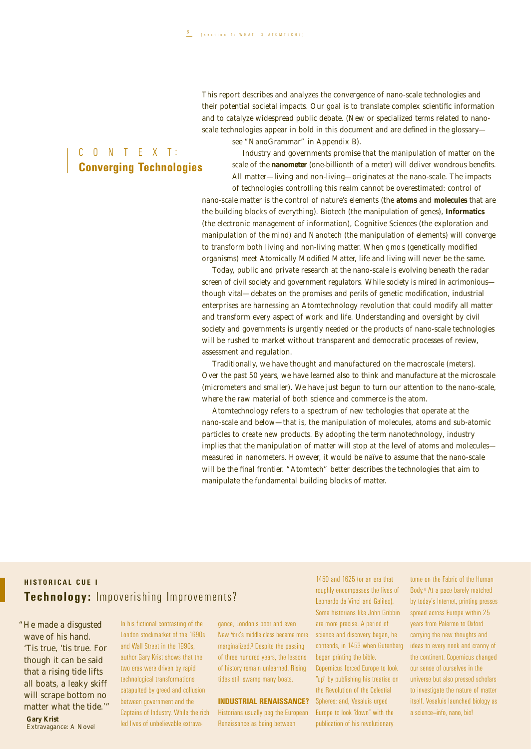This report describes and analyzes the convergence of nano-scale technologies and their potential societal impacts. Our goal is to translate complex scientific information and to catalyze widespread public debate. (New or specialized terms related to nanoscale technologies appear in bold in this document and are defined in the glossary see "NanoGrammar" in Appendix B).

## C O N T E X T: Converging Technologies

Industry and governments promise that the manipulation of matter on the scale of the **nanometer** (one-billionth of a meter) will deliver wondrous benefits. All matter—living and non-living—originates at the nano-scale. The impacts of technologies controlling this realm cannot be overestimated: control of

nano-scale matter is the control of nature's elements (the **atoms** and **molecules** that are the building blocks of everything). Biotech (the manipulation of genes), **Informatics** (the electronic management of information), Cognitive Sciences (the exploration and manipulation of the mind) and Nanotech (the manipulation of elements) will converge to transform both living and non-living matter. When gmos (genetically modified organisms) meet Atomically Modified Matter, life and living will never be the same.

Today, public and private research at the nano-scale is evolving beneath the radar screen of civil society and government regulators. While society is mired in acrimonious though vital—debates on the promises and perils of genetic modification, industrial enterprises are harnessing an Atomtechnology revolution that could modify all matter and transform every aspect of work and life. Understanding and oversight by civil society and governments is urgently needed or the products of nano-scale technologies will be rushed to market without transparent and democratic processes of review, assessment and regulation.

Traditionally, we have thought and manufactured on the macroscale (meters). Over the past 50 years, we have learned also to think and manufacture at the microscale (micrometers and smaller). We have just begun to turn our attention to the nano-scale, where the raw material of both science and commerce is the atom.

*Atomtechnology* refers to a spectrum of new techologies that operate at the nano-scale and below—that is, the manipulation of molecules, atoms and sub-atomic particles to create new products. By adopting the term *nanotechnology*, industry implies that the manipulation of matter will stop at the level of atoms and molecules measured in nanometers. However, it would be naïve to assume that the nano-scale will be the final frontier. "Atomtech" better describes the technologies that aim to manipulate the fundamental building blocks of matter.

## HISTORICAL CUE I Technology: Impoverishing Improvements?

*"He made a disgusted wave of his hand. 'Tis true, 'tis true. For though it can be said that a rising tide lifts all boats, a leaky skiff will scrape bottom no matter what the tide.'"*

**Gary Krist** *Extravagance: A Novel* In his fictional contrasting of the London stockmarket of the 1690s and Wall Street in the 1990s, author Gary Krist shows that the two eras were driven by rapid technological transformations catapulted by greed and collusion between government and the Captains of Industry. While the rich led lives of unbelievable extravagance, London's poor and even New York's middle class became more marginalized.3 Despite the passing of three hundred years, the lessons of history remain unlearned. Rising tides still swamp many boats.

#### INDUSTRIAL RENAISSANCE?

Historians usually peg the European Renaissance as being between

1450 and 1625 (or an era that roughly encompasses the lives of Leonardo da Vinci and Galileo). Some historians like John Gribbin are more precise. A period of science and discovery began, he contends, in 1453 when Gutenberg began printing the bible. Copernicus forced Europe to look "up" by publishing his treatise on the Revolution of the Celestial Spheres; and, Vesaluis urged Europe to look "down" with the publication of his revolutionary

tome on the Fabric of the Human Body.4 At a pace barely matched by today's Internet, printing presses spread across Europe within 25 years from Palermo to Oxford carrying the new thoughts and ideas to every nook and cranny of the continent. Copernicus changed our sense of ourselves in the universe but also pressed scholars to investigate the nature of matter itself. Vesaluis launched biology as a science—info, nano, bio!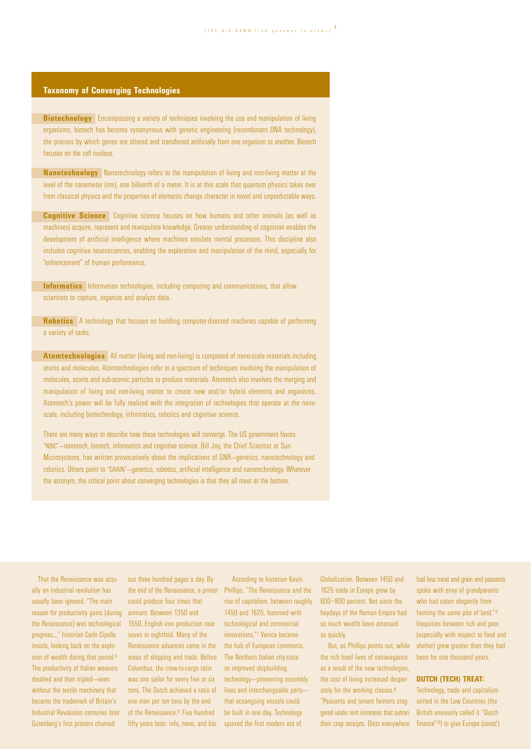#### Taxonomy of Converging Technologies

**Biotechnology** Encompassing a variety of techniques involving the use and manipulation of living organisms, biotech has become synonymous with genetic engineering (recombinant DNA technology), the process by which genes are altered and transferred artificially from one organism to another. Biotech focuses on the cell nucleus.

Nanotechnology Nanotechnology refers to the manipulation of living and non-living matter at the level of the nanometer (nm), one billionth of a meter. It is at this scale that quantum physics takes over from classical physics and the properties of elements change character in novel and unpredictable ways.

**Cognitive Science** Cognitive science focuses on how humans and other animals (as well as machines) acquire, represent and manipulate knowledge. Greater understanding of cognition enables the development of artificial intelligence where machines emulate mental processes. This discipline also includes cognitive neurosciences, enabling the exploration and manipulation of the mind, especially for "enhancement" of human performance.

Informatics Information technologies, including computing and communications, that allow scientists to capture, organize and analyze data.

**Robotics** A technology that focuses on building computer-directed machines capable of performing a variety of tasks.

Atomtechnologies All matter (living and non-living) is composed of nano-scale materials including atoms and molecules. Atomtechnologies refer to a spectrum of techniques involving the manipulation of molecules, atoms and sub-atomic particles to produce materials. Atomtech also involves the merging and manipulation of living and non-living matter to create new and/or hybrid elements and organisms. Atomtech's power will be fully realized with the integration of technologies that operate at the nanoscale, including biotechnology, informatics, robotics and cognitive science.

There are many ways to describe how these technologies will converge. The US government favors "NBIC"—nanotech, biotech, informatics and cognitive science. Bill Joy, the Chief Scientist at Sun Microsystems, has written provocatively about the implications of GNR—genetics, nanotechnology and robotics. Others point to "GRAIN"—genetics, robotics, artificial intelligence and nanotechnology. Whatever the acronym, the critical point about converging technologies is that they all meet at the bottom.

That the Renaissance was actually an industrial revolution has usually been ignored. "The main reason for productivity gains [during the Renaissance] was technological progress…," historian Carlo Cipolla insists, looking back on the explosion of wealth during that period.<sup>5</sup> The productivity of Italian weavers doubled and then tripled—even without the textile machinery that became the trademark of Britain's Industrial Revolution centuries later. Gutenberg's first printers churned

out three hundred pages a day. By the end of the Renaissance, a printer could produce four times that amount. Between 1350 and 1550, English iron production rose seven or eightfold. Many of the Renaissance advances came in the areas of shipping and trade. Before Columbus, the crew-to-cargo ratio was one sailor for every five or six tons. The Dutch achieved a ratio of one man per ten tons by the end of the Renaissance.6 Five hundred fifty years later: info, nano, and bio.

inter Phillips, "The Renaissance and the 1625 trade in Europe  $r$ ise of capitalism, between roughly  $600-800$  percent. No 1450 and 1625, hummed with heydays of the Roman ose technological and commercial so much wealth been  $\mathsf{innovations} \mathsf{I}^{\tau}$  Venice became  $\qquad \qquad \mathsf{so} \text{ quickly}.$ the the hub of European commerce. But, as Phillips points o fore The Northern Italian city-state the rich lived live io as a result of the net in the bottom and the bottom so improved shipbuilding and are as a result of the net six technology—pioneering assembly According to historian Kevin lines and interchangeable parts that oceangoing vessels could be built in one day. Technology spurred the first modern era of

Globalization. Between 1450 and 1625 trade in Europe grew by 600–800 percent. Not since the heydays of the Roman Empire had so much wealth been amassed so quickly.

But, as Phillips points out, while the rich lived lives of extravagance as a result of the new technologies, the cost of living increased desperately for the working classes.8 "Peasants and tenant farmers staggered under rent increases that outran their crop receipts. Diets everywhere

had less meat and grain and peasants spoke with envy of grandparents who had eaten elegantly from farming the same plot of land." <sup>9</sup> Inequities between rich and poor (especially with respect to food and shelter) grew greater than they had been for one thousand years.

#### DUTCH (TECH) TREAT:

Technology, trade and capitalism united in the Low Countries (the British enviously called it "Dutch finance"<sup>10</sup>) to give Europe (contd.)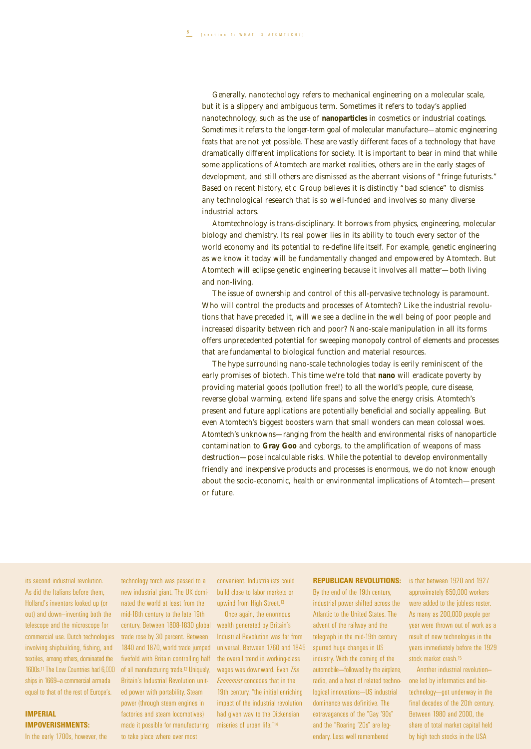Generally, *nanotechology* refers to mechanical engineering on a molecular scale, but it is a slippery and ambiguous term. Sometimes it refers to today's applied nanotechnology, such as the use of **nanoparticles** in cosmetics or industrial coatings. Sometimes it refers to the longer-term goal of molecular manufacture—atomic engineering feats that are not yet possible. These are vastly different faces of a technology that have dramatically different implications for society. It is important to bear in mind that while some applications of Atomtech are market realities, others are in the early stages of development, and still others are dismissed as the aberrant visions of "fringe futurists." Based on recent history, etc Group believes it is distinctly "bad science" to dismiss any technological research that is so well-funded and involves so many diverse industrial actors.

Atomtechnology is trans-disciplinary. It borrows from physics, engineering, molecular biology and chemistry. Its real power lies in its ability to touch every sector of the world economy and its potential to re-define life itself. For example, genetic engineering as we know it today will be fundamentally changed and empowered by Atomtech. But Atomtech will eclipse genetic engineering because it involves *all* matter—both living and non-living.

The issue of ownership and control of this all-pervasive technology is paramount. Who will control the products and processes of Atomtech? Like the industrial revolutions that have preceded it, will we see a decline in the well being of poor people and increased disparity between rich and poor? Nano-scale manipulation in all its forms offers unprecedented potential for sweeping monopoly control of elements and processes that are fundamental to biological function and material resources.

The hype surrounding nano-scale technologies today is eerily reminiscent of the early promises of biotech. This time we're told that **nano** will eradicate poverty by providing material goods (pollution free!) to all the world's people, cure disease, reverse global warming, extend life spans and solve the energy crisis. Atomtech's present and future applications are potentially beneficial and socially appealing. But even Atomtech's biggest boosters warn that small wonders can mean colossal woes. Atomtech's unknowns—ranging from the health and environmental risks of nanoparticle contamination to **Gray Goo** and cyborgs, to the amplification of weapons of mass destruction—pose incalculable risks. While the potential to develop environmentally friendly and inexpensive products and processes is enormous, we do not know enough about the socio-economic, health or environmental implications of Atomtech—present or future.

its second industrial revolution. As did the Italians before them, Holland's inventors looked up (or out) and down—inventing both the telescope and the microscope for commercial use. Dutch technologies involving shipbuilding, fishing, and textiles, among others, dominated the 1600s.11 The Low Countries had 6,000 ships in 1669—a commercial armada equal to that of the rest of Europe's.

#### IMPERIAL IMPOVERISHMENTS:

In the early 1700s, however, the

technology torch was passed to a new industrial giant. The UK dominated the world at least from the mid-18th century to the late 19th century. Between 1808-1830 global wealth generated by Britain's trade rose by 30 percent. Between 1840 and 1870, world trade jumped fivefold with Britain controlling half of all manufacturing trade.12 Uniquely, Britain's Industrial Revolution united power with portability. Steam power (through steam engines in factories and steam locomotives) made it possible for manufacturing to take place where ever most

convenient. Industrialists could build close to labor markets or upwind from High Street.13

Once again, the enormous Industrial Revolution was far from universal. Between 1760 and 1845 the overall trend in working-class wages was downward. Even The Economist concedes that in the 19th century, "the initial enriching impact of the industrial revolution had given way to the Dickensian miseries of urban life."14

#### REPUBLICAN REVOLUTIONS:

By the end of the 19th century, industrial power shifted across the Atlantic to the United States. The advent of the railway and the telegraph in the mid-19th century spurred huge changes in US industry. With the coming of the automobile—followed by the airplane, radio, and a host of related technological innovations—US industrial dominance was definitive. The extravagances of the "Gay '90s" and the "Roaring '20s" are legendary. Less well remembered

is that between 1920 and 1927 approximately 650,000 workers were added to the jobless roster. As many as 200,000 people per year were thrown out of work as a result of new technologies in the years immediately before the 1929 stock market crash.15

Another industrial revolution one led by informatics and biotechnology—got underway in the final decades of the 20th century. Between 1980 and 2000, the share of total market capital held by high tech stocks in the USA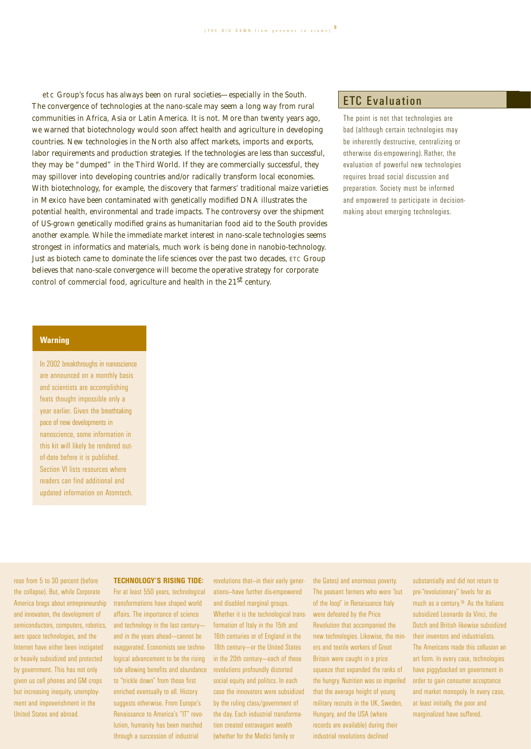etc Group's focus has always been on rural societies—especially in the South. The convergence of technologies at the nano-scale may seem a long way from rural communities in Africa, Asia or Latin America. It is not. More than twenty years ago, we warned that biotechnology would soon affect health and agriculture in developing countries. New technologies in the North also affect markets, imports and exports, labor requirements and production strategies. If the technologies are less than successful, they may be "dumped" in the Third World. If they are commercially successful, they may spillover into developing countries and/or radically transform local economies. With biotechnology, for example, the discovery that farmers' traditional maize varieties in Mexico have been contaminated with genetically modified DNA illustrates the potential health, environmental and trade impacts. The controversy over the shipment of US-grown genetically modified grains as humanitarian food aid to the South provides another example. While the immediate market interest in nano-scale technologies seems strongest in informatics and materials, much work is being done in nanobio-technology. Just as biotech came to dominate the life sciences over the past two decades, ETC Group believes that nano-scale convergence will become the operative strategy for corporate control of commercial food, agriculture and health in the 21<sup>st</sup> century.

#### ETC Evaluation

The point is not that technologies are bad (although certain technologies may be inherently destructive, centralizing or otherwise dis-empowering). Rather, the evaluation of powerful new technologies requires broad social discussion and preparation. Society must be informed and empowered to participate in decisionmaking about emerging technologies.

#### **Warning**

In 2002 breakthroughs in nanoscience are announced on a monthly basis and scientists are accomplishing feats thought impossible only a year earlier. Given the breathtaking pace of new developments in nanoscience, some information in this kit will likely be rendered outof-date before it is published. Section VI lists resources where readers can find additional and updated information on Atomtech.

#### TECHNOLOGY'S RISING TIDE:

the collapse). But, while Corporate America brags about entrepreneurship and innovation, the development of semiconductors, computers, robotics, aero space technologies, and the Internet have either been instigated or heavily subsidized and protected by government. This has not only given us cell phones and GM crops but increasing inequity, unemployment and impoverishment in the United States and abroad.

rose from 5 to 30 percent (before

For at least 550 years, technological transformations have shaped world affairs. The importance of science and technology in the last century and in the years ahead—cannot be exaggerated. Economists see technological advancement to be the rising tide allowing benefits and abundance to "trickle down" from those first enriched eventually to all. History suggests otherwise. From Europe's Renaissance to America's "IT" revolution, humanity has been marched through a succession of industrial

revolutions that—in their early generations—have further dis-empowered and disabled marginal groups. Whether it is the technological transformation of Italy in the 15th and 16th centuries or of England in the 18th century—or the United States in the 20th century—each of these revolutions profoundly distorted social equity and politics. In each case the innovators were subsidized by the ruling class/government of the day. Each industrial transformation created extravagant wealth (whether for the Medici family or

the Gates) and enormous poverty. The peasant farmers who were "out of the loop" in Renaissance Italy were defeated by the Price Revolution that accompanied the new technologies. Likewise, the miners and textile workers of Great Britain were caught in a price squeeze that expanded the ranks of the hungry. Nutrition was so imperiled that the average height of young military recruits in the UK, Sweden, Hungary, and the USA (where records are available) during their industrial revolutions declined

substantially and did not return to pre-"revolutionary" levels for as much as a century.16 As the Italians subsidized Leonardo da Vinci, the Dutch and British likewise subsidized their inventors and industrialists. The Americans made this collusion an art form. In every case, technologies have piggybacked on government in order to gain consumer acceptance and market monopoly. In every case, at least initially, the poor and marginalized have suffered.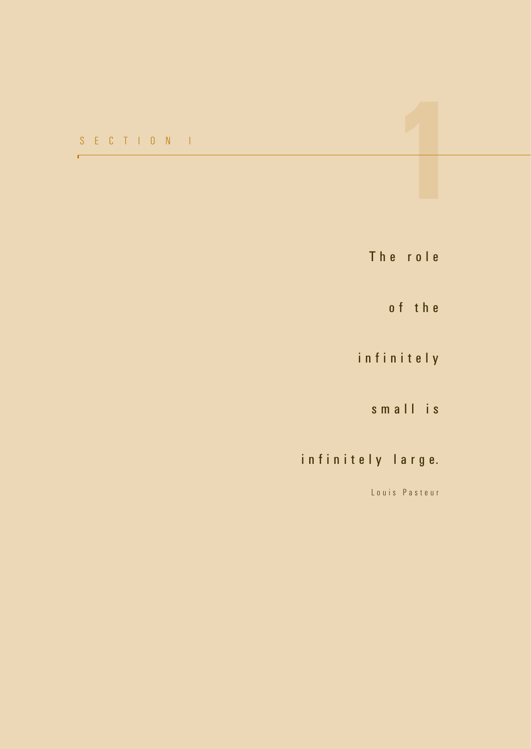The role

of the

infinitely

small is

## infinitely large.

Louis Pasteur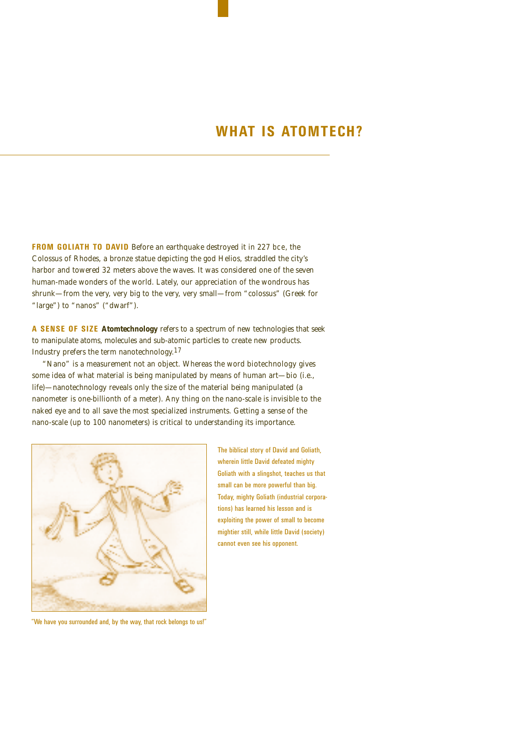## WHAT IS ATOMTECH?

FROM GOLIATH TO DAVID Before an earthquake destroyed it in 227 bce, the Colossus of Rhodes, a bronze statue depicting the god Helios, straddled the city's harbor and towered 32 meters above the waves. It was considered one of the seven human-made wonders of the world. Lately, our appreciation of the wondrous has shrunk—from the very, very big to the very, very small—from "colossus" (Greek for "large") to "nanos" ("dwarf").

A SENSE OF SIZE *Atomtechnology* refers to a spectrum of new technologies that seek to manipulate atoms, molecules and sub-atomic particles to create new products. Industry prefers the term nanotechnology.17

"Nano" is a measurement not an object. Whereas the word *biotechnology* gives some idea of what material is being manipulated by means of human art—*bio* (i.e., life)—nanotechnology reveals only the size of the material being manipulated (a nanometer is one-billionth of a meter). Any thing on the nano-scale is invisible to the naked eye and to all save the most specialized instruments. Getting a sense of the nano-scale (up to 100 nanometers) is critical to understanding its importance.



"We have you surrounded and, by the way, that rock belongs to us!"

The biblical story of David and Goliath, wherein little David defeated mighty Goliath with a slingshot, teaches us that small can be more powerful than big. Today, mighty Goliath (industrial corporations) has learned his lesson and is exploiting the power of small to become mightier still, while little David (society) cannot even see his opponent.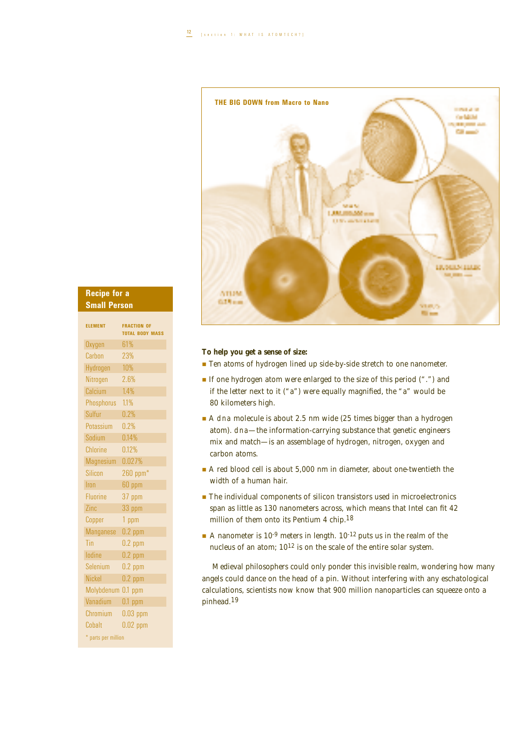

#### Recipe for a Small Person

| <b>ELEMENT</b>      | <b>FRACTION OF</b><br><b>TOTAL BODY MASS</b> |
|---------------------|----------------------------------------------|
| Oxygen              | 61%                                          |
| Carhon              | 23%                                          |
| Hydrogen            | 10%                                          |
| Nitrogen            | 2.6%                                         |
| Calcium             | 1.4%                                         |
| Phosphorus          | 1.1%                                         |
| Sulfur              | 0.2%                                         |
| Potassium           | 0.2%                                         |
| Sodium              | 0.14%                                        |
| Chlorine            | 0.12%                                        |
| <b>Magnesium</b>    | 0.027%                                       |
| Silicon             | 260 ppm*                                     |
| Iron                | 60 ppm                                       |
| <b>Fluorine</b>     | 37 ppm                                       |
| Zinc                | 33 ppm                                       |
| Copper              | 1 ppm                                        |
| <b>Manganese</b>    | $0.2$ ppm                                    |
| Tin                 | $0.2$ ppm                                    |
| Iodine              | $0.2$ ppm                                    |
| Selenium            | $0.2$ ppm                                    |
| Nickel              | $0.2$ ppm                                    |
| Molybdenum          | $0.1$ ppm                                    |
| Vanadium            | $0.1$ ppm                                    |
| Chromium            | $0.03$ ppm                                   |
| Cobalt              | $0.02$ ppm                                   |
| * parts per million |                                              |

#### **To help you get a sense of size:**

- Ten atoms of hydrogen lined up side-by-side stretch to one nanometer.
- **If one hydrogen atom were enlarged to the size of this period (".") and** if the letter next to it ("a") were equally magnified, the "a" would be 80 kilometers high.
- A dna molecule is about 2.5 nm wide (25 times bigger than a hydrogen atom). dna—the information-carrying substance that genetic engineers mix and match—is an assemblage of hydrogen, nitrogen, oxygen and carbon atoms.
- A red blood cell is about 5,000 nm in diameter, about one-twentieth the width of a human hair.
- **The individual components of silicon transistors used in microelectronics** span as little as 130 nanometers across, which means that Intel can fit 42 million of them onto its Pentium 4 chip.18
- A nanometer is  $10^{-9}$  meters in length.  $10^{-12}$  puts us in the realm of the nucleus of an atom; 1012 is on the scale of the entire solar system.

Medieval philosophers could only ponder this invisible realm, wondering how many angels could dance on the head of a pin. Without interfering with any eschatological calculations, scientists now know that 900 million nanoparticles can squeeze onto a pinhead.19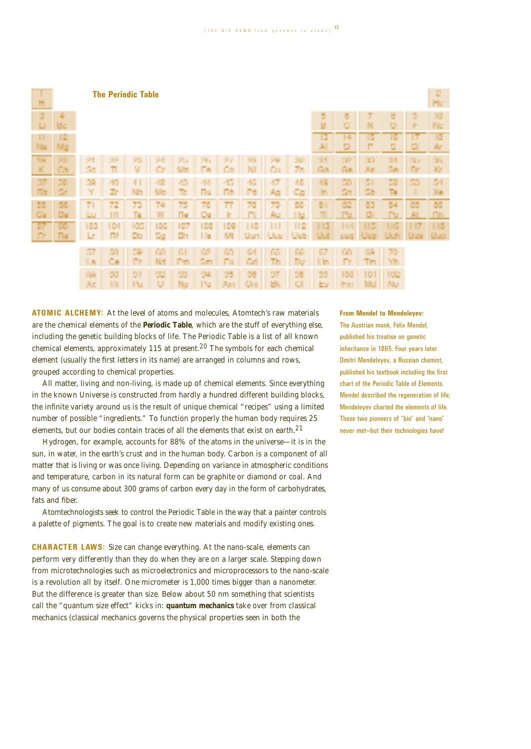| Ħ         |                       |           |          | <b>The Periodic Table</b>   |                             |            |           |                  |           |            |           |            |            |            |                          |            | Q,<br>His |
|-----------|-----------------------|-----------|----------|-----------------------------|-----------------------------|------------|-----------|------------------|-----------|------------|-----------|------------|------------|------------|--------------------------|------------|-----------|
| a<br>Ш    | ÷<br>Be.              |           |          |                             |                             |            |           |                  |           |            |           | 9<br>ы     | B<br>ç.    | T<br>N     | Ų.<br>O.                 | 5<br>r.    | IJ<br>No  |
| Ne        | E<br>Mg               |           |          |                             |                             |            |           |                  |           |            |           | D<br>A.    | ш<br>ы     |            | 5                        | a          | a<br>kr.  |
| 19<br>κ   | 20.<br>Cл             | 21<br>Ge. | 29.<br>π | 22.<br>y                    | 24.<br>Cr.                  | 294<br>Vr. | 26.<br>ГA | 20.<br>ßв        | 78.<br>M  | 29.<br>Oц  | 20<br>7'n | 31.<br>Go. | 92<br>Ga.  | 20.<br>문지  | 24.<br>San               | ŚБ.<br>Dr. | 26<br>Kr  |
| ΩŢ<br>na  | 19, 19,<br>29.<br>Sr. | 38<br>Y   | 40<br>z, | 41.<br>Na                   | 42.<br>We.                  | 40<br>T.   | 44<br>Пu  | 槛<br>Пħ          | 46<br>ne. | 47<br>Ag   | 椙<br>Сg   | 権<br>In.   | 50<br>Sm   | SI.<br>Sb. | 骗<br>Te                  | œ          | 54<br>Жe  |
| 55<br>Ģg. | 56<br>Da              | 71<br>Lu  | 72<br>Ш  | 73<br>Ta                    | 74                          | 75<br>Пa   | 76<br>Da, | 77<br>h          | 70<br>г.  | 79<br>ŔЦ   | B0<br>Цg  | B          | œ<br>Пà    | 83<br>D    | 84<br>ГÞ,                | œ<br>A     | 88<br>Din |
| W<br>m    | œ<br>Пx               | 103<br>u  | TЫ<br>m  | <b>ALL AN</b><br><b>NGC</b> | <b>BUT</b><br>l a Sa<br>Sg. | Иř<br>D'n  | 108<br>Lэ | <b>IDS</b><br>V. | Пē<br>Wum | Uwu        | 日記<br>Uub | 13<br>Uut  | IИ<br>L LG | 115<br>Uus | ПG<br>Uuh                | Uus        | ПB<br>Uua |
|           |                       | 57<br>L X | 50<br>Gе | 59<br>m                     | GO.<br>Mа                   | GΙ<br>m    | 62<br>Sm  | 60<br>Пu         | 64<br>Gel | CG.<br>Th  | GG.<br>D۷ | ø<br>l le  | GO.<br>m   | 69<br>Tm   | 78<br>Yb.                |            |           |
|           |                       | 69<br>Ac. | 90<br>m  | 91<br>Pu                    | 52.<br>υ                    | 29.<br>Ng  | 24<br>Pu  | 25<br>Am.        | 98<br>Qu. | 97<br>blk. | 掲<br>u    | 50<br>Þ    | 190<br>m i | IрI<br>m   | <b>IRE</b><br><b>INU</b> |            |           |

ATOMIC ALCHEMY: At the level of atoms and molecules, Atomtech's raw materials are the chemical elements of the **Periodic Table**, which are the stuff of everything else, including the genetic building blocks of life. The Periodic Table is a list of all known chemical elements, approximately 115 at present.<sup>20</sup> The symbols for each chemical element (usually the first letters in its name) are arranged in columns and rows, grouped according to chemical properties.

All matter, living and non-living, is made up of chemical elements. Since everything in the known Universe is constructed from hardly a hundred different building blocks, the infinite variety around us is the result of unique chemical "recipes" using a limited number of possible "ingredients." To function properly the human body requires 25 elements, but our bodies contain traces of all the elements that exist on earth.<sup>21</sup>

Hydrogen, for example, accounts for 88% of the atoms in the universe—it is in the sun, in water, in the earth's crust and in the human body. Carbon is a component of all matter that is living or was once living. Depending on variance in atmospheric conditions and temperature, carbon in its natural form can be graphite or diamond or coal. And many of us consume about 300 grams of carbon every day in the form of carbohydrates, fats and fiber.

Atomtechnologists seek to control the Periodic Table in the way that a painter controls a palette of pigments. The goal is to create new materials and modify existing ones.

CHARACTER LAWS: Size can change everything. At the nano-scale, elements can perform very differently than they do when they are on a larger scale. Stepping down from microtechnologies such as microelectronics and microprocessors to the nano-scale is a revolution all by itself. One micrometer is 1,000 times bigger than a nanometer. But the difference is greater than size. Below about 50 nm something that scientists call the "quantum size effect" kicks in: **quantum mechanics** take over from classical mechanics (classical mechanics governs the physical properties seen in both the

From Mendel to Mendeleyev: The Austrian monk, Felix Mendel, published his treatise on genetic inheritance in 1865. Four years later Dmitri Mendeleyev, a Russian chemist, published his textbook including the first chart of the Periodic Table of Elements. Mendel described the regeneration of life; Mendeleyev charted the elements of life. These two pioneers of "bio" and "nano" never met—but their technologies have!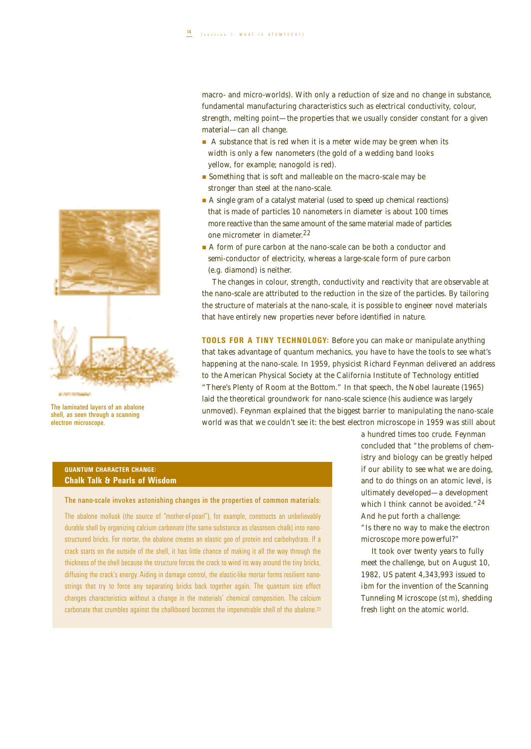macro- and micro-worlds). With only a reduction of size and no change in substance, fundamental manufacturing characteristics such as electrical conductivity, colour, strength, melting point—the properties that we usually consider constant for a given material—can all change.

- A substance that is red when it is a meter wide may be green when its width is only a few nanometers (the gold of a wedding band looks yellow, for example; nanogold is red).
- **Something that is soft and malleable on the macro-scale may be** stronger than steel at the nano-scale.
- A single gram of a catalyst material (used to speed up chemical reactions) that is made of particles 10 nanometers in diameter is about 100 times more reactive than the same amount of the same material made of particles one micrometer in diameter.22
- A form of pure carbon at the nano-scale can be both a conductor and semi-conductor of electricity, whereas a large-scale form of pure carbon (e.g. diamond) is neither.

The changes in colour, strength, conductivity and reactivity that are observable at the nano-scale are attributed to the reduction in the size of the particles. By tailoring the structure of materials at the nano-scale, it is possible to engineer novel materials that have entirely new properties never before identified in nature.

TOOLS FOR A TINY TECHNOLOGY: Before you can make or manipulate anything that takes advantage of quantum mechanics, you have to have the tools to see what's happening at the nano-scale. In 1959, physicist Richard Feynman delivered an address to the American Physical Society at the California Institute of Technology entitled "There's Plenty of Room at the Bottom." In that speech, the Nobel laureate (1965) laid the theoretical groundwork for nano-scale science (his audience was largely unmoved). Feynman explained that the biggest barrier to manipulating the nano-scale world was that we couldn't see it: the best electron microscope in 1959 was still about

#### QUANTUM CHARACTER CHANGE: Chalk Talk & Pearls of Wisdom

The nano-scale invokes astonishing changes in the properties of common materials:

The abalone mollusk (the source of "mother-of-pearl"), for example, constructs an unbelievably durable shell by organizing calcium carbonate (the same substance as classroom chalk) into nanostructured bricks. For mortar, the abalone creates an elastic goo of protein and carbohydrate. If a crack starts on the outside of the shell, it has little chance of making it all the way through the thickness of the shell because the structure forces the crack to wind its way around the tiny bricks, diffusing the crack's energy. Aiding in damage control, the elastic-like mortar forms resilient nanostrings that try to force any separating bricks back together again. The quantum size effect changes characteristics without a change in the materials' chemical composition. The calcium carbonate that crumbles against the chalkboard becomes the impenetrable shell of the abalone.23

a hundred times too crude. Feynman concluded that "the problems of chemistry and biology can be greatly helped if our ability to see what we are doing, and to do things on an atomic level, is ultimately developed—a development which I think cannot be avoided."<sup>24</sup> And he put forth a challenge: "Is there no way to make the electron microscope more powerful?"

It took over twenty years to fully meet the challenge, but on August 10, 1982, US patent 4,343,993 issued to ibm for the invention of the Scanning Tunneling Microscope (stm), shedding fresh light on the atomic world.



The laminated layers of an abalone shell, as seen through a scanning electron microscope.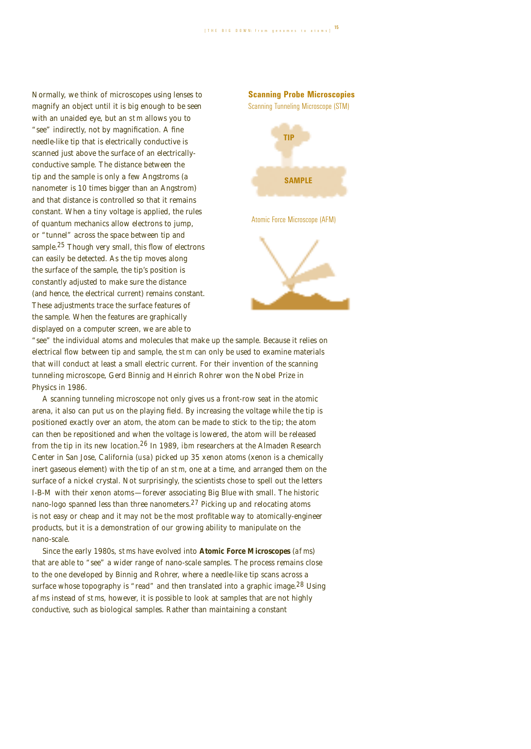Normally, we think of microscopes using lenses to magnify an object until it is big enough to be seen with an unaided eye, but an stm allows you to "see" indirectly, not by magnification. A fine needle-like tip that is electrically conductive is scanned just above the surface of an electricallyconductive sample. The distance between the tip and the sample is only a few Angstroms (a nanometer is 10 times bigger than an Angstrom) and that distance is controlled so that it remains constant. When a tiny voltage is applied, the rules of quantum mechanics allow electrons to jump, or "tunnel" across the space between tip and sample.<sup>25</sup> Though very small, this flow of electrons can easily be detected. As the tip moves along the surface of the sample, the tip's position is constantly adjusted to make sure the distance (and hence, the electrical current) remains constant. These adjustments trace the surface features of the sample. When the features are graphically displayed on a computer screen, we are able to



Scanning Probe Microscopies:



"see" the individual atoms and molecules that make up the sample. Because it relies on electrical flow between tip and sample, the stm can only be used to examine materials that will conduct at least a small electric current. For their invention of the scanning tunneling microscope, Gerd Binnig and Heinrich Rohrer won the Nobel Prize in Physics in 1986.

A scanning tunneling microscope not only gives us a front-row seat in the atomic arena, it also can put us on the playing field. By increasing the voltage while the tip is positioned exactly over an atom, the atom can be made to stick to the tip; the atom can then be repositioned and when the voltage is lowered, the atom will be released from the tip in its new location.26 In 1989, ibm researchers at the Almaden Research Center in San Jose, California (usa) picked up 35 xenon atoms (xenon is a chemically inert gaseous element) with the tip of an stm, one at a time, and arranged them on the surface of a nickel crystal. Not surprisingly, the scientists chose to spell out the letters I-B-M with their xenon atoms—forever associating Big Blue with small. The historic nano-logo spanned less than three nanometers.27 Picking up and relocating atoms is not easy or cheap and it may not be the most profitable way to atomically-engineer products, but it is a demonstration of our growing ability to manipulate on the nano-scale.

Since the early 1980s, stms have evolved into **Atomic Force Microscopes** (afms) that are able to "see" a wider range of nano-scale samples. The process remains close to the one developed by Binnig and Rohrer, where a needle-like tip scans across a surface whose topography is "read" and then translated into a graphic image.<sup>28</sup> Using afms instead of stms, however, it is possible to look at samples that are not highly conductive, such as biological samples. Rather than maintaining a constant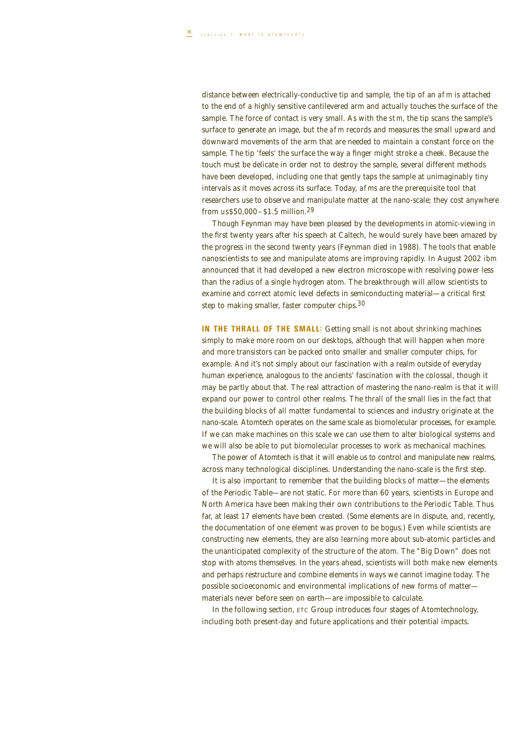distance between electrically-conductive tip and sample, the tip of an afm is attached to the end of a highly sensitive cantilevered arm and actually touches the surface of the sample. The force of contact is very small. As with the stm, the tip scans the sample's surface to generate an image, but the afm records and measures the small upward and downward movements of the arm that are needed to maintain a constant force on the sample. The tip 'feels' the surface the way a finger might stroke a cheek. Because the touch must be delicate in order not to destroy the sample, several different methods have been developed, including one that gently taps the sample at unimaginably tiny intervals as it moves across its surface. Today, afms are the prerequisite tool that researchers use to observe and manipulate matter at the nano-scale; they cost anywhere from us\$50,000–\$1.5 million.29

Though Feynman may have been pleased by the developments in atomic-viewing in the first twenty years after his speech at Caltech, he would surely have been amazed by the progress in the second twenty years (Feynman died in 1988). The tools that enable nanoscientists to see and manipulate atoms are improving rapidly. In August 2002 ibm announced that it had developed a new electron microscope with resolving power less than the radius of a single hydrogen atom. The breakthrough will allow scientists to examine and correct atomic level defects in semiconducting material—a critical first step to making smaller, faster computer chips.<sup>30</sup>

IN THE THRALL OF THE SMALL: Getting small is not about shrinking machines simply to make more room on our desktops, although that will happen when more and more transistors can be packed onto smaller and smaller computer chips, for example. And it's not simply about our fascination with a realm outside of everyday human experience, analogous to the ancients' fascination with the colossal, though it may be partly about that. The real attraction of mastering the nano-realm is that it will expand our power to control other realms. The thrall of the small lies in the fact that the building blocks of all matter fundamental to sciences and industry originate at the nano-scale. Atomtech operates on the same scale as biomolecular processes, for example. If we can make machines on this scale we can use them to alter biological systems and we will also be able to put biomolecular processes to work as mechanical machines.

The power of Atomtech is that it will enable us to control and manipulate new realms, across many technological disciplines. Understanding the nano-scale is the first step.

It is also important to remember that the building blocks of matter—the elements of the Periodic Table—are not static. For more than 60 years, scientists in Europe and North America have been making their own contributions to the Periodic Table. Thus far, at least 17 elements have been created. (Some elements are in dispute, and, recently, the documentation of one element was proven to be bogus.) Even while scientists are constructing new elements, they are also learning more about sub-atomic particles and the unanticipated complexity of the structure of the atom. The "Big Down" does not stop with atoms themselves. In the years ahead, scientists will both make new elements and perhaps restructure and combine elements in ways we cannot imagine today. The possible socioeconomic and environmental implications of new forms of matter materials never before seen on earth—are impossible to calculate.

In the following section, ETC Group introduces four stages of Atomtechnology, including both present-day and future applications and their potential impacts.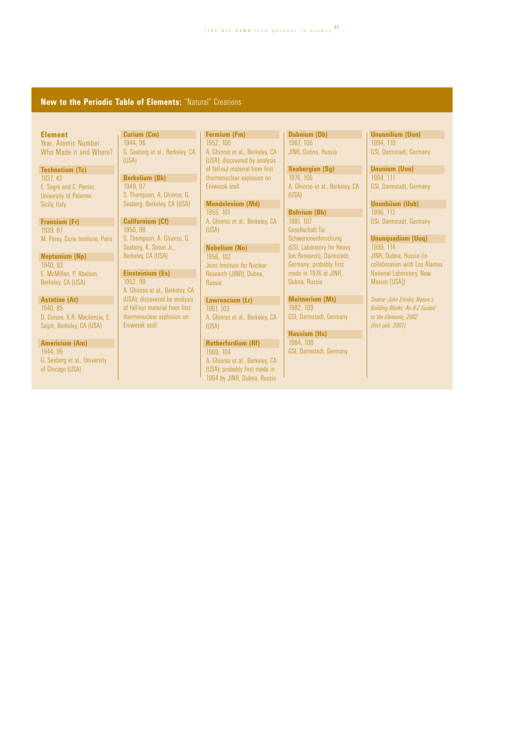#### New to the Periodic Table of Elements: "Natural" Creations

Element Year, Atomic Number Who Made it and Where?

Technetium (Tc) 1937, 43 E. Segré and C. Perrier, University of Palermo Sicily, Italy

Francium (Fr) 1939, 87 M. Perey, Curie Institute, Paris

Neptunium (Np) 1940, 93 E. McMillan, P. Abelson, Berkeley, CA (USA)

Astatine (At) 1940, 85 D. Corson, K.R. Mackenzie, E. Segré, Berkeley, CA (USA)

Americium (Am) 1944, 95 G. Seaborg et al., University of Chicago (USA)

Curium (Cm) 1944, 96 G. Seaborg et al., Berkeley, CA (USA)

Berkelium (Bk) 1949, 97 S. Thompson, A. Ghiorso, G. Seaborg, Berkeley, CA (USA)

Californium (Cf) 1950, 98 S. Thompson, A. Ghiorso, G. Seaborg, K. Street Jr., Berkeley, CA (USA)

Einsteinium (Es) 1952, 99 A. Ghiorso et al., Berkeley, CA (USA); discovered by analysis of fall-out material from first thermonuclear explosion on Eniwetok atoll

of fall-out material from first thermonuclear explosion on Eniwetok atoll Mendelevium (Md) 1955, 101

A. Ghiorso et al., Berkeley, CA (USA); discovered by analysis

Fermium (Fm) 1952, 100

A. Ghiorso et al., Berkeley, CA (USA)

Nobelium (No) 1956, 102 Joint Institute for Nuclear Research (JINR), Dubna, Russia

Lawrencium (Lr) 1961, 103 A. Ghiorso et al., Berkeley, CA (USA)

Rutherfordium (Rf) 1969, 104 A. Ghiorso et al., Berkeley, CA (USA); probably first made in 1964 by JINR, Dubna, Russia Dubnium (Db) 1967, 105 JINR, Dubna, Russia

Seaborgian (Sg) 1974, 106 A. Ghiorso et al., Berkeley, CA (USA)

Bohrium (Bh)

1981, 107 Gesellschaft für Schwerionenforschung (GSI, Laboratory for Heavy Ion Research), Darmstadt, Germany; probably first made in 1976 at JINR, Dubna, Russia

Meitnerium (Mt) 1982, 109 GSI, Darmstadt, Germany

Hassium (Hs) 1984, 108 GSI, Darmstadt, Germany Ununnilium (Uun) 1994, 110 GSI, Darmstadt, Germany

Ununium (Uuu) 1994, 111 GSI, Darmstadt, Germany

Ununbiium (Uub) 1996, 112 GSI, Darmstadt, Germany

Ununquadium (Uuq)

1999, 114 JINR, Dubna, Russia (in collaboration with Los Alamos National Laboratory, New Mexico [USA])

Source: John Emsley, Nature's Building Blocks: An A-Z Guided to the Elements, 2002 (first pub. 2001)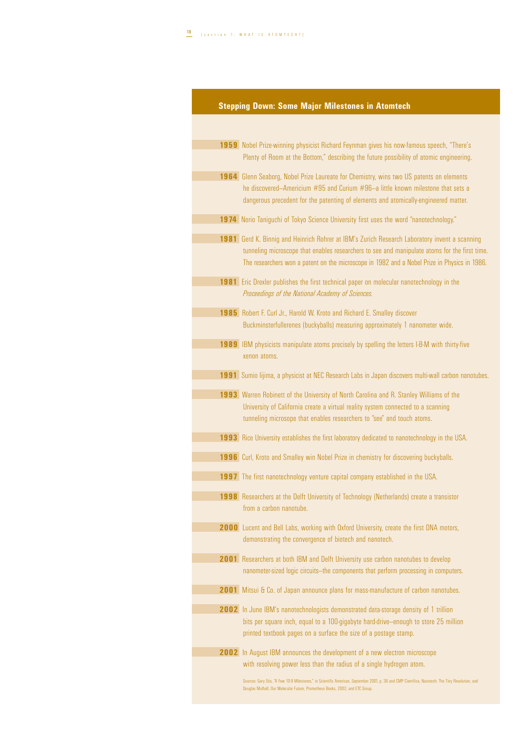#### $\frac{18}{18}$  [section 1: WHAT IS ATOMTECH?]

| <b>Stepping Down: Some Major Milestones in Atomtech</b>                                                                                                                                                                                                                                        |
|------------------------------------------------------------------------------------------------------------------------------------------------------------------------------------------------------------------------------------------------------------------------------------------------|
|                                                                                                                                                                                                                                                                                                |
| 1959 Nobel Prize-winning physicist Richard Feynman gives his now-famous speech, "There's<br>Plenty of Room at the Bottom," describing the future possibility of atomic engineering.                                                                                                            |
| 1964 Glenn Seaborg, Nobel Prize Laureate for Chemistry, wins two US patents on elements<br>he discovered-Americium #95 and Curium #96-a little known milestone that sets a<br>dangerous precedent for the patenting of elements and atomically-engineered matter.                              |
| 1974 Norio Taniguchi of Tokyo Science University first uses the word "nanotechnology."                                                                                                                                                                                                         |
| 1981 Gerd K. Binnig and Heinrich Rohrer at IBM's Zurich Research Laboratory invent a scanning<br>tunneling microscope that enables researchers to see and manipulate atoms for the first time.<br>The researchers won a patent on the microscope in 1982 and a Nobel Prize in Physics in 1986. |
| 1981 Eric Drexler publishes the first technical paper on molecular nanotechnology in the<br>Proceedings of the National Academy of Sciences.                                                                                                                                                   |
| 1985 Robert F. Curl Jr., Harold W. Kroto and Richard E. Smalley discover<br>Buckminsterfullerenes (buckyballs) measuring approximately 1 nanometer wide.                                                                                                                                       |
| 1989 IBM physicists manipulate atoms precisely by spelling the letters I-B-M with thirty-five<br>xenon atoms.                                                                                                                                                                                  |
| 1991 Sumio lijima, a physicist at NEC Research Labs in Japan discovers multi-wall carbon nanotubes.                                                                                                                                                                                            |
| 1993 Warren Robinett of the University of North Carolina and R. Stanley Williams of the<br>University of California create a virtual reality system connected to a scanning<br>tunneling microsope that enables researchers to "see" and touch atoms.                                          |
| 1993 Rice University establishes the first laboratory dedicated to nanotechnology in the USA.                                                                                                                                                                                                  |
| 1996 Curl, Kroto and Smalley win Nobel Prize in chemistry for discovering buckyballs.                                                                                                                                                                                                          |
| 1997 The first nanotechnology venture capital company established in the USA.                                                                                                                                                                                                                  |
| 1998 Researchers at the Delft University of Technology (Netherlands) create a transistor<br>from a carbon nanotube.                                                                                                                                                                            |
| 2000 Lucent and Bell Labs, working with Oxford University, create the first DNA motors,<br>demonstrating the convergence of biotech and nanotech.                                                                                                                                              |
| 2001 Researchers at both IBM and Delft University use carbon nanotubes to develop<br>nanometer-sized logic circuits-the components that perform processing in computers.                                                                                                                       |
| 2001 Mitsui & Co. of Japan announce plans for mass-manufacture of carbon nanotubes.                                                                                                                                                                                                            |
| 2002 In June IBM's nanotechnologists demonstrated data-storage density of 1 trillion<br>bits per square inch, equal to a 100-gigabyte hard-drive-enough to store 25 million<br>printed textbook pages on a surface the size of a postage stamp.                                                |
| <b>2002</b> In August IBM announces the development of a new electron microscope<br>with resolving power less than the radius of a single hydrogen atom.                                                                                                                                       |
| Sources: Gary Stix, "A Few 10-9 Milestones," in Scientific American, September 2001, p. 36 and CMP Cientifica, Nanotech: The Tiny Revolution, and<br>Douglas Mulhall, Our Molecular Future, Prometheus Books, 2002; and ETC Group.                                                             |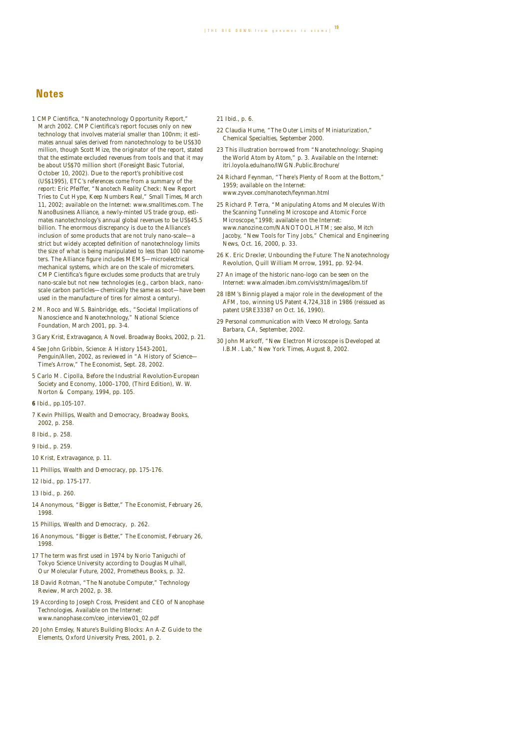#### Notes

- 1 CMP Cientifica, "Nanotechnology Opportunity Report," March 2002. CMP Cientifica's report focuses only on new technology that involves material smaller than 100nm; it estimates annual sales derived from nanotechnology to be US\$30 million, though Scott Mize, the originator of the report, stated that the estimate excluded revenues from tools and that it may be about US\$70 million short (Foresight Basic Tutorial, October 10, 2002). Due to the report's prohibitive cost (US\$1995), ETC's references come from a summary of the report: Eric Pfeiffer, "Nanotech Reality Check: New Report Tries to Cut Hype, Keep Numbers Real," *Small Times*, March 11, 2002; available on the Internet: www.smalltimes.com. The NanoBusiness Alliance, a newly-minted US trade group, estimates nanotechnology's annual global revenues to be US\$45.5 billion. The enormous discrepancy is due to the Alliance's inclusion of some products that are not truly nano-scale—a strict but widely accepted definition of nanotechnology limits the size of what is being manipulated to less than 100 nanometers. The Alliance figure includes MEMS—microelectrical mechanical systems, which are on the scale of micrometers. CMP Cientifica's figure excludes some products that are truly nano-scale but not new technologies (e.g., carbon black, nanoscale carbon particles—chemically the same as soot—have been used in the manufacture of tires for almost a century).
- 2 M. Roco and W.S. Bainbridge, eds., "Societal Implications of Nanoscience and Nanotechnology," National Science Foundation, March 2001, pp. 3-4.
- 3 Gary Krist, *Extravagance, A Novel*. Broadway Books, 2002, p. 21.
- 4 See John Gribbin, Science: A History 1543-2001, Penguin/Allen, 2002, as reviewed in "A History of Science— Time's Arrow," *The Economist*, Sept. 28, 2002.
- 5 Carlo M. Cipolla, *Before the Industrial Revolution-European Society and Economy*, 1000–1700, (Third Edition), W. W. Norton & Company, 1994, pp. 105.
- **6** *Ibid*., pp.105-107.
- 7 Kevin Phillips, *Wealth and Democracy*, Broadway Books, 2002, p. 258.
- 8 *Ibid*., p. 258.
- 9 *Ibid*., p. 259.
- 10 Krist, *Extravagance*, p. 11.
- 11 Phillips, *Wealth and Democracy*, pp. 175-176.
- 12 *Ibid*., pp. 175-177.
- 13 *Ibid*., p. 260.
- 14 Anonymous, "Bigger is Better," *The Economist*, February 26, 1998.
- 15 Phillips, *Wealth and Democracy*, p. 262.
- 16 Anonymous, "Bigger is Better," *The Economist*, February 26, 1998.
- 17 The term was first used in 1974 by Norio Taniguchi of Tokyo Science University according to Douglas Mulhall, *Our Molecular Future*, 2002, Prometheus Books, p. 32.
- 18 David Rotman, "The Nanotube Computer," *Technology Review*, March 2002, p. 38.
- 19 According to Joseph Cross, President and CEO of Nanophase Technologies. Available on the Internet: www.nanophase.com/ceo\_interview01\_02.pdf
- 20 John Emsley, *Nature's Building Blocks: An A-Z Guide to the Elements*, Oxford University Press, 2001, p. 2.

#### 21 *Ibid*., p. 6.

- 22 Claudia Hume, "The Outer Limits of Miniaturization," *Chemical Specialties*, September 2000.
- 23 This illustration borrowed from "Nanotechnology: Shaping the World Atom by Atom," p. 3. Available on the Internet: itri.loyola.edu/nano/IWGN.Public.Brochure/
- 24 Richard Feynman, "There's Plenty of Room at the Bottom," 1959; available on the Internet: www.zyvex.com/nanotech/feynman.html
- 25 Richard P. Terra, "Manipulating Atoms and Molecules With the Scanning Tunneling Microscope and Atomic Force Microscope,"1998; available on the Internet: www.nanozine.com/NANOTOOL.HTM; see also, Mitch Jacoby, "New Tools for Tiny Jobs," *Chemical and Engineering News*, Oct. 16, 2000, p. 33.
- 26 K. Eric Drexler, *Unbounding the Future: The Nanotechnology Revolution*, Quill William Morrow, 1991, pp. 92-94.
- 27 An image of the historic nano-logo can be seen on the Internet: www.almaden.ibm.com/vis/stm/images/ibm.tif
- 28 IBM's Binnig played a major role in the development of the AFM, too, winning US Patent 4,724,318 in 1986 (reissued as patent USRE33387 on Oct. 16, 1990).
- 29 Personal communication with Veeco Metrology, Santa Barbara, CA, September, 2002.
- 30 John Markoff, "New Electron Microscope is Developed at I.B.M. Lab," *New York Times*, August 8, 2002.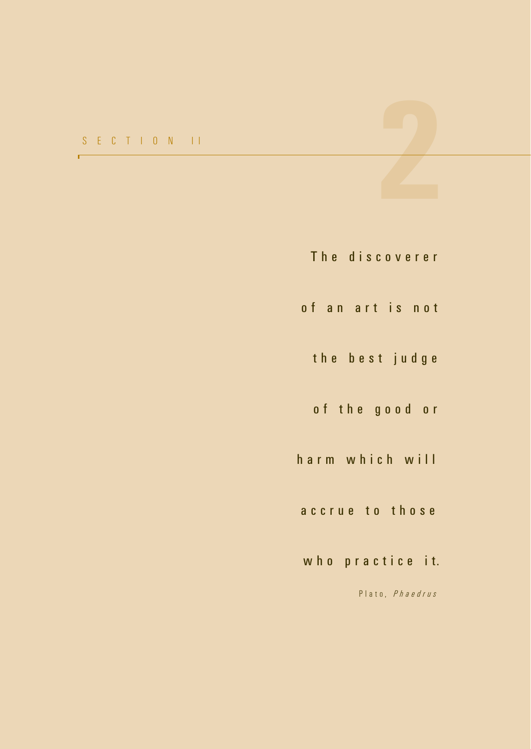The discoverer. of an art is not. the best judge of the good or harm which will accrue to those. who practice it.

Plato, Phaedrus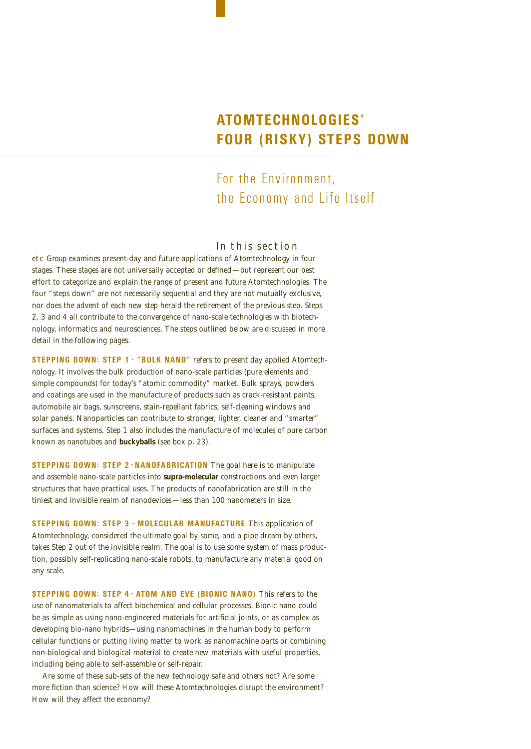## ATOMTECHNOLOGIES' FOUR (RISKY) STEPS DOWN

For the Environment, the Economy and Life Itself

#### In this section

etc Group examines present-day and future applications of Atomtechnology in four stages. These stages are not universally accepted or defined—but represent our best effort to categorize and explain the range of present and future Atomtechnologies. The four "steps down" are not necessarily sequential and they are not mutually exclusive, nor does the advent of each new step herald the retirement of the previous step. Steps 2, 3 and 4 all contribute to the convergence of nano-scale technologies with biotechnology, informatics and neurosciences. The steps outlined below are discussed in more detail in the following pages.

STEPPING DOWN: STEP 1 • "BULK NANO" refers to present day applied Atomtechnology. It involves the bulk production of nano-scale particles (pure elements and simple compounds) for today's "atomic commodity" market. Bulk sprays, powders and coatings are used in the manufacture of products such as crack-resistant paints, automobile air bags, sunscreens, stain-repellant fabrics, self-cleaning windows and solar panels. Nanoparticles can contribute to stronger, lighter, cleaner and "smarter" surfaces and systems. Step 1 also includes the manufacture of molecules of pure carbon known as nanotubes and **buckyballs** (see box p. 23).

STEPPING DOWN: STEP 2 · NANOFABRICATION The goal here is to manipulate and assemble nano-scale particles into **supra-molecular** constructions and even larger structures that have practical uses. The products of nanofabrication are still in the tiniest and invisible realm of nanodevices—less than 100 nanometers in size.

STEPPING DOWN: STEP 3 • MOLECULAR MANUFACTURE This application of Atomtechnology, considered the ultimate goal by some, and a pipe dream by others, takes Step 2 out of the invisible realm. The goal is to use some system of mass production, possibly self-replicating nano-scale robots, to manufacture any material good on any scale.

STEPPING DOWN: STEP 4 • ATOM AND EVE (BIONIC NANO) This refers to the use of nanomaterials to affect biochemical and cellular processes. Bionic nano could be as simple as using nano-engineered materials for artificial joints, or as complex as developing bio-nano hybrids—using nanomachines in the human body to perform cellular functions or putting living matter to work as nanomachine parts or combining non-biological and biological material to create new materials with useful properties, including being able to self-assemble or self-repair.

Are some of these sub-sets of the new technology safe and others not? Are some more fiction than science? How will these Atomtechnologies disrupt the environment? How will they affect the economy?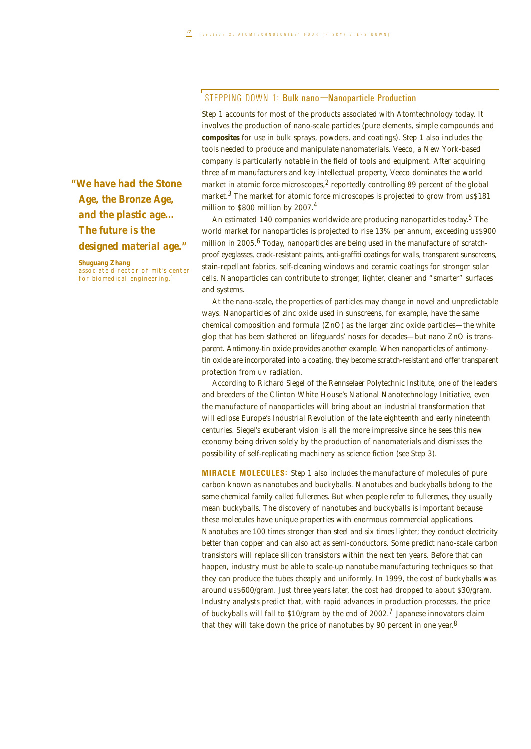#### STEPPING DOWN 1: Bulk nano–Nanoparticle Production

Step 1 accounts for most of the products associated with Atomtechnology today. It involves the production of nano-scale particles (pure elements, simple compounds and **composites** for use in bulk sprays, powders, and coatings). Step 1 also includes the tools needed to produce and manipulate nanomaterials. Veeco, a New York-based company is particularly notable in the field of tools and equipment. After acquiring three afm manufacturers and key intellectual property, Veeco dominates the world market in atomic force microscopes, $2$  reportedly controlling 89 percent of the global market.<sup>3</sup> The market for atomic force microscopes is projected to grow from us\$181 million to  $$800$  million by  $2007<sup>4</sup>$ 

An estimated 140 companies worldwide are producing nanoparticles today.<sup>5</sup> The world market for nanoparticles is projected to rise 13% per annum, exceeding us\$900 million in 2005. $6$  Today, nanoparticles are being used in the manufacture of scratchproof eyeglasses, crack-resistant paints, anti-graffiti coatings for walls, transparent sunscreens, stain-repellant fabrics, self-cleaning windows and ceramic coatings for stronger solar cells. Nanoparticles can contribute to stronger, lighter, cleaner and "smarter" surfaces and systems.

At the nano-scale, the properties of particles may change in novel and unpredictable ways. Nanoparticles of zinc oxide used in sunscreens, for example, have the same chemical composition and formula (ZnO) as the larger zinc oxide particles—the white glop that has been slathered on lifeguards' noses for decades—but nano ZnO is transparent. Antimony-tin oxide provides another example. When nanoparticles of antimonytin oxide are incorporated into a coating, they become scratch-resistant and offer transparent protection from uv radiation.

According to Richard Siegel of the Rennselaer Polytechnic Institute, one of the leaders and breeders of the Clinton White House's National Nanotechnology Initiative, even the manufacture of nanoparticles will bring about an industrial transformation that will eclipse Europe's Industrial Revolution of the late eighteenth and early nineteenth centuries. Siegel's exuberant vision is all the more impressive since he sees this new economy being driven solely by the production of nanomaterials and dismisses the possibility of self-replicating machinery as science fiction (see Step 3).

MIRACLE MOLECULES: Step 1 also includes the manufacture of molecules of pure carbon known as nanotubes and buckyballs. Nanotubes and buckyballs belong to the same chemical family called fullerenes. But when people refer to fullerenes, they usually mean buckyballs. The discovery of nanotubes and buckyballs is important because these molecules have unique properties with enormous commercial applications. Nanotubes are 100 times stronger than steel and six times lighter; they conduct electricity better than copper and can also act as semi-conductors. Some predict nano-scale carbon transistors will replace silicon transistors within the next ten years. Before that can happen, industry must be able to scale-up nanotube manufacturing techniques so that they can produce the tubes cheaply and uniformly. In 1999, the cost of buckyballs was around us\$600/gram. Just three years later, the cost had dropped to about \$30/gram. Industry analysts predict that, with rapid advances in production processes, the price of buckyballs will fall to \$10/gram by the end of 2002.7 Japanese innovators claim that they will take down the price of nanotubes by 90 percent in one year.<sup>8</sup>

*"We have had the Stone Age, the Bronze Age, and the plastic age... The future is the designed material age."*

**Shuguang Zhang** associate director of mit's center for biomedical engineering.1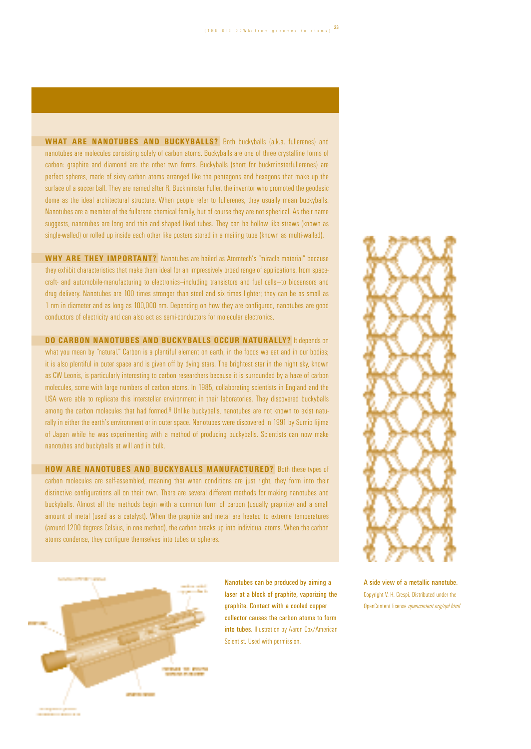WHAT ARE NANOTUBES AND BUCKYBALLS? Both buckyballs (a.k.a. fullerenes) and nanotubes are molecules consisting solely of carbon atoms. Buckyballs are one of three crystalline forms of carbon: graphite and diamond are the other two forms. Buckyballs (short for buckminsterfullerenes) are perfect spheres, made of sixty carbon atoms arranged like the pentagons and hexagons that make up the surface of a soccer ball. They are named after R. Buckminster Fuller, the inventor who promoted the geodesic dome as the ideal architectural structure. When people refer to fullerenes, they usually mean buckyballs. Nanotubes are a member of the fullerene chemical family, but of course they are not spherical. As their name suggests, nanotubes are long and thin and shaped liked tubes. They can be hollow like straws (known as single-walled) or rolled up inside each other like posters stored in a mailing tube (known as multi-walled).

WHY ARE THEY IMPORTANT? Nanotubes are hailed as Atomtech's "miracle material" because they exhibit characteristics that make them ideal for an impressively broad range of applications, from spacecraft- and automobile-manufacturing to electronics—including transistors and fuel cells—to biosensors and drug delivery. Nanotubes are 100 times stronger than steel and six times lighter; they can be as small as 1 nm in diameter and as long as 100,000 nm. Depending on how they are configured, nanotubes are good conductors of electricity and can also act as semi-conductors for molecular electronics.

DO CARBON NANOTUBES AND BUCKYBALLS OCCUR NATURALLY? It depends on what you mean by "natural." Carbon is a plentiful element on earth, in the foods we eat and in our bodies; it is also plentiful in outer space and is given off by dying stars. The brightest star in the night sky, known as CW Leonis, is particularly interesting to carbon researchers because it is surrounded by a haze of carbon molecules, some with large numbers of carbon atoms. In 1985, collaborating scientists in England and the USA were able to replicate this interstellar environment in their laboratories. They discovered buckyballs among the carbon molecules that had formed.<sup>9</sup> Unlike buckyballs, nanotubes are not known to exist naturally in either the earth's environment or in outer space. Nanotubes were discovered in 1991 by Sumio Iijima of Japan while he was experimenting with a method of producing buckyballs. Scientists can now make nanotubes and buckyballs at will and in bulk.

HOW ARE NANOTUBES AND BUCKYBALLS MANUFACTURED? Both these types of carbon molecules are self-assembled, meaning that when conditions are just right, they form into their distinctive configurations all on their own. There are several different methods for making nanotubes and buckyballs. Almost all the methods begin with a common form of carbon (usually graphite) and a small amount of metal (used as a catalyst). When the graphite and metal are heated to extreme temperatures (around 1200 degrees Celsius, in one method), the carbon breaks up into individual atoms. When the carbon atoms condense, they configure themselves into tubes or spheres.



Nanotubes can be produced by aiming a laser at a block of graphite, vaporizing the graphite. Contact with a cooled copper collector causes the carbon atoms to form into tubes. Illustration by Aaron Cox/American Scientist. Used with permission.



A side view of a metallic nanotube. Copyright V. H. Crespi. Distributed under the OpenContent license opencontent.org/opl.html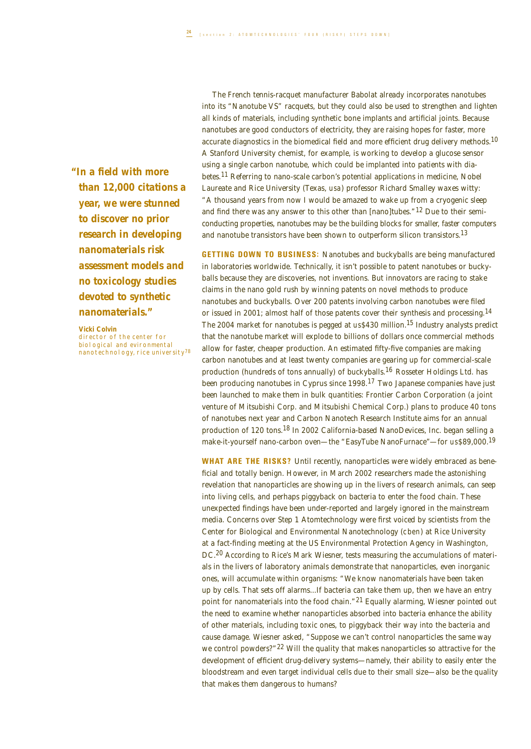*"In a field with more than 12,000 citations a year, we were stunned to discover no prior research in developing nanomaterials risk assessment models and no toxicology studies devoted to synthetic nanomaterials."*

#### **Vicki Colvin**

director of the center for biological and evironmental nanotechnology, rice university78

The French tennis-racquet manufacturer Babolat already incorporates nanotubes into its "Nanotube VS" racquets, but they could also be used to strengthen and lighten all kinds of materials, including synthetic bone implants and artificial joints. Because nanotubes are good conductors of electricity, they are raising hopes for faster, more accurate diagnostics in the biomedical field and more efficient drug delivery methods.<sup>10</sup> A Stanford University chemist, for example, is working to develop a glucose sensor using a single carbon nanotube, which could be implanted into patients with diabetes.11 Referring to nano-scale carbon's potential applications in medicine, Nobel Laureate and Rice University (Texas, usa) professor Richard Smalley waxes witty: "A thousand years from now I would be amazed to wake up from a cryogenic sleep and find there was any answer to this other than [nano]tubes."<sup>12</sup> Due to their semiconducting properties, nanotubes may be the building blocks for smaller, faster computers and nanotube transistors have been shown to outperform silicon transistors.<sup>13</sup>

GETTING DOWN TO BUSINESS: Nanotubes and buckyballs are being manufactured in laboratories worldwide. Technically, it isn't possible to patent nanotubes or buckyballs because they are discoveries, not inventions. But innovators are racing to stake claims in the nano gold rush by winning patents on novel methods to produce nanotubes and buckyballs. Over 200 patents involving carbon nanotubes were filed or issued in 2001; almost half of those patents cover their synthesis and processing.<sup>14</sup> The 2004 market for nanotubes is pegged at us\$430 million.<sup>15</sup> Industry analysts predict that the nanotube market will explode to billions of dollars once commercial methods allow for faster, cheaper production. An estimated fifty-five companies are making carbon nanotubes and at least twenty companies are gearing up for commercial-scale production (hundreds of tons annually) of buckyballs.16 Rosseter Holdings Ltd. has been producing nanotubes in Cyprus since 1998.17 Two Japanese companies have just been launched to make them in bulk quantities: Frontier Carbon Corporation (a joint venture of Mitsubishi Corp. and Mitsubishi Chemical Corp.) plans to produce 40 tons of nanotubes next year and Carbon Nanotech Research Institute aims for an annual production of 120 tons.18 In 2002 California-based NanoDevices, Inc. began selling a make-it-yourself nano-carbon oven—the "EasyTube NanoFurnace"—for us\$89,000.<sup>19</sup>

WHAT ARE THE RISKS? Until recently, nanoparticles were widely embraced as beneficial and totally benign. However, in March 2002 researchers made the astonishing revelation that nanoparticles are showing up in the livers of research animals, can seep into living cells, and perhaps piggyback on bacteria to enter the food chain. These unexpected findings have been under-reported and largely ignored in the mainstream media. Concerns over Step 1 Atomtechnology were first voiced by scientists from the Center for Biological and Environmental Nanotechnology (cben) at Rice University at a fact-finding meeting at the US Environmental Protection Agency in Washington, DC.20 According to Rice's Mark Wiesner, tests measuring the accumulations of materials in the livers of laboratory animals demonstrate that nanoparticles, even inorganic ones, will accumulate within organisms: "We know nanomaterials have been taken up by cells. That sets off alarms...If bacteria can take them up, then we have an entry point for nanomaterials into the food chain."<sup>21</sup> Equally alarming, Wiesner pointed out the need to examine whether nanoparticles absorbed into bacteria enhance the ability of other materials, including toxic ones, to piggyback their way into the bacteria and cause damage. Wiesner asked, "Suppose we can't control nanoparticles the same way we control powders?"22 Will the quality that makes nanoparticles so attractive for the development of efficient drug-delivery systems—namely, their ability to easily enter the bloodstream and even target individual cells due to their small size—also be the quality that makes them dangerous to humans?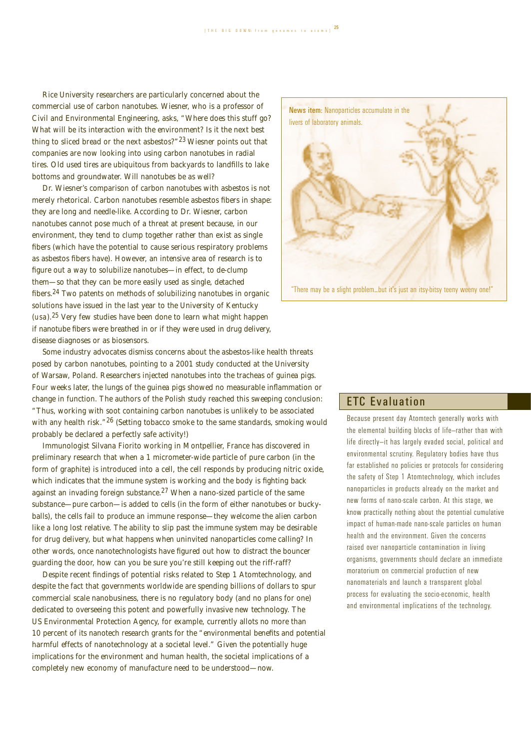Rice University researchers are particularly concerned about the commercial use of carbon nanotubes. Wiesner, who is a professor of Civil and Environmental Engineering, asks, "Where does this stuff go? What will be its interaction with the environment? Is it the next best thing to sliced bread or the next asbestos?"<sup>23</sup> Wiesner points out that companies are now looking into using carbon nanotubes in radial tires. Old used tires are ubiquitous from backyards to landfills to lake bottoms and groundwater. Will nanotubes be as well?

Dr. Wiesner's comparison of carbon nanotubes with asbestos is not merely rhetorical. Carbon nanotubes resemble asbestos fibers in shape: they are long and needle-like. According to Dr. Wiesner, carbon nanotubes cannot pose much of a threat at present because, in our environment, they tend to clump together rather than exist as single fibers (which have the potential to cause serious respiratory problems as asbestos fibers have). However, an intensive area of research is to figure out a way to solubilize nanotubes—in effect, to de-clump them—so that they can be more easily used as single, detached fibers.24 Two patents on methods of solubilizing nanotubes in organic solutions have issued in the last year to the University of Kentucky (usa).25 Very few studies have been done to learn what might happen if nanotube fibers were breathed in or if they were used in drug delivery, disease diagnoses or as biosensors.

Some industry advocates dismiss concerns about the asbestos-like health threats posed by carbon nanotubes, pointing to a 2001 study conducted at the University of Warsaw, Poland. Researchers injected nanotubes into the tracheas of guinea pigs. Four weeks later, the lungs of the guinea pigs showed no measurable inflammation or change in function. The authors of the Polish study reached this sweeping conclusion: "Thus, working with soot containing carbon nanotubes is unlikely to be associated with any health risk."<sup>26</sup> (Setting tobacco smoke to the same standards, smoking would probably be declared a perfectly safe activity!)

Immunologist Silvana Fiorito working in Montpellier, France has discovered in preliminary research that when a 1 micrometer-wide particle of pure carbon (in the form of graphite) is introduced into a cell, the cell responds by producing nitric oxide, which indicates that the immune system is working and the body is fighting back against an invading foreign substance.<sup>27</sup> When a nano-sized particle of the same substance—pure carbon—is added to cells (in the form of either nanotubes or buckyballs), the cells fail to produce an immune response—they welcome the alien carbon like a long lost relative. The ability to slip past the immune system may be desirable for drug delivery, but what happens when uninvited nanoparticles come calling? In other words, once nanotechnologists have figured out how to distract the bouncer guarding the door, how can you be sure you're still keeping out the riff-raff?

Despite recent findings of potential risks related to Step 1 Atomtechnology, and despite the fact that governments worldwide are spending billions of dollars to spur commercial scale nanobusiness, there is no regulatory body (and no plans for one) dedicated to overseeing this potent and powerfully invasive new technology. The US Environmental Protection Agency, for example, currently allots no more than 10 percent of its nanotech research grants for the "environmental benefits and potential harmful effects of nanotechnology at a societal level." Given the potentially huge implications for the environment and human health, the societal implications of a completely new economy of manufacture need to be understood—now.



#### ETC Evaluation

Because present day Atomtech generally works with the elemental building blocks of life—rather than with life directly—it has largely evaded social, political and environmental scrutiny. Regulatory bodies have thus far established no policies or protocols for considering the safety of Step 1 Atomtechnology, which includes nanoparticles in products already on the market and new forms of nano-scale carbon. At this stage, we know practically nothing about the potential cumulative impact of human-made nano-scale particles on human health and the environment. Given the concerns raised over nanoparticle contamination in living organisms, governments should declare an immediate moratorium on commercial production of new nanomaterials and launch a transparent global process for evaluating the socio-economic, health and environmental implications of the technology.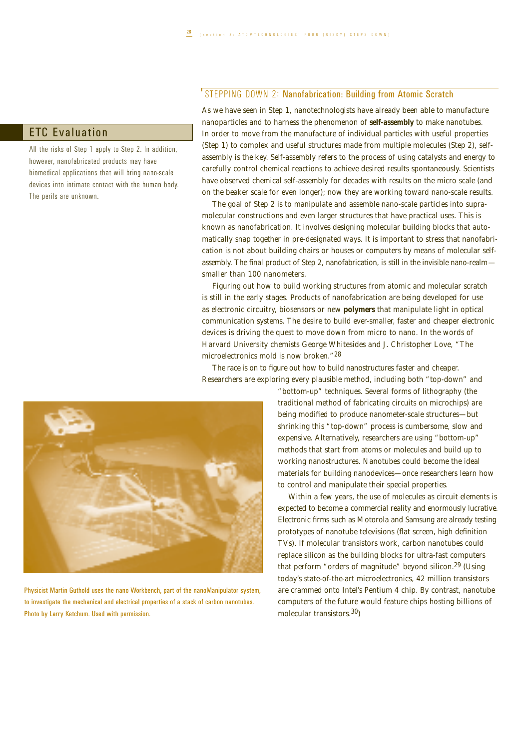## ETC Evaluation

All the risks of Step 1 apply to Step 2. In addition, however, nanofabricated products may have biomedical applications that will bring nano-scale devices into intimate contact with the human body. The perils are unknown.

#### STEPPING DOWN 2: Nanofabrication: Building from Atomic Scratch

As we have seen in Step 1, nanotechnologists have already been able to manufacture nanoparticles and to harness the phenomenon of **self-assembly** to make nanotubes. In order to move from the manufacture of individual particles with useful properties (Step 1) to complex and useful structures made from multiple molecules (Step 2), selfassembly is the key. Self-assembly refers to the process of using catalysts and energy to carefully control chemical reactions to achieve desired results spontaneously. Scientists have observed chemical self-assembly for decades with results on the micro scale (and on the beaker scale for even longer); now they are working toward nano-scale results.

The goal of Step 2 is to manipulate and assemble nano-scale particles into supramolecular constructions and even larger structures that have practical uses. This is known as nanofabrication. It involves designing molecular building blocks that automatically snap together in pre-designated ways. It is important to stress that nanofabrication is *not* about building chairs or houses or computers by means of molecular selfassembly. The final product of Step 2, nanofabrication, is still in the invisible nano-realm *smaller than 100 nanometers*.

Figuring out how to build working structures from atomic and molecular scratch is still in the early stages. Products of nanofabrication are being developed for use as electronic circuitry, biosensors or new **polymers** that manipulate light in optical communication systems. The desire to build ever-smaller, faster and cheaper electronic devices is driving the quest to move down from micro to nano. In the words of Harvard University chemists George Whitesides and J. Christopher Love, "The microelectronics mold is now broken."28

The race is on to figure out how to build nanostructures faster and cheaper. Researchers are exploring every plausible method, including both "top-down" and



Physicist Martin Guthold uses the nano Workbench, part of the nanoManipulator system, to investigate the mechanical and electrical properties of a stack of carbon nanotubes. Photo by Larry Ketchum. Used with permission.

"bottom-up" techniques. Several forms of lithography (the traditional method of fabricating circuits on microchips) are being modified to produce nanometer-scale structures—but shrinking this "top-down" process is cumbersome, slow and expensive. Alternatively, researchers are using "bottom-up" methods that start from atoms or molecules and build up to working nanostructures. Nanotubes could become the ideal materials for building nanodevices—once researchers learn how to control and manipulate their special properties.

Within a few years, the use of molecules as circuit elements is expected to become a commercial reality and enormously lucrative. Electronic firms such as Motorola and Samsung are already testing prototypes of nanotube televisions (flat screen, high definition TVs). If molecular transistors work, carbon nanotubes could replace silicon as the building blocks for ultra-fast computers that perform "orders of magnitude" beyond silicon.29 (Using today's state-of-the-art microelectronics, 42 million transistors are crammed onto Intel's Pentium 4 chip. By contrast, nanotube computers of the future would feature chips hosting *billions* of molecular transistors.30)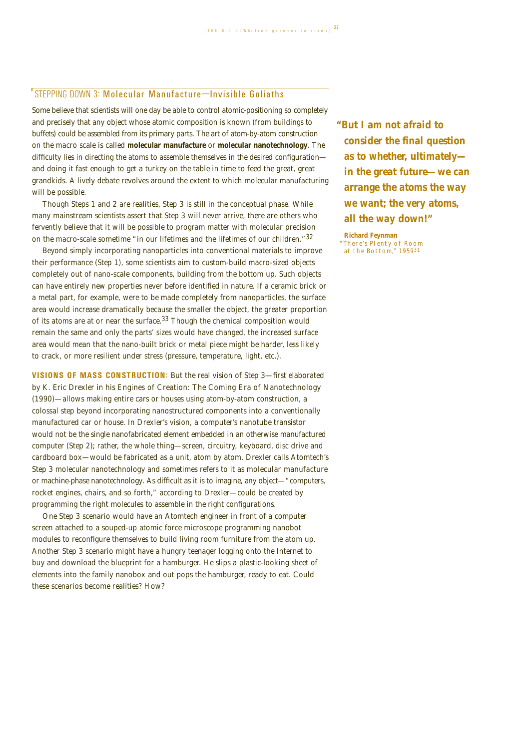#### STEPPING DOWN 3: Molecular Manufacture–Invisible Goliaths

Some believe that scientists will one day be able to control atomic-positioning so completely and precisely that any object whose atomic composition is known (from buildings to buffets) could be assembled from its primary parts. The art of atom-by-atom construction on the macro scale is called **molecular manufacture** or **molecular nanotechnology**. The difficulty lies in directing the atoms to assemble themselves in the desired configuration and doing it fast enough to get a turkey on the table in time to feed the great, great grandkids. A lively debate revolves around the extent to which molecular manufacturing will be possible.

Though Steps 1 and 2 are realities, Step 3 is still in the conceptual phase. While many mainstream scientists assert that Step 3 will never arrive, there are others who fervently believe that it will be possible to program matter with molecular precision on the macro-scale sometime "in our lifetimes and the lifetimes of our children."32

Beyond simply incorporating nanoparticles into conventional materials to improve their performance (Step 1), some scientists aim to custom-build macro-sized objects completely out of nano-scale components, building from the bottom up. Such objects can have entirely new properties never before identified in nature. If a ceramic brick or a metal part, for example, were to be made completely from nanoparticles, the surface area would increase dramatically because the smaller the object, the greater proportion of its atoms are at or near the surface.<sup>33</sup> Though the chemical composition would remain the same and only the parts' sizes would have changed, the increased surface area would mean that the nano-built brick or metal piece might be harder, less likely to crack, or more resilient under stress (pressure, temperature, light, etc.).

VISIONS OF MASS CONSTRUCTION: But the real vision of Step 3—first elaborated by K. Eric Drexler in his *Engines of Creation: The Coming Era of Nanotechnology* (1990)—allows making entire cars or houses using atom-by-atom construction, a colossal step beyond incorporating nanostructured components into a conventionally manufactured car or house. In Drexler's vision, a computer's nanotube transistor would not be the single nanofabricated element embedded in an otherwise manufactured computer (Step 2); rather, the whole thing—screen, circuitry, keyboard, disc drive and cardboard box—would be fabricated as a unit, atom by atom. Drexler calls Atomtech's Step 3 molecular nanotechnology and sometimes refers to it as *molecular manufacture* or *machine-phase nanotechnology*. As difficult as it is to imagine, any object—"computers, rocket engines, chairs, and so forth," according to Drexler—could be created by programming the right molecules to assemble in the right configurations.

One Step 3 scenario would have an Atomtech engineer in front of a computer screen attached to a souped-up atomic force microscope programming nanobot modules to reconfigure themselves to build living room furniture from the atom up. Another Step 3 scenario might have a hungry teenager logging onto the Internet to buy and download the blueprint for a hamburger. He slips a plastic-looking sheet of elements into the family nanobox and out pops the hamburger, ready to eat. Could these scenarios become realities? How?

*"But I am not afraid to consider the final question as to whether, ultimately in the great future—we can arrange the atoms the way we want; the very atoms, all the way down!"*

**Richard Feynman** "There's Plenty of Room at the Bottom," 195931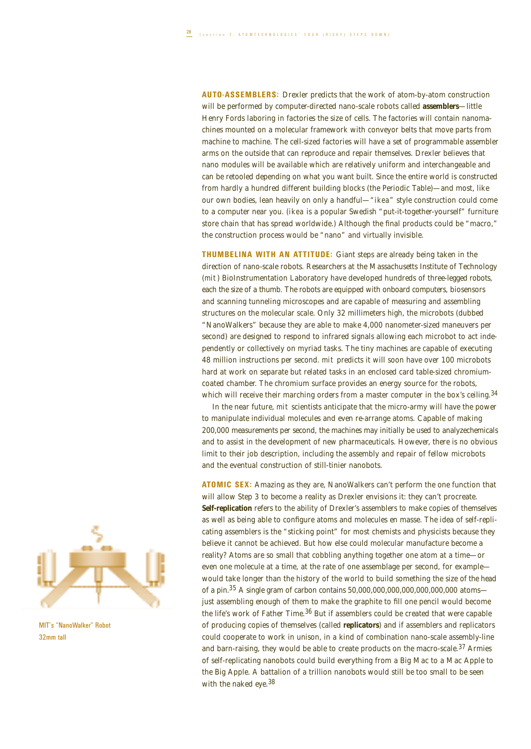AUTO-ASSEMBLERS: Drexler predicts that the work of atom-by-atom construction will be performed by computer-directed nano-scale robots called **assemblers**—little Henry Fords laboring in factories the size of cells. The factories will contain nanomachines mounted on a molecular framework with conveyor belts that move parts from machine to machine. The cell-sized factories will have a set of programmable assembler arms on the outside that can reproduce and repair themselves. Drexler believes that nano modules will be available which are relatively uniform and interchangeable and can be retooled depending on what you want built. Since the entire world is constructed from hardly a hundred different building blocks (the Periodic Table)—and most, like our own bodies, lean heavily on only a handful—"ikea" style construction could come to a computer near you. (ikea is a popular Swedish "put-it-together-yourself" furniture store chain that has spread worldwide.) Although the final products could be "macro," the construction process would be "nano" and virtually invisible.

THUMBELINA WITH AN ATTITUDE: Giant steps are already being taken in the direction of nano-scale robots. Researchers at the Massachusetts Institute of Technology (mit) BioInstrumentation Laboratory have developed hundreds of three-legged robots, each the size of a thumb. The robots are equipped with onboard computers, biosensors and scanning tunneling microscopes and are capable of measuring and assembling structures on the molecular scale. Only 32 millimeters high, the microbots (dubbed "NanoWalkers" because they are able to make 4,000 nanometer-sized maneuvers per second) are designed to respond to infrared signals allowing each microbot to act independently or collectively on myriad tasks. The tiny machines are capable of executing 48 million instructions per second. mit predicts it will soon have over 100 microbots hard at work on separate but related tasks in an enclosed card table-sized chromiumcoated chamber. The chromium surface provides an energy source for the robots, which will receive their marching orders from a master computer in the box's ceiling.  $34$ 

In the near future, mit scientists anticipate that the micro-army will have the power to manipulate individual molecules and even re-arrange atoms. Capable of making 200,000 measurements per second, the machines may initially be used to analyzechemicals and to assist in the development of new pharmaceuticals. However, there is no obvious limit to their job description, including the assembly and repair of fellow microbots and the eventual construction of still-tinier nanobots.

ATOMIC SEX: Amazing as they are, NanoWalkers can't perform the one function that will allow Step 3 to become a reality as Drexler envisions it: they can't procreate. Self-replication refers to the ability of Drexler's assemblers to make copies of themselves as well as being able to configure atoms and molecules en masse. The idea of self-replicating assemblers is the "sticking point" for most chemists and physicists because they believe it cannot be achieved. But how else could molecular manufacture become a reality? Atoms are so small that cobbling anything together one atom at a time—or even one molecule at a time, at the rate of one assemblage per second, for example would take longer than the history of the world to build something the size of the head of a pin.35 A single gram of carbon contains 50,000,000,000,000,000,000,000 atoms just assembling enough of them to make the graphite to fill one pencil would become the life's work of Father Time.<sup>36</sup> But if assemblers could be created that were capable of producing copies of themselves (called **replicators**) and if assemblers and replicators could cooperate to work in unison, in a kind of combination nano-scale assembly-line and barn-raising, they would be able to create products on the macro-scale.37 Armies of self-replicating nanobots could build everything from a Big Mac to a Mac Apple to the Big Apple. A battalion of a trillion nanobots would still be too small to be seen with the naked eye.<sup>38</sup>



MIT's "NanoWalker" Robot 32mm tall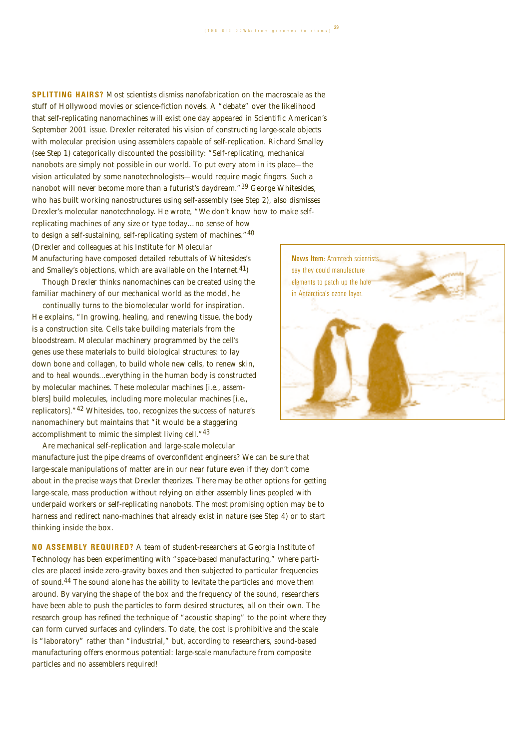SPLITTING HAIRS? Most scientists dismiss nanofabrication on the macroscale as the stuff of Hollywood movies or science-fiction novels. A "debate" over the likelihood that self-replicating nanomachines will exist one day appeared in *Scientific American*'s September 2001 issue. Drexler reiterated his vision of constructing large-scale objects with molecular precision using assemblers capable of self-replication. Richard Smalley (see Step 1) categorically discounted the possibility: "Self-replicating, mechanical nanobots are simply not possible in our world. To put every atom in its place—the vision articulated by some nanotechnologists—would require magic fingers. Such a nanobot will never become more than a futurist's daydream." <sup>39</sup> George Whitesides, who has built working nanostructures using self-assembly (see Step 2), also dismisses Drexler's molecular nanotechnology. He wrote, "We don't know how to make self-

replicating machines of any size or type today…no sense of how to design a self-sustaining, self-replicating system of machines." 40 (Drexler and colleagues at his Institute for Molecular Manufacturing have composed detailed rebuttals of Whitesides's and Smalley's objections, which are available on the Internet. $41$ )

Though Drexler thinks nanomachines can be created using the familiar machinery of our mechanical world as the model, he

continually turns to the biomolecular world for inspiration. He explains, "In growing, healing, and renewing tissue, the body is a construction site. Cells take building materials from the bloodstream. Molecular machinery programmed by the cell's genes use these materials to build biological structures: to lay down bone and collagen, to build whole new cells, to renew skin, and to heal wounds...everything in the human body is constructed by molecular machines. These molecular machines [i.e., assemblers] build molecules, including more molecular machines [i.e., replicators]."42 Whitesides, too, recognizes the success of nature's nanomachinery but maintains that "it would be a staggering accomplishment to mimic the simplest living cell."43

Are mechanical self-replication and large-scale molecular manufacture just the pipe dreams of overconfident engineers? We can be sure that large-scale manipulations of matter are in our near future even if they don't come about in the precise ways that Drexler theorizes. There may be other options for getting large-scale, mass production without relying on either assembly lines peopled with underpaid workers or self-replicating nanobots. The most promising option may be to harness and redirect nano-machines that already exist in nature (see Step 4) or to start thinking *inside* the box.

NO ASSEMBLY REQUIRED? A team of student-researchers at Georgia Institute of Technology has been experimenting with "space-based manufacturing," where particles are placed inside zero-gravity boxes and then subjected to particular frequencies of sound.44 The sound alone has the ability to levitate the particles and move them around. By varying the shape of the box and the frequency of the sound, researchers have been able to push the particles to form desired structures, all on their own. The research group has refined the technique of "acoustic shaping" to the point where they can form curved surfaces and cylinders. To date, the cost is prohibitive and the scale is "laboratory" rather than "industrial," but, according to researchers, sound-based manufacturing offers enormous potential: large-scale manufacture from composite particles and no assemblers required!

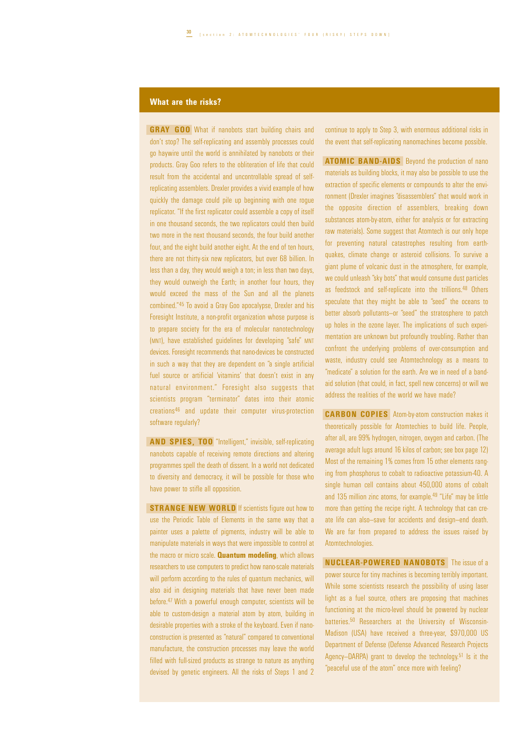#### What are the risks?

**GRAY GOO** What if nanobots start building chairs and don't stop? The self-replicating and assembly processes could go haywire until the world is annihilated by nanobots or their products. Gray Goo refers to the obliteration of life that could result from the accidental and uncontrollable spread of selfreplicating assemblers. Drexler provides a vivid example of how quickly the damage could pile up beginning with one rogue replicator. "If the first replicator could assemble a copy of itself in one thousand seconds, the two replicators could then build two more in the next thousand seconds, the four build another four, and the eight build another eight. At the end of ten hours, there are not thirty-six new replicators, but over 68 billion. In less than a day, they would weigh a ton; in less than two days, they would outweigh the Earth; in another four hours, they would exceed the mass of the Sun and all the planets combined."45 To avoid a Gray Goo apocalypse, Drexler and his Foresight Institute, a non-profit organization whose purpose is to prepare society for the era of molecular nanotechnology (MNT), have established guidelines for developing "safe" MNT devices. Foresight recommends that nano-devices be constructed in such a way that they are dependent on "a single artificial fuel source or artificial 'vitamins' that doesn't exist in any natural environment." Foresight also suggests that scientists program "terminator" dates into their atomic creations46 and update their computer virus-protection software regularly?

AND SPIES, TOO "Intelligent," invisible, self-replicating nanobots capable of receiving remote directions and altering programmes spell the death of dissent. In a world not dedicated to diversity and democracy, it will be possible for those who have power to stifle all opposition.

**STRANGE NEW WORLD** If scientists figure out how to use the Periodic Table of Elements in the same way that a painter uses a palette of pigments, industry will be able to manipulate materials in ways that were impossible to control at the macro or micro scale. **Quantum modeling**, which allows researchers to use computers to predict how nano-scale materials will perform according to the rules of quantum mechanics, will also aid in designing materials that have never been made before.47 With a powerful enough computer, scientists will be able to custom-design a material atom by atom, building in desirable properties with a stroke of the keyboard. Even if nanoconstruction is presented as "natural" compared to conventional manufacture, the construction processes may leave the world filled with full-sized products as strange to nature as anything devised by genetic engineers. All the risks of Steps 1 and 2

continue to apply to Step 3, with enormous additional risks in the event that self-replicating nanomachines become possible.

ATOMIC BAND-AIDS Beyond the production of nano materials as building blocks, it may also be possible to use the extraction of specific elements or compounds to alter the environment (Drexler imagines "disassemblers" that would work in the opposite direction of assemblers, breaking down substances atom-by-atom, either for analysis or for extracting raw materials). Some suggest that Atomtech is our only hope for preventing natural catastrophes resulting from earthquakes, climate change or asteroid collisions. To survive a giant plume of volcanic dust in the atmosphere, for example, we could unleash "sky bots" that would consume dust particles as feedstock and self-replicate into the trillions.48 Others speculate that they might be able to "seed" the oceans to better absorb pollutants—or "seed" the stratosphere to patch up holes in the ozone layer. The implications of such experimentation are unknown but profoundly troubling. Rather than confront the underlying problems of over-consumption and waste, industry could see Atomtechnology as a means to "medicate" a solution for the earth. Are we in need of a bandaid solution (that could, in fact, spell new concerns) or will we address the realities of the world we have made?

CARBON COPIES Atom-by-atom construction makes it theoretically possible for Atomtechies to build life. People, after all, are 99% hydrogen, nitrogen, oxygen and carbon. (The average adult lugs around 16 kilos of carbon; see box page 12) Most of the remaining 1% comes from 15 other elements ranging from phosphorus to cobalt to radioactive potassium-40. A single human cell contains about 450,000 atoms of cobalt and 135 million zinc atoms, for example.49 "Life" may be little more than getting the recipe right. A technology that can create life can also—save for accidents and design—end death. We are far from prepared to address the issues raised by Atomtechnologies.

NUCLEAR-POWERED NANOBOTS The issue of a power source for tiny machines is becoming terribly important. While some scientists research the possibility of using laser light as a fuel source, others are proposing that machines functioning at the micro-level should be powered by nuclear batteries.50 Researchers at the University of Wisconsin-Madison (USA) have received a three-year, \$970,000 US Department of Defense (Defense Advanced Research Projects Agency—DARPA) grant to develop the technology.51 Is it the "peaceful use of the atom" once more with feeling?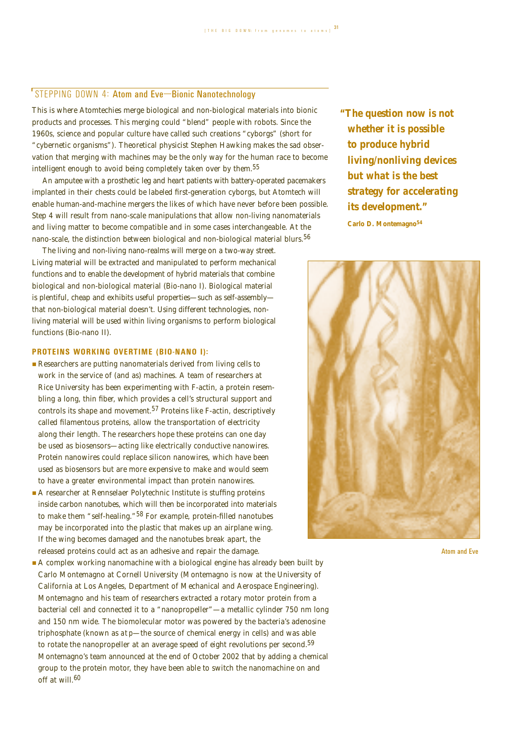#### STEPPING DOWN 4: Atom and Eve–Bionic Nanotechnology

This is where Atomtechies merge biological and non-biological materials into bionic products and processes. This merging could "blend" people with robots. Since the 1960s, science and popular culture have called such creations "cyborgs" (short for "cybernetic organisms"). Theoretical physicist Stephen Hawking makes the sad observation that merging with machines may be the only way for the human race to become intelligent enough to avoid being completely taken over by them.55

An amputee with a prosthetic leg and heart patients with battery-operated pacemakers implanted in their chests could be labeled first-generation cyborgs, but Atomtech will enable human-and-machine mergers the likes of which have never before been possible. Step 4 will result from nano-scale manipulations that allow non-living nanomaterials and living matter to become compatible and in some cases interchangeable. At the nano-scale, the distinction between biological and non-biological material blurs.<sup>56</sup>

The living and non-living nano-realms will merge on a two-way street. Living material will be extracted and manipulated to perform mechanical functions and to enable the development of hybrid materials that combine biological and non-biological material (Bio-nano I). Biological material is plentiful, cheap and exhibits useful properties—such as self-assembly that non-biological material doesn't. Using different technologies, nonliving material will be used within living organisms to perform biological functions (Bio-nano II).

#### PROTEINS WORKING OVERTIME (BIO-NANO I):

- **Executed Researchers are putting nanomaterials derived from living cells to** work in the service of (and as) machines. A team of researchers at Rice University has been experimenting with F-actin, a protein resembling a long, thin fiber, which provides a cell's structural support and controls its shape and movement.57 Proteins like F-actin, descriptively called filamentous proteins, allow the transportation of electricity along their length. The researchers hope these proteins can one day be used as biosensors—acting like electrically conductive nanowires. Protein nanowires could replace silicon nanowires, which have been used as biosensors but are more expensive to make and would seem to have a greater environmental impact than protein nanowires.
- A researcher at Rennselaer Polytechnic Institute is stuffing proteins inside carbon nanotubes, which will then be incorporated into materials to make them "self-healing."58 For example, protein-filled nanotubes may be incorporated into the plastic that makes up an airplane wing. If the wing becomes damaged and the nanotubes break apart, the released proteins could act as an adhesive and repair the damage.
- A complex working nanomachine with a biological engine has already been built by Carlo Montemagno at Cornell University (Montemagno is now at the University of California at Los Angeles, Department of Mechanical and Aerospace Engineering). Montemagno and his team of researchers extracted a rotary motor protein from a bacterial cell and connected it to a "nanopropeller"—a metallic cylinder 750 nm long and 150 nm wide. The biomolecular motor was powered by the bacteria's adenosine triphosphate (known as atp—the source of chemical energy in cells) and was able to rotate the nanopropeller at an average speed of eight revolutions per second.<sup>59</sup> Montemagno's team announced at the end of October 2002 that by adding a chemical group to the protein motor, they have been able to switch the nanomachine on and off at will.<sup>60</sup>

*"The question now is not whether it is possible to produce hybrid living/nonliving devices but what is the best strategy for accelerating its development."* **Carlo D. Montemagno54**



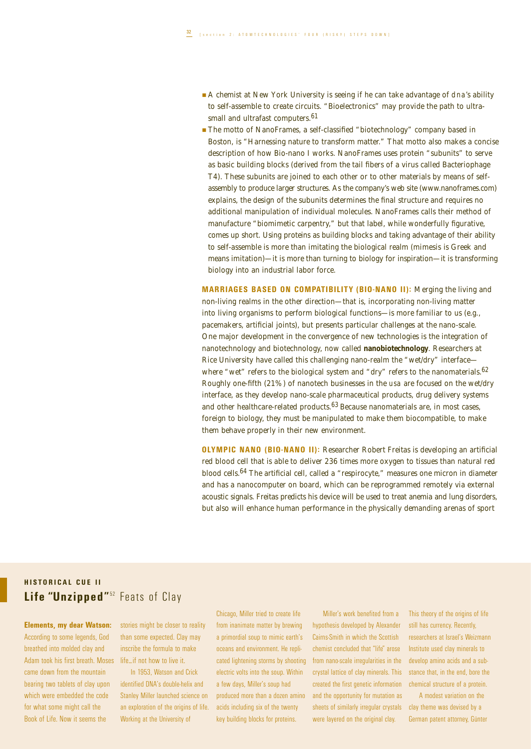- A chemist at New York University is seeing if he can take advantage of dna's ability to self-assemble to create circuits. "Bioelectronics" may provide the path to ultrasmall and ultrafast computers.<sup>61</sup>
- The motto of NanoFrames, a self-classified "biotechnology" company based in Boston, is "Harnessing nature to transform matter." That motto also makes a concise description of how Bio-nano I works. NanoFrames uses protein "subunits" to serve as basic building blocks (derived from the tail fibers of a virus called Bacteriophage T4). These subunits are joined to each other or to other materials by means of selfassembly to produce larger structures. As the company's web site (www.nanoframes.com) explains, the design of the subunits determines the final structure and requires no additional manipulation of individual molecules. NanoFrames calls their method of manufacture "biomimetic carpentry," but that label, while wonderfully figurative, comes up short. Using proteins as building blocks and taking advantage of their ability to self-assemble is more than imitating the biological realm (*mimesis* is Greek and means *imitation*)—it is more than turning to biology for inspiration—it is transforming biology into an industrial labor force.

MARRIAGES BASED ON COMPATIBILITY (BIO-NANO II): Merging the living and non-living realms in the other direction—that is, incorporating non-living matter into living organisms to perform biological functions—is more familiar to us (e.g., pacemakers, artificial joints), but presents particular challenges at the nano-scale. One major development in the convergence of new technologies is the integration of nanotechnology and biotechnology, now called **nanobiotechnology**. Researchers at Rice University have called this challenging nano-realm the "wet/dry" interface where "wet" refers to the biological system and "dry" refers to the nanomaterials.<sup>62</sup> Roughly one-fifth (21%) of nanotech businesses in the usa are focused on the wet/dry interface, as they develop nano-scale pharmaceutical products, drug delivery systems and other healthcare-related products.<sup>63</sup> Because nanomaterials are, in most cases, foreign to biology, they must be manipulated to make them biocompatible, to make them behave properly in their new environment.

OLYMPIC NANO (BIO-NANO II): Researcher Robert Freitas is developing an artificial red blood cell that is able to deliver 236 times more oxygen to tissues than natural red blood cells.64 The artificial cell, called a "respirocyte," measures one micron in diameter and has a nanocomputer on board, which can be reprogrammed remotely via external acoustic signals. Freitas predicts his device will be used to treat anemia and lung disorders, but also will enhance human performance in the physically demanding arenas of sport

## HISTORICAL CUE II Life "Unzipped"<sup>52</sup> Feats of Clay

Elements, my dear Watson: According to some legends, God breathed into molded clay and Adam took his first breath. Moses came down from the mountain bearing two tablets of clay upon which were embedded the code for what some might call the Book of Life. Now it seems the

stories might be closer to reality than some expected. Clay may inscribe the formula to make life…if not how to live it.

In 1953, Watson and Crick identified DNA's double-helix and Stanley Miller launched science on an exploration of the origins of life. Working at the University of

Chicago, Miller tried to create life from inanimate matter by brewing a primordial soup to mimic earth's oceans and environment. He replicated lightening storms by shooting electric volts into the soup. Within a few days, Miller's soup had produced more than a dozen amino acids including six of the twenty key building blocks for proteins.

Miller's work benefited from a hypothesis developed by Alexander Cairns-Smith in which the Scottish chemist concluded that "life" arose from nano-scale irregularities in the crystal lattice of clay minerals. This created the first genetic information and the opportunity for mutation as sheets of similarly irregular crystals were layered on the original clay.

This theory of the origins of life still has currency. Recently, researchers at Israel's Weizmann Institute used clay minerals to develop amino acids and a substance that, in the end, bore the chemical structure of a protein.

A modest variation on the clay theme was devised by a German patent attorney, Günter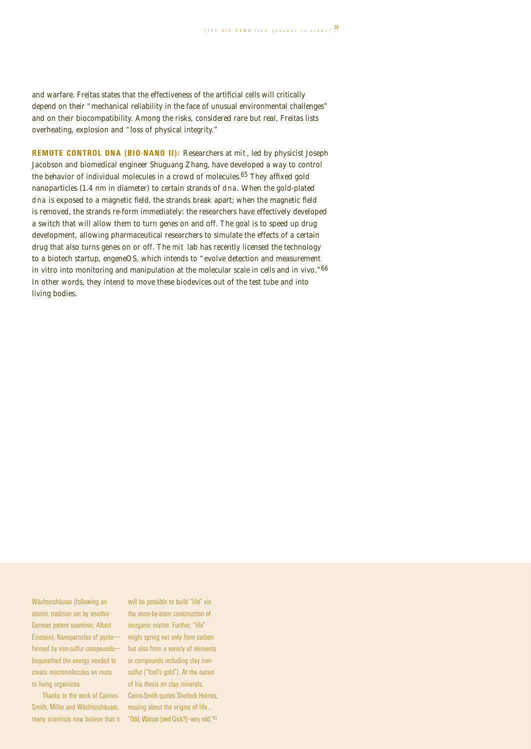and warfare. Freitas states that the effectiveness of the artificial cells will critically depend on their "mechanical reliability in the face of unusual environmental challenges" and on their biocompatibility. Among the risks, considered rare but real, Freitas lists overheating, explosion and "loss of physical integrity."

REMOTE CONTROL DNA (BIO-NANO II): Researchers at mit, led by physicist Joseph Jacobson and biomedical engineer Shuguang Zhang, have developed a way to control the behavior of individual molecules in a crowd of molecules.<sup>65</sup> They affixed gold nanoparticles (1.4 nm in diameter) to certain strands of dna. When the gold-plated dna is exposed to a magnetic field, the strands break apart; when the magnetic field is removed, the strands re-form immediately: the researchers have effectively developed a switch that will allow them to turn genes on and off. The goal is to speed up drug development, allowing pharmaceutical researchers to simulate the effects of a certain drug that also turns genes on or off. The mit lab has recently licensed the technology to a biotech startup, engeneOS, which intends to "evolve detection and measurement *in vitro* into monitoring and manipulation at the molecular scale in cells and *in vivo*."66 In other words, they intend to move these biodevices out of the test tube and into living bodies.

Wächtershäuser (following an atomic tradition set by another German patent examiner, Albert Einstein). Nanoparticles of pyriteformed by iron-sulfur compounds– bequeathed the energy needed to create macromolecules en route to living organisms.

Thanks to the work of Cairnes-Smith, Miller and Wächtershäuser, many scientists now believe that it will be possible to build "life" via the atom-by-atom construction of inorganic matter. Further, "life" might spring not only from carbon but also from a variety of elements or compounds including clay ironsulfur ("fool's gold"). At the outset of his thesis on clay minerals, Cairns-Smith quotes Sherlock Holmes, musing about the origins of life... "Odd, Watson [and Crick?]–very odd."53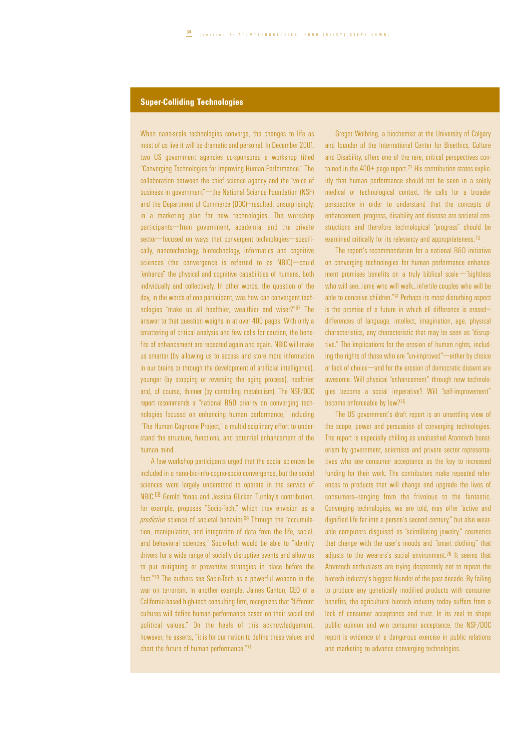#### Super-Colliding Technologies

When nano-scale technologies converge, the changes to life as most of us live it will be dramatic and personal. In December 2001, two US government agencies co-sponsored a workshop titled "Converging Technologies for Improving Human Performance." The collaboration between the chief science agency and the "voice of business in government"–the National Science Foundation (NSF) and the Department of Commerce (DOC)–resulted, unsurprisingly, in a marketing plan for new technologies. The workshop participants–from government, academia, and the private sector–focused on ways that convergent technologies–specifically, nanotechnology, biotechnology, informatics and cognitive sciences (the convergence is referred to as NBIC)–could "enhance" the physical and cognitive capabilities of humans, both individually and collectively. In other words, the question of the day, in the words of one participant, was how can convergent technologies "make us all healthier, wealthier and wiser?"67 The answer to that question weighs in at over 400 pages. With only a smattering of critical analysis and few calls for caution, the benefits of enhancement are repeated again and again. NBIC will make us smarter (by allowing us to access and store more information in our brains or through the development of artificial intelligence), younger (by stopping or reversing the aging process), healthier and, of course, thinner (by controlling metabolism). The NSF/DOC report recommends a "national R&D priority on converging technologies focused on enhancing human performance," including "The Human Cognome Project," a multidisciplinary effort to understand the structure, functions, and potential enhancement of the human mind.

A few workshop participants urged that the social sciences be included in a nano-bio-info-cogno-socio convergence, but the social sciences were largely understood to operate in the service of NBIC.68 Gerold Yonas and Jessica Glicken Turnley's contribution, for example, proposes "Socio-Tech," which they envision as a predictive science of societal behavior.<sup>69</sup> Through the "accumulation, manipulation, and integration of data from the life, social, and behavioral sciences," Socio-Tech would be able to "identify drivers for a wide range of socially disruptive events and allow us to put mitigating or preventive strategies in place before the fact."70 The authors see Socio-Tech as a powerful weapon in the war on terrorism. In another example, James Canton, CEO of a California-based high-tech consulting firm, recognizes that "different cultures will define human performance based on their social and political values." On the heels of this acknowledgement, however, he asserts, "it is for our nation to define these values and chart the future of human performance."71

Gregor Wolbring, a biochemist at the University of Calgary and founder of the International Center for Bioethics, Culture and Disability, offers one of the rare, critical perspectives contained in the  $400+$  page report.<sup>72</sup> His contribution states explicitly that human performance should not be seen in a solely medical or technological context. He calls for a broader perspective in order to understand that the concepts of enhancement, progress, disability and disease are societal constructions and therefore technological "progress" should be examined critically for its relevancy and appropriateness.<sup>73</sup>

The report's recommendation for a national R&D initiative on converging technologies for human performance enhancement promises benefits on a truly biblical scale-"sightless who will see…lame who will walk…infertile couples who will be able to conceive children."74 Perhaps its most disturbing aspect is the promise of a future in which all difference is erased– differences of language, intellect, imagination, age, physical characteristics, any characteristic that may be seen as "disruptive." The implications for the erosion of human rights, including the rights of those who are "un-improved"–either by choice or lack of choice–and for the erosion of democratic dissent are awesome. Will physical "enhancement" through new technologies become a social imperative? Will "self-improvement" become enforceable by law?75

The US government's draft report is an unsettling view of the scope, power and persuasion of converging technologies. The report is especially chilling as unabashed Atomtech boosterism by government, scientists and private sector representatives who see consumer acceptance as the key to increased funding for their work. The contributors make repeated references to products that will change and upgrade the lives of consumers—ranging from the frivolous to the fantastic. Converging technologies, we are told, may offer "active and dignified life far into a person's second century," but also wearable computers disguised as "scintillating jewelry," cosmetics that change with the user's moods and "smart clothing" that adjusts to the wearers's social environment.76 It seems that Atomtech enthusiasts are trying desperately not to repeat the biotech industry's biggest blunder of the past decade. By failing to produce any genetically modified products with consumer benefits, the agricultural biotech industry today suffers from a lack of consumer acceptance and trust. In its zeal to shape public opinion and win consumer acceptance, the NSF/DOC report is evidence of a dangerous exercise in public relations and marketing to advance converging technologies.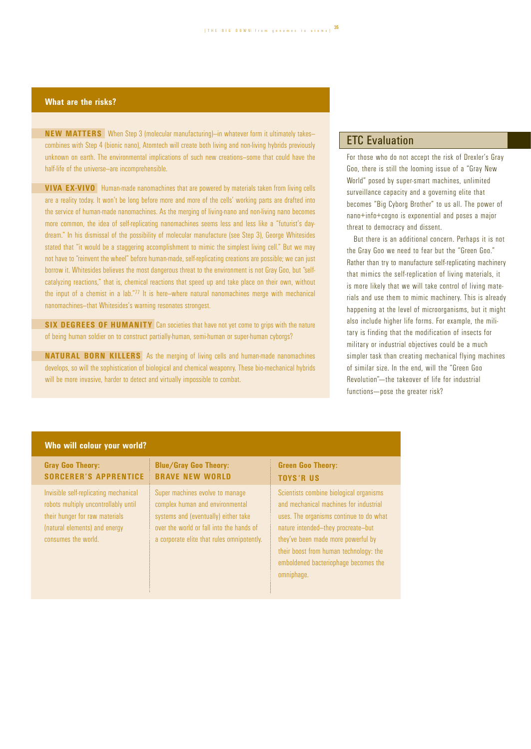#### What are the risks?

NEW MATTERS When Step 3 (molecular manufacturing)—in whatever form it ultimately takes combines with Step 4 (bionic nano), Atomtech will create both living and non-living hybrids previously unknown on earth. The environmental implications of such new creations—some that could have the half-life of the universe—are incomprehensible.

VIVA EX-VIVO Human-made nanomachines that are powered by materials taken from living cells are a reality today. It won't be long before more and more of the cells' working parts are drafted into the service of human-made nanomachines. As the merging of living-nano and non-living nano becomes more common, the idea of self-replicating nanomachines seems less and less like a "futurist's daydream." In his dismissal of the possibility of molecular manufacture (see Step 3), George Whitesides stated that "it would be a staggering accomplishment to mimic the simplest living cell." But we may not have to "reinvent the wheel" before human-made, self-replicating creations are possible; we can just borrow it. Whitesides believes the most dangerous threat to the environment is not Gray Goo, but "selfcatalyzing reactions," that is, chemical reactions that speed up and take place on their own, without the input of a chemist in a lab."77 It is here—where natural nanomachines merge with mechanical nanomachines—that Whitesides's warning resonates strongest.

SIX DEGREES OF HUMANITY Can societies that have not yet come to grips with the nature of being human soldier on to construct partially-human, semi-human or super-human cyborgs?

**NATURAL BORN KILLERS** As the merging of living cells and human-made nanomachines develops, so will the sophistication of biological and chemical weaponry. These bio-mechanical hybrids will be more invasive, harder to detect and virtually impossible to combat.

# ETC Evaluation

For those who do not accept the risk of Drexler's Gray Goo, there is still the looming issue of a "Gray New World" posed by super-smart machines, unlimited surveillance capacity and a governing elite that becomes "Big Cyborg Brother" to us all. The power of nano+info+cogno is exponential and poses a major threat to democracy and dissent.

But there is an additional concern. Perhaps it is not the Gray Goo we need to fear but the "Green Goo." Rather than try to manufacture self-replicating machinery that mimics the self-replication of living materials, it is more likely that we will take control of living materials and use them to mimic machinery. This is already happening at the level of microorganisms, but it might also include higher life forms. For example, the military is finding that the modification of insects for military or industrial objectives could be a much simpler task than creating mechanical flying machines of similar size. In the end, will the "Green Goo Revolution"—the takeover of life for industrial functions—pose the greater risk?

#### Who will colour your world?

#### Gray Goo Theory: SORCERER'S APPRENTICE

Invisible self-replicating mechanical robots multiply uncontrollably until their hunger for raw materials (natural elements) and energy consumes the world.

#### Blue/Gray Goo Theory: BRAVE NEW WORLD

Super machines evolve to manage complex human and environmental systems and (eventually) either take over the world or fall into the hands of a corporate elite that rules omnipotently.

# Green Goo Theory: TOYS'R US

Scientists combine biological organisms and mechanical machines for industrial uses. The organisms continue to do what nature intended—they procreate—but they've been made more powerful by their boost from human technology: the emboldened bacteriophage becomes the omniphage.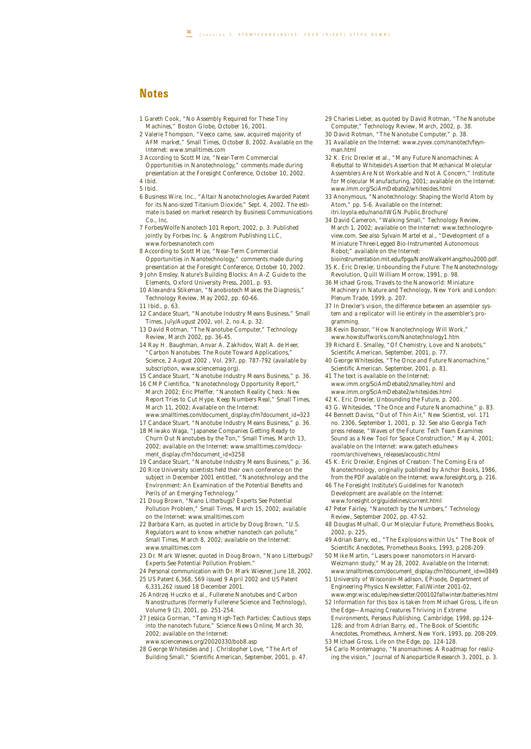# Notes

- 1 Gareth Cook, "No Assembly Required for These Tiny Machines," *Boston Globe*, October 16, 2001.
- 2 Valerie Thompson, "Veeco came, saw, acquired majority of AFM market," *Small Times*, October 8, 2002. Available on the Internet: www.smalltimes.com
- 3 According to Scott Mize, "Near-Term Commercial Opportunities in Nanotechnology," comments made during
- presentation at the Foresight Conference, October 10, 2002. 4 *Ibid*.
- 5 *Ibid*.
- 6 Business Wire, Inc., "Altair Nanotechnologies Awarded Patent for its Nano-sized Titanium Dioxide," Sept. 4, 2002. The estimate is based on market research by Business Communications Co., Inc.
- 7 *Forbes/Wolfe Nanotech 101 Report*, 2002, p. 3. Published jointly by Forbes Inc. & Angstrom Publishing LLC, www.forbesnanotech.com
- 8 According to Scott Mize, "Near-Term Commercial Opportunities in Nanotechnology," comments made during presentation at the Foresight Conference, October 10, 2002.
- 9 John Emsley, *Nature's Building Blocks: An A-Z Guide to the Elements*, Oxford University Press, 2001, p. 93.
- 10 Alexandra Stikeman, "Nanobiotech Makes the Diagnosis," *Technology Review*, May 2002, pp. 60-66.
- 11 *Ibid*., p. 63.
- 12 Candace Stuart, "Nanotube Industry Means Business," *Small Times*, July/August 2002, vol. 2, no.4, p. 32.
- 13 David Rotman, "The Nanotube Computer," *Technology Review*, March 2002, pp. 36-45.
- 14 Ray H. Baughman, Anvar A. Zakhidov, Walt A. de Heer, "Carbon Nanotubes: The Route Toward Applications," *Science*, 2 August 2002 , Vol. 297, pp. 787-792 (available by subscription, www.sciencemag.org).
- 15 Candace Stuart, "Nanotube Industry Means Business," p. 36. 16 CMP Cientifica, "Nanotechnology Opportunity Report,
- March 2002; Eric Pfeiffer, "Nanotech Reality Check: New Report Tries to Cut Hype, Keep Numbers Real," *Small Times*, March 11, 2002; Available on the Internet:
- www.smalltimes.com/document\_display.cfm?document\_id=323 17 Candace Stuart, "Nanotube Industry Means Business," p. 36.
- 18 Miwako Waga, "Japanese Companies Getting Ready to Churn Out Nanotubes by the Ton," *Small Times*, March 13, 2002; available on the Internet: www.smalltimes.com/document\_display.cfm?document\_id=3258
- 19 Candace Stuart, "Nanotube Industry Means Business," p. 36.
- 20 Rice University scientists held their own conference on the subject in December 2001 entitled, "Nanotechnology and the Environment: An Examination of the Potential Benefits and Perils of an Emerging Technology.
- 21 Doug Brown, "Nano Litterbugs? Experts See Potential Pollution Problem," *Small Times*, March 15, 2002; available on the Internet: www.smalltimes.com
- 22 Barbara Karn, as quoted in article by Doug Brown, "U.S. Regulators want to know whether nanotech can pollute," *Small Times*, March 8, 2002; available on the Internet: www.smalltimes.com
- 23 Dr. Mark Wiesner, quoted in Doug Brown, "Nano Litterbugs? Experts See Potential Pollution Problem."
- 24 Personal communication with Dr. Mark Wiesner, June 18, 2002. 25 US Patent 6,368, 569 issued 9 April 2002 and US Patent 6,331,262 issued 18 December 2001.
- 26 Andrzej Huczko et al., *Fullerene Nanotubes and Carbon Nanostructures* (formerly *Fullerene Science and Technology*),
- Volume 9 (2), 2001, pp. 251-254. 27 Jessica Gorman, "Taming High-Tech Particles: Cautious steps into the nanotech future," *Science News Online*, March 30, 2002; available on the Internet:

www.sciencenews.org/20020330/bob8.asp

28 George Whitesides and J. Christopher Love, "The Art of Building Small," *Scientific American*, September, 2001, p. 47. 29 Charles Lieber, as quoted by David Rotman, "The Nanotube Computer," *Technology Review*, March, 2002, p. 38.

- 30 David Rotman, "The Nanotube Computer," p. 38. 31 Available on the Internet: www.zyvex.com/nanotech/feynman.html
- 32 K. Eric Drexler et al., "Many Future Nanomachines: A Rebuttal to Whiteside's Assertion that Mechanical Molecular Assemblers Are Not Workable and Not A Concern," Institute for Molecular Manufacturing, 2001; available on the Internet: www.imm.org/SciAmDebate2/whitesides.html
- 33 Anonymous, "Nanotechnology: Shaping the World Atom by Atom," pp. 5-6. Available on the Internet: itri.loyola.edu/nano/IWGN.Public.Brochure/
- 34 David Cameron, "Walking Small," *Technology Review*, March 1, 2002; available on the Internet: www.technologyreview.com. See also Sylvain Martel *et al.*, "Development of a Miniature Three-Legged Bio-Instrumented Autonomous Robot;" available on the Internet:
- bioinstrumentation.mit.edu/fpga/NanoWalkerHangzhou2000.pdf. 35 K. Eric Drexler, *Unbounding the Future: The Nanotechnology*
- *Revolution*, Quill William Morrow, 1991, p. 98. 36 Michael Gross, *Travels to the Nanoworld: Miniature Machinery in Nature and Technology*, New York and London:
- Plenum Trade, 1999, p. 207. 37 In Drexler's vision, the difference between an assembler system and a replicator will lie entirely in the assembler's programming.
- 38 Kevin Bonsor, "How Nanotechnology Will Work," www.howstuffworks.com/Nanotechnology1.htm
- 39 Richard E. Smalley, "Of Chemistry, Love and Nanobots," *Scientific American*, September, 2001, p. 77.
- 40 George Whitesides, "The Once and Future Nanomachine," *Scientific American*, September, 2001, p. 81.
- 41 The text is available on the Internet: www.imm.org/SciAmDebate2/smalley.html and www.imm.org/SciAmDebate2/whitesides.html
- 42 K. Eric Drexler, *Unbounding the Future*, p. 200.
- 43 G. Whitesides, "The Once and Future Nanomachine," p. 83.
- 44 Bennett Daviss, "Out of Thin Air," *New Scientist*, vol. 171 no. 2306, September 1, 2001, p. 32. See also Georgia Tech press release, "Waves of the Future: Tech Team Examines Sound as a New Tool for Space Construction," May 4, 2001; available on the Internet: www.gatech.edu/newsroom/archive/news\_releases/acoustic.html
- 45 K. Eric Drexler, *Engines of Creation: The Coming Era of Nanotechnology*, originally published by Anchor Books, 1986, from the PDF available on the Internet: www.foresight.org, p. 216.
- 46 The Foresight Institute's Guidelines for Nanotech Development are available on the Internet:
- www.foresight.org/guidelines/current.html 47 Peter Fairley, "Nanotech by the Numbers," *Technology*
- *Review*, September 2002, pp. 47-52.
- 48 Douglas Mulhall, *Our Molecular Future*, Prometheus Books, 2002, p. 225.
- 49 Adrian Barry, ed., "The Explosions within Us," *The Book of Scientific Anecdotes*, Prometheus Books, 1993, p.208-209.
- 50 Mike Martin, "Lasers power nanomotors in Harvard-Weizmann study," May 28, 2002. Available on the Internet: www.smalltimes.com/document\_display.cfm?document\_id==3849
- 51 University of Wisconsin-Madison, *EPisode*, Department of Engineering Physics Newsletter, Fall/Winter 2001-02,
- www.engr.wisc.edu/ep/newsletter/200102fallwinter/batteries.html 52 Information for this box is taken from Michael Gross, *Life on the Edge—Amazing Creatures Thriving in Extreme Environments*, Perseus Publishing, Cambridge, 1998, pp.124-
- 128; and from Adrian Barry, ed., *The Book of Scientific Anecdotes*, Prometheus, Amherst, New York, 1993, pp. 208-209. 53 Michael Gross, *Life on the Edge*, pp. 124-128.
- 
- 54 Carlo Montemagno, "Nanomachines: A Roadmap for realizing the vision," *Journal of Nanoparticle Research 3*, 2001, p. 3.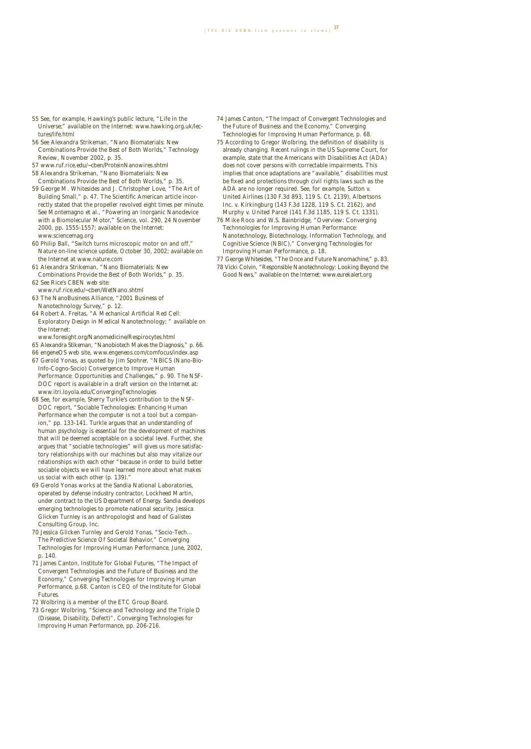- 55 See, for example, Hawking's public lecture, "Life in the Universe;" available on the Internet: www.hawking.org.uk/lectures/life.html
- 56 See Alexandra Strikeman, "Nano Biomaterials: New Combinations Provide the Best of Both Worlds," *Technology Review*, November 2002, p. 35.
- 57 www.ruf.rice.edu/~cben/ProteinNanowires.shtml 58 Alexandra Strikeman, "Nano Biomaterials: New
- Combinations Provide the Best of Both Worlds," p. 35.
- 59 George M. Whitesides and J. Christopher Love, "The Art of Building Small," p. 47. The *Scientific American* article incorrectly stated that the propeller revolved eight times per minute. See Montemagno et al., "Powering an Inorganic Nanodevice with a Biomolecular Motor," *Science*, vol. 290, 24 November 2000, pp. 1555-1557; available on the Internet: www.sciencemag.org
- 60 Philip Ball, "Switch turns microscopic motor on and off," *Nature* on-line science update, October 30, 2002; available on the Internet at www.nature.com
- 61 Alexandra Strikeman, "Nano Biomaterials: New Combinations Provide the Best of Both Worlds," p. 35. 62 See Rice's CBEN web site:
- www.ruf.rice.edu/~cben/WetNano.shtml
- 63 The NanoBusiness Alliance, "2001 Business of Nanotechnology Survey," p. 12.
- 64 Robert A. Freitas, "A Mechanical Artificial Red Cell: Exploratory Design in Medical Nanotechnology; " available on the Internet:
- www.foresight.org/Nanomedicine/Respirocytes.html
- 65 Alexandra Stikeman, "Nanobiotech Makes the Diagnosis," p. 66. 66 engeneOS web site, www.engeneos.com/comfocus/index.asp
- 67 Gerold Yonas, as quoted by Jim Spohrer, "NBICS (Nano-Bio-Info-Cogno-Socio) Convergence to Improve Human Performance: Opportunities and Challenges," p. 90. The NSF-DOC report is available in a draft version on the Internet at:
- www.itri.loyola.edu/ConvergingTechnologies 68 See, for example, Sherry Turkle's contribution to the NSF-DOC report, "Sociable Technologies: Enhancing Human
- Performance when the computer is not a tool but a companion," pp. 133-141. Turkle argues that an understanding of human psychology is essential for the development of machines that will be deemed acceptable on a societal level. Further, she argues that "sociable technologies" will gives us more satisfactory relationships with our machines but also may vitalize our relationships with each other "because in order to build better sociable objects we will have learned more about what makes us social with each other (p. 139)."
- 69 Gerold Yonas works at the Sandia National Laboratories, operated by defense industry contractor, Lockheed Martin, under contract to the US Department of Energy. Sandia develops emerging technologies to promote national security. Jessica Glicken Turnley is an anthropologist and head of Galisteo Consulting Group, Inc.
- 70 Jessica Glicken Turnley and Gerold Yonas, "Socio-Tech… The Predictive Science Of Societal Behavior," *Converging Technologies for Improving Human Performance*, June, 2002, p. 140.
- 71 James Canton, Institute for Global Futures, "The Impact of Convergent Technologies and the Future of Business and the Economy," *Converging Technologies for Improving Human Performance*, p.68. Canton is CEO of the Institute for Global **Futures**
- 72 Wolbring is a member of the ETC Group Board.
- 73 Gregor Wolbring, "Science and Technology and the Triple D (Disease, Disability, Defect)", *Converging Technologies for Improving Human Performance*, pp. 206-216.
- 74 James Canton, "The Impact of Convergent Technologies and the Future of Business and the Economy," *Converging Technologies for Improving Human Performance*, p. 68.
- 75 According to Gregor Wolbring, the definition of disability is already changing. Recent rulings in the US Supreme Court, for example, state that the Americans with Disabilities Act (ADA) does not cover persons with correctable impairments. This implies that once adaptations are "available," disabilities must be fixed and protections through civil rights laws such as the ADA are no longer required. See, for example, *Sutton v. United Airlines* (130 F.3d 893, 119 S. Ct. 2139), *Albertsons Inc. v. Kirkingburg* (143 F.3d 1228, 119 S. Ct. 2162), and *Murphy v. United Parcel* (141 F.3d 1185, 119 S. Ct. 1331).
- 76 Mike Roco and W.S. Bainbridge, "Overview: Converging Technnologies for Improving Human Performance: Nanotechnology, Biotechnology, Information Technology, and Cognitive Science (NBIC)," *Converging Technologies for Improving Human Performance*, p. 18.
- 77 George Whitesides, "The Once and Future Nanomachine," p. 83. 78 Vicki Colvin, "Responsible Nanotechnology: Looking Beyond the Good News," available on the Internet: www.eurekalert.org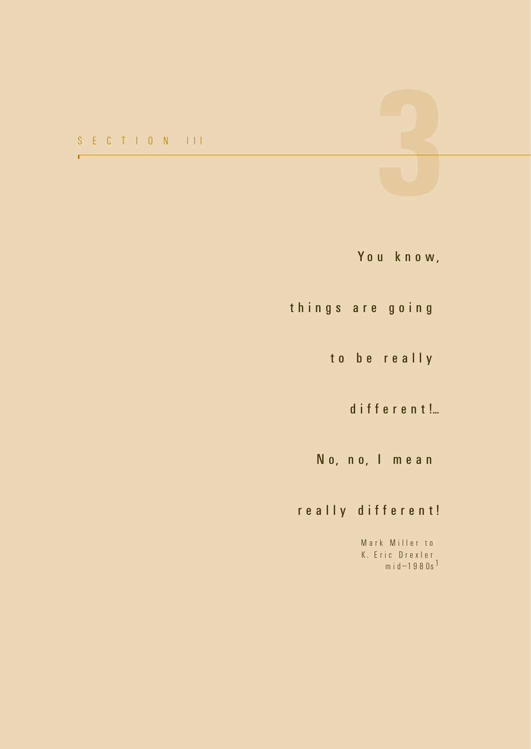You know,

things are going

to be really

d i f f e r e n t !...

No, no, I mean

really different!

Mark Miller to K. Eric Drexler m i d – 1 9 8 O s <sup>1</sup>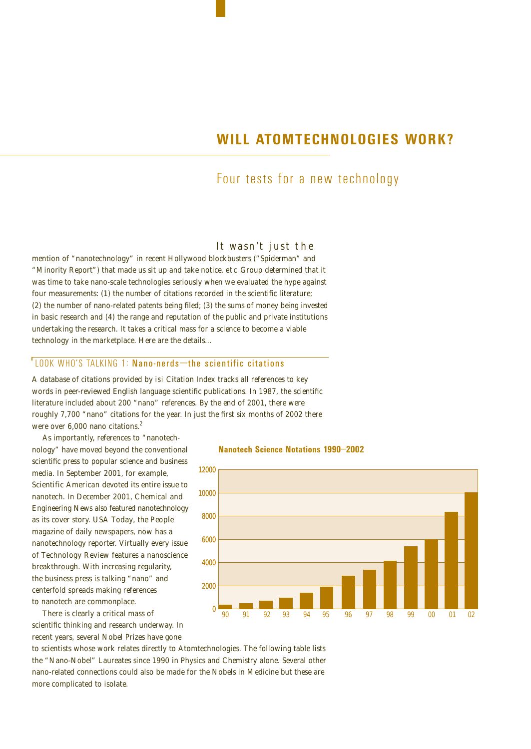# WILL ATOMTECHNOLOGIES WORK?

# Four tests for a new technology

#### It wasn't just the

mention of "nanotechnology" in recent Hollywood blockbusters ("Spiderman" and "Minority Report") that made us sit up and take notice. etc Group determined that it was time to take nano-scale technologies seriously when we evaluated the hype against four measurements: (1) the number of citations recorded in the scientific literature; (2) the number of nano-related patents being filed; (3) the sums of money being invested in basic research and (4) the range and reputation of the public and private institutions undertaking the research. It takes a critical mass for a science to become a viable technology in the marketplace. Here are the details…

# LOOK WHO'S TALKING 1: Nano-nerds–the scientific citations

A database of citations provided by isi Citation Index tracks all references to key words in peer-reviewed English language scientific publications. In 1987, the scientific literature included about 200 "nano" references. By the end of 2001, there were roughly 7,700 "nano" citations for the year. In just the first six months of 2002 there were over 6,000 nano citations.<sup>2</sup>

As importantly, references to "nanotechnology" have moved beyond the conventional scientific press to popular science and business media. In September 2001, for example, *Scientific American* devoted its entire issue to nanotech. In December 2001, *Chemical and Engineering News* also featured nanotechnology as its cover story. *USA Today*, the *People* magazine of daily newspapers, now has a nanotechnology reporter. Virtually every issue of *Technology Review* features a nanoscience breakthrough. With increasing regularity, the business press is talking "nano" and centerfold spreads making references to nanotech are commonplace.

There is clearly a critical mass of scientific thinking and research underway. In recent years, several Nobel Prizes have gone

#### Nanotech Science Notations 1990–2002



to scientists whose work relates directly to Atomtechnologies. The following table lists the "Nano-Nobel" Laureates since 1990 in Physics and Chemistry alone. Several other nano-related connections could also be made for the Nobels in Medicine but these are more complicated to isolate.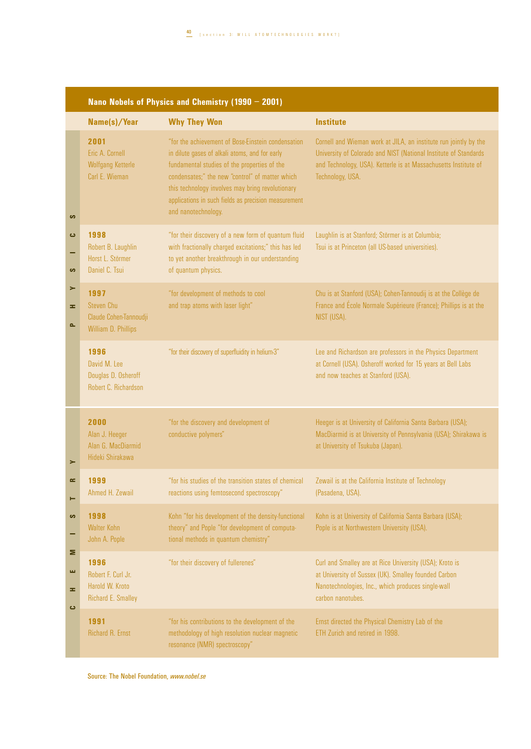|                                   | Nano Nobels of Physics and Chemistry $(1990 - 2001)$                       |                                                                                                                                                                                                                                                                                                                                            |                                                                                                                                                                                                                             |  |  |  |
|-----------------------------------|----------------------------------------------------------------------------|--------------------------------------------------------------------------------------------------------------------------------------------------------------------------------------------------------------------------------------------------------------------------------------------------------------------------------------------|-----------------------------------------------------------------------------------------------------------------------------------------------------------------------------------------------------------------------------|--|--|--|
|                                   | Name(s)/Year                                                               | <b>Why They Won</b>                                                                                                                                                                                                                                                                                                                        | <b>Institute</b>                                                                                                                                                                                                            |  |  |  |
| S<br>ں<br>S<br>≻<br>œ<br><u>م</u> | 2001<br>Eric A. Cornell<br><b>Wolfgang Ketterle</b><br>Carl E. Wieman      | "for the achievement of Bose-Einstein condensation<br>in dilute gases of alkali atoms, and for early<br>fundamental studies of the properties of the<br>condensates;" the new "control" of matter which<br>this technology involves may bring revolutionary<br>applications in such fields as precision measurement<br>and nanotechnology. | Cornell and Wieman work at JILA, an institute run jointly by the<br>University of Colorado and NIST (National Institute of Standards<br>and Technology, USA). Ketterle is at Massachusetts Institute of<br>Technology, USA. |  |  |  |
|                                   | 1998<br>Robert B. Laughlin<br>Horst L. Störmer<br>Daniel C. Tsui           | "for their discovery of a new form of quantum fluid<br>with fractionally charged excitations;" this has led<br>to yet another breakthrough in our understanding<br>of quantum physics.                                                                                                                                                     | Laughlin is at Stanford; Störmer is at Columbia;<br>Tsui is at Princeton (all US-based universities).                                                                                                                       |  |  |  |
|                                   | 1997<br><b>Steven Chu</b><br>Claude Cohen-Tannoudji<br>William D. Phillips | "for development of methods to cool<br>and trap atoms with laser light"                                                                                                                                                                                                                                                                    | Chu is at Stanford (USA); Cohen-Tannoudij is at the Collège de<br>France and École Normale Supérieure (France); Phillips is at the<br>NIST (USA).                                                                           |  |  |  |
|                                   | 1996<br>David M. Lee<br>Douglas D. Osheroff<br>Robert C. Richardson        | "for their discovery of superfluidity in helium-3"                                                                                                                                                                                                                                                                                         | Lee and Richardson are professors in the Physics Department<br>at Cornell (USA). Osheroff worked for 15 years at Bell Labs<br>and now teaches at Stanford (USA).                                                            |  |  |  |
| ≻<br>۳<br>S<br>Σ<br>ш<br>œ<br>د   | 2000<br>Alan J. Heeger<br>Alan G. MacDiarmid<br>Hideki Shirakawa           | "for the discovery and development of<br>conductive polymers"                                                                                                                                                                                                                                                                              | Heeger is at University of California Santa Barbara (USA);<br>MacDiarmid is at University of Pennsylvania (USA); Shirakawa is<br>at University of Tsukuba (Japan).                                                          |  |  |  |
|                                   | 1999<br>Ahmed H. Zewail                                                    | "for his studies of the transition states of chemical Zewail is at the California Institute of Technology<br>reactions using femtosecond spectroscopy"                                                                                                                                                                                     | (Pasadena, USA).                                                                                                                                                                                                            |  |  |  |
|                                   | 1998<br><b>Walter Kohn</b><br>John A. Pople                                | Kohn "for his development of the density-functional<br>theory" and Pople "for development of computa-<br>tional methods in quantum chemistry"                                                                                                                                                                                              | Kohn is at University of California Santa Barbara (USA);<br>Pople is at Northwestern University (USA).                                                                                                                      |  |  |  |
|                                   | 1996<br>Robert F. Curl Jr.<br>Harold W. Kroto<br><b>Richard E. Smalley</b> | "for their discovery of fullerenes"                                                                                                                                                                                                                                                                                                        | Curl and Smalley are at Rice University (USA); Kroto is<br>at University of Sussex (UK). Smalley founded Carbon<br>Nanotechnologies, Inc., which produces single-wall<br>carbon nanotubes.                                  |  |  |  |
|                                   | 1991<br><b>Richard R. Ernst</b>                                            | "for his contributions to the development of the<br>methodology of high resolution nuclear magnetic<br>resonance (NMR) spectroscopy"                                                                                                                                                                                                       | Ernst directed the Physical Chemistry Lab of the<br>ETH Zurich and retired in 1998.                                                                                                                                         |  |  |  |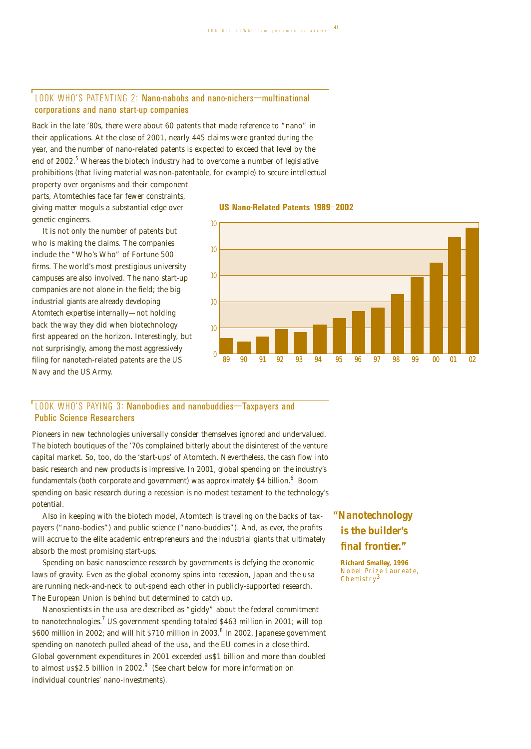# LOOK WHO'S PATENTING 2: Nano-nabobs and nano-nichers–multinational corporations and nano start-up companies

Back in the late '80s, there were about 60 patents that made reference to "nano" in their applications. At the close of 2001, nearly 445 claims were granted during the year, and the number of nano-related patents is expected to exceed that level by the end of 2002.<sup>5</sup> Whereas the biotech industry had to overcome a number of legislative prohibitions (that living material was non-patentable, for example) to secure intellectual

property over organisms and their component parts, Atomtechies face far fewer constraints, giving matter moguls a substantial edge over genetic engineers.

It is not only the number of patents but *who* is making the claims. The companies include the "Who's Who" of Fortune 500 firms. The world's most prestigious university campuses are also involved. The nano start-up companies are not alone in the field; the big industrial giants are already developing Atomtech expertise internally—not holding back the way they did when biotechnology first appeared on the horizon. Interestingly, but not surprisingly, among the most aggressively filing for nanotech-related patents are the US Navy and the US Army.

#### US Nano-Related Patents 1989–2002



## LOOK WHO'S PAYING 3: Nanobodies and nanobuddies–Taxpayers and Public Science Researchers

Pioneers in new technologies universally consider themselves ignored and undervalued. The biotech boutiques of the '70s complained bitterly about the disinterest of the venture capital market. So, too, do the 'start-ups' of Atomtech. Nevertheless, the cash flow into basic research and new products is impressive. In 2001, global spending on the industry's fundamentals (both corporate and government) was approximately  $$4$  billion.<sup>6</sup> Boom spending on basic research during a recession is no modest testament to the technology's potential.

Also in keeping with the biotech model, Atomtech is traveling on the backs of taxpayers ("nano-bodies") and public science ("nano-buddies"). And, as ever, the profits will accrue to the elite academic entrepreneurs and the industrial giants that ultimately absorb the most promising start-ups.

Spending on basic nanoscience research by governments is defying the economic laws of gravity. Even as the global economy spins into recession, Japan and the usa are running neck-and-neck to out-spend each other in publicly-supported research. The European Union is behind but determined to catch up.

Nanoscientists in the usa are described as "giddy" about the federal commitment to nanotechnologies.<sup>7</sup> US government spending totaled \$463 million in 2001; will top \$600 million in 2002; and will hit \$710 million in 2003.<sup>8</sup> In 2002, Japanese government spending on nanotech pulled ahead of the usa, and the EU comes in a close third. Global government expenditures in 2001 exceeded us\$1 billion and more than doubled to almost us\$2.5 billion in 2002. $9$  (See chart below for more information on individual countries' nano-investments).

# *"Nanotechnology is the builder's final frontier."*

**Richard Smalley, 1996** Nobel Prize Laureate, Chemistry<sup>3</sup>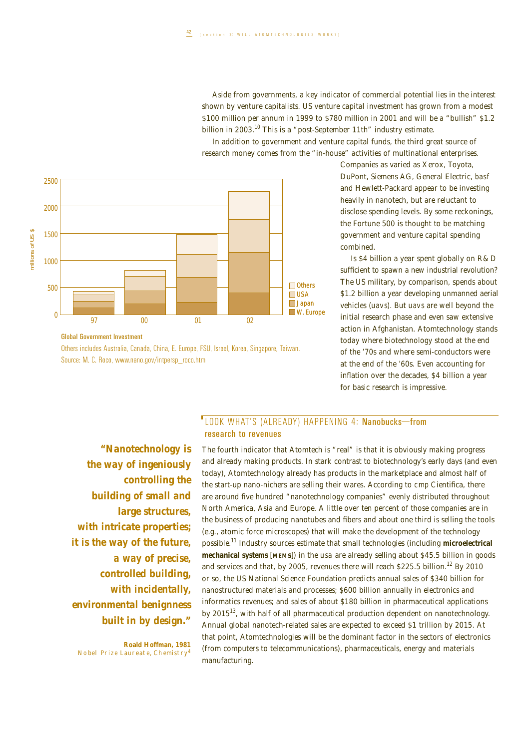Aside from governments, a key indicator of commercial potential lies in the interest shown by venture capitalists. US venture capital investment has grown from a modest \$100 million per annum in 1999 to \$780 million in 2001 and will be a "bullish" \$1.2 billion in 2003.<sup>10</sup> This is a "post-September 11th" industry estimate.

In addition to government and venture capital funds, the third great source of research money comes from the "in-house" activities of multinational enterprises.



Others includes Australia, Canada, China, E. Europe, FSU, Israel, Korea, Singapore, Taiwan. Source: M. C. Roco, www.nano.gov/intpersp\_roco.htm

Companies as varied as Xerox, Toyota, DuPont, Siemens AG, General Electric, basf and Hewlett-Packard appear to be investing heavily in nanotech, but are reluctant to disclose spending levels. By some reckonings, the Fortune 500 is thought to be matching government and venture capital spending combined.

Is \$4 billion a year spent globally on R&D sufficient to spawn a new industrial revolution? The US military, by comparison, spends about \$1.2 billion a year developing unmanned aerial vehicles (uavs). But uavs are well beyond the initial research phase and even saw extensive action in Afghanistan. Atomtechnology stands today where biotechnology stood at the end of the '70s and where semi-conductors were at the end of the '60s. Even accounting for inflation over the decades, \$4 billion a year for basic research is impressive.

# LOOK WHAT'S (ALREADY) HAPPENING 4: Nanobucks–from research to revenues

*"Nanotechnology is the way of ingeniously controlling the building of small and large structures, with intricate properties; it is the way of the future, a way of precise, controlled building, with incidentally, environmental benignness built in by design."* 

**Roald Hoffman, 1981** Nobel Prize Laureate, Chemistry<sup>4</sup> The fourth indicator that Atomtech is "real" is that it is obviously making progress and already making products. In stark contrast to biotechnology's early days (and even today), Atomtechnology already has products in the marketplace and almost half of the start-up nano-nichers are selling their wares. According to cmp Cientifica, there are around five hundred "nanotechnology companies" evenly distributed throughout North America, Asia and Europe. A little over ten percent of those companies are in the business of producing nanotubes and fibers and about one third is selling the tools (e.g., atomic force microscopes) that will make the development of the technology possible.<sup>11</sup> Industry sources estimate that small technologies (including **microelectrical mechanical systems** [**MEMs**]) in the usa are already selling about \$45.5 billion in goods and services and that, by 2005, revenues there will reach  $$225.5$  billion.<sup>12</sup> By 2010 or so, the US National Science Foundation predicts annual sales of \$340 billion for nanostructured materials and processes; \$600 billion annually in electronics and informatics revenues; and sales of about \$180 billion in pharmaceutical applications by  $2015^{13}$ , with half of all pharmaceutical production dependent on nanotechnology. Annual global nanotech-related sales are expected to exceed \$1 trillion by 2015. At that point, Atomtechnologies will be the dominant factor in the sectors of electronics (from computers to telecommunications), pharmaceuticals, energy and materials manufacturing.

Global Government Investment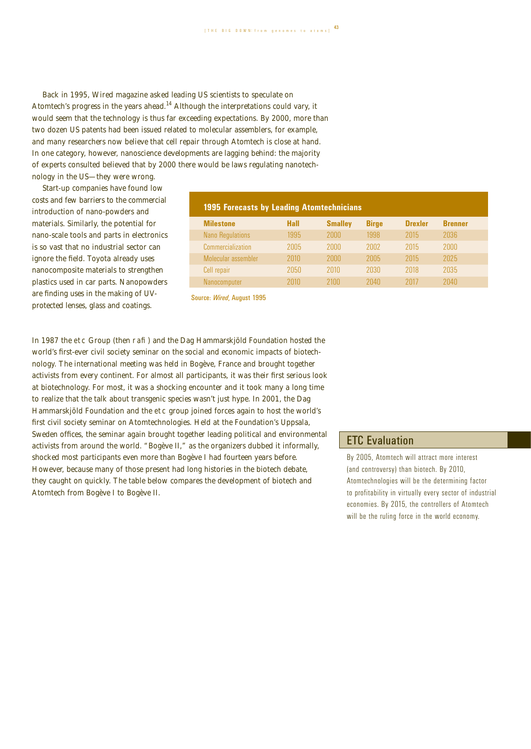Back in 1995, *Wired* magazine asked leading US scientists to speculate on Atomtech's progress in the years ahead.<sup>14</sup> Although the interpretations could vary, it would seem that the technology is thus far exceeding expectations. By 2000, more than two dozen US patents had been issued related to molecular assemblers, for example, and many researchers now believe that cell repair through Atomtech is close at hand. In one category, however, nanoscience developments are lagging behind: the majority of experts consulted believed that by 2000 there would be laws regulating nanotech-

nology in the US—they were wrong.

Start-up companies have found low costs and few barriers to the commercial introduction of nano-powders and materials. Similarly, the potential for nano-scale tools and parts in electronics is so vast that no industrial sector can ignore the field. Toyota already uses nanocomposite materials to strengthen plastics used in car parts. Nanopowders are finding uses in the making of UVprotected lenses, glass and coatings.

| <b>1995 Forecasts by Leading Atomtechnicians</b> |      |                |              |                |                |  |
|--------------------------------------------------|------|----------------|--------------|----------------|----------------|--|
| <b>Milestone</b>                                 | Hall | <b>Smalley</b> | <b>Birge</b> | <b>Drexler</b> | <b>Brenner</b> |  |
| <b>Nano Regulations</b>                          | 1995 | 2000           | 1998         | 2015           | 2036           |  |
| Commercialization                                | 2005 | 2000           | 2002         | 2015           | 2000           |  |
| Molecular assembler                              | 2010 | 2000           | 2005         | 2015           | 2025           |  |
| Cell repair                                      | 2050 | 2010           | 2030         | 2018           | 2035           |  |
| Nanocomputer                                     | ንበ1በ | 21NN           | 2040         | 2017           | 2040           |  |

Source: Wired, August 1995

In 1987 the etc Group (then rafi) and the Dag Hammarskjöld Foundation hosted the world's first-ever civil society seminar on the social and economic impacts of biotechnology. The international meeting was held in Bogève, France and brought together activists from every continent. For almost all participants, it was their first serious look at biotechnology. For most, it was a shocking encounter and it took many a long time to realize that the talk about transgenic species wasn't just hype. In 2001, the Dag Hammarskjöld Foundation and the etc group joined forces again to host the world's first civil society seminar on Atomtechnologies. Held at the Foundation's Uppsala, Sweden offices, the seminar again brought together leading political and environmental activists from around the world. "Bogève II," as the organizers dubbed it informally, shocked most participants even more than Bogève I had fourteen years before. However, because many of those present had long histories in the biotech debate, they caught on quickly. The table below compares the development of biotech and Atomtech from Bogève I to Bogève II.

## ETC Evaluation

By 2005, Atomtech will attract more interest (and controversy) than biotech. By 2010, Atomtechnologies will be the determining factor to profitability in virtually every sector of industrial economies. By 2015, the controllers of Atomtech will be the ruling force in the world economy.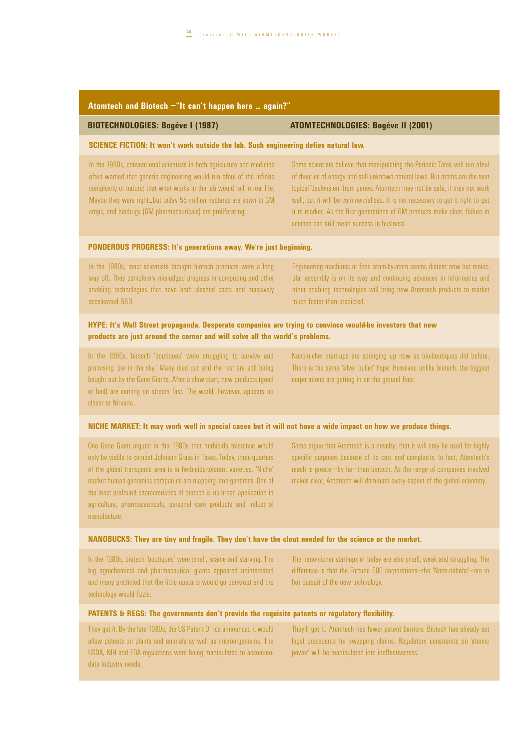#### Atomtech and Biotech –"It can't happen here … again?"

#### BIOTECHNOLOGIES: Bogève I (1987) ATOMTECHNOLOGIES: Bogève II (2001)

#### SCIENCE FICTION: It won't work outside the lab. Such engineering defies natural law.

In the 1980s, conventional scientists in both agriculture and medicine often warned that genetic engineering would run afoul of the infinite complexity of nature; that what works in the lab would fail in real life. Maybe they were right…but today 55 million hectares are sown to GM crops, and biodrugs (GM pharmaceuticals) are proliferating.

Some scientists believe that manipulating the Periodic Table will run afoul of theories of energy and still unknown natural laws. But atoms are the next logical 'declension' from genes. Atomtech may not be safe, it may not work well, but it will be commercialised. It is not necessary to get it right to get it to market. As the first generations of GM products make clear, failure in science can still mean success in business.

#### PONDEROUS PROGRESS: It's generations away. We're just beginning.

In the 1980s, most scientists thought biotech products were a long way off. They completely misjudged progress in computing and other enabling technologies that have both slashed costs and massively accelerated R&D.

Engineering machines or food atom-by-atom seems distant now but molecular assembly is on its way and continuing advances in informatics and other enabling technologies will bring new Atomtech products to market much faster than predicted.

### HYPE: It's Wall Street propaganda. Desperate companies are trying to convince would-be investors that new products are just around the corner and will solve all the world's problems.

In the 1980s, biotech 'boutiques' were struggling to survive and promising 'pie in the sky.' Many died out and the rest are still being bought out by the Gene Giants. After a slow start, new products (good or bad) are coming on stream fast. The world, however, appears no closer to Nirvana.

Nano-nicher start-ups are springing up now as bio-boutiques did before. There is the same 'silver bullet' hype. However, unlike biotech, the biggest corporations are getting in on the ground floor.

#### NICHE MARKET: It may work well in special cases but it will not have a wide impact on how we produce things.

One Gene Giant argued in the 1980s that herbicide tolerance would only be viable to combat Johnson Grass in Texas. Today, three-quarters of the global transgenic area is in herbicide-tolerant varieties. 'Niche' market human genomics companies are mapping crop genomes. One of the most profound characteristics of biotech is its broad application in agriculture, pharmaceuticals, personal care products and industrial manufacture.

Some argue that Atomtech is a novelty; that it will only be used for highly specific purposes because of its cost and complexity. In fact, Atomtech's reach is greater–by far–than biotech. As the range of companies involved makes clear, Atomtech will dominate every aspect of the global economy.

#### NANOBUCKS: They are tiny and fragile. They don't have the clout needed for the science or the market.

In the 1980s, biotech 'boutiques' were small, scarce and starving. The big agrochemical and pharmaceutical giants appeared uninterested and many predicted that the little upstarts would go bankrupt and the technology would fizzle.

The nano-nicher start-ups of today are also small, weak and struggling. The difference is that the Fortune 500 corporations–the 'Nano-nabobs'–are in hot pursuit of the new technology.

#### PATENTS & REGS: The governments don't provide the requisite patents or regulatory flexibility.

They got it. By the late 1980s, the US Patent Office announced it would allow patents on plants and animals as well as microorganisms. The USDA, NIH and FDA regulations were being manipulated to accommodate industry needs.

They'll get it. Atomtech has fewer patent barriers. Biotech has already set legal precedents for sweeping claims. Regulatory constraints on 'atomic power' will be manipulated into ineffectiveness.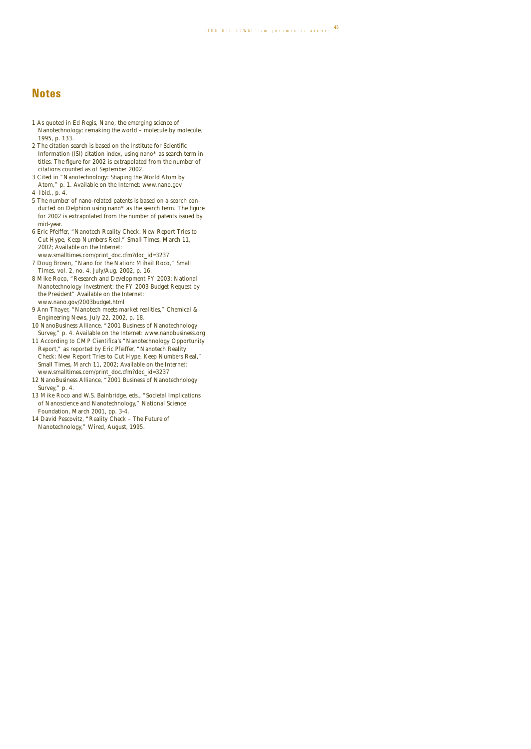# **Notes**

- 1 As quoted in Ed Regis, *Nano, the emerging science of Nanotechnology: remaking the world – molecule by molecule*, 1995, p. 133.
- 2 The citation search is based on the Institute for Scientific Information (ISI) citation index, using nano\* as search term in titles. The figure for 2002 is extrapolated from the number of citations counted as of September 2002.
- 3 Cited in "Nanotechnology: Shaping the World Atom by Atom," p. 1. Available on the Internet: www.nano.gov
- 4 *Ibid*., p. 4.
- 5 The number of nano-related patents is based on a search conducted on Delphion using nano\* as the search term. The figure for 2002 is extrapolated from the number of patents issued by mid-year.
- 6 Eric Pfeiffer, "Nanotech Reality Check: New Report Tries to Cut Hype, Keep Numbers Real," *Small Times*, March 11, 2002; Available on the Internet: www.smalltimes.com/print\_doc.cfm?doc\_id=3237
- 7 Doug Brown, "Nano for the Nation: Mihail Roco," *Small Times*, vol. 2, no. 4, July/Aug. 2002, p. 16.
- 8 Mike Roco, "Research and Development FY 2003: National Nanotechnology Investment: the FY 2003 Budget Request by the President" Available on the Internet: www.nano.gov/2003budget.html
- 9 Ann Thayer, "Nanotech meets market realities," *Chemical &*
- *Engineering News*, July 22, 2002, p. 18. 10 NanoBusiness Alliance, "2001 Business of Nanotechnology
- Survey," p. 4. Available on the Internet: www.nanobusiness.org
- 11 According to CMP Cientifica's "Nanotechnology Opportunity Report," as reported by Eric Pfeiffer, "Nanotech Reality Check: New Report Tries to Cut Hype, Keep Numbers Real," *Small Times*, March 11, 2002; Available on the Internet: www.smalltimes.com/print\_doc.cfm?doc\_id=3237
- 12 NanoBusiness Alliance, "2001 Business of Nanotechnology Survey," p. 4.
- 13 Mike Roco and W.S. Bainbridge, eds., "Societal Implications of Nanoscience and Nanotechnology," National Science Foundation, March 2001, pp. 3-4.
- 14 David Pescovitz, "Reality Check The Future of Nanotechnology," *Wired*, August, 1995.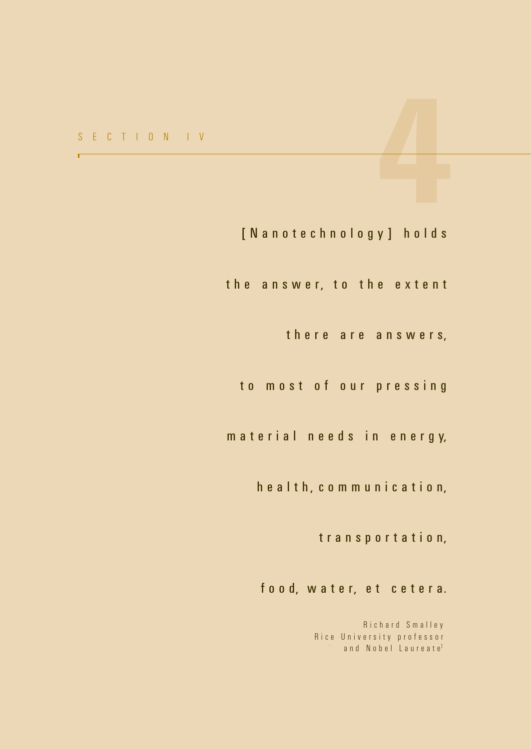SECTION IV<br> **Example 2** (Nanotechnology) holds [Nanotechnology] holds

the answer, to the extent

there are answers,

to most of our pressing

material needs in energy,

h e a l t h, c o m m u n i c a t i o n,

t r a n s p o r t a t i o n,

food, water, et cetera.

Richard Smalley Rice University professor and Nobel Laureate<sup>1</sup>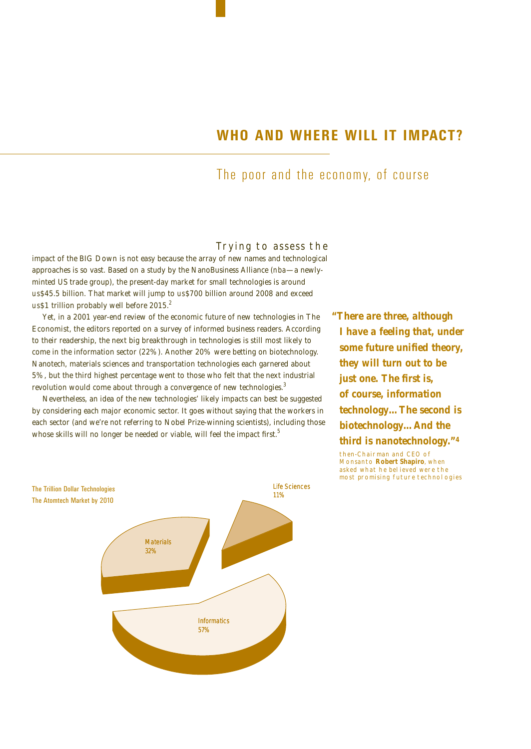# WHO AND WHERE WILL IT IMPACT?

# The poor and the economy, of course

#### Trying to assess the

impact of the BIG *Down* is not easy because the array of new names and technological approaches is so vast. Based on a study by the NanoBusiness Alliance (nba—a newlyminted US trade group), the present-day market for small technologies is around us\$45.5 billion. That market will jump to us\$700 billion around 2008 and exceed us\$1 trillion probably well before 2015.<sup>2</sup>

Yet, in a 2001 year-end review of the economic future of new technologies in *The Economist*, the editors reported on a survey of informed business readers. According to their readership, the next big breakthrough in technologies is still most likely to come in the information sector (22%). Another 20% were betting on biotechnology. Nanotech, materials sciences and transportation technologies each garnered about 5%, but the third highest percentage went to those who felt that the next industrial revolution would come about through a convergence of new technologies.<sup>3</sup>

Nevertheless, an idea of the new technologies' likely impacts can best be suggested by considering each major economic sector. It goes without saying that the workers in each sector (and we're not referring to Nobel Prize-winning scientists), including those whose skills will no longer be needed or viable, will feel the impact first.<sup>5</sup>



*"There are three, although I have a feeling that, under some future unified theory, they will turn out to be just one. The first is, of course, information technology…The second is biotechnology…And the third is nanotechnology."4*

then-Chairman and CEO of Monsanto **Robert Shapiro**, when asked what he believed were the most promising future technologies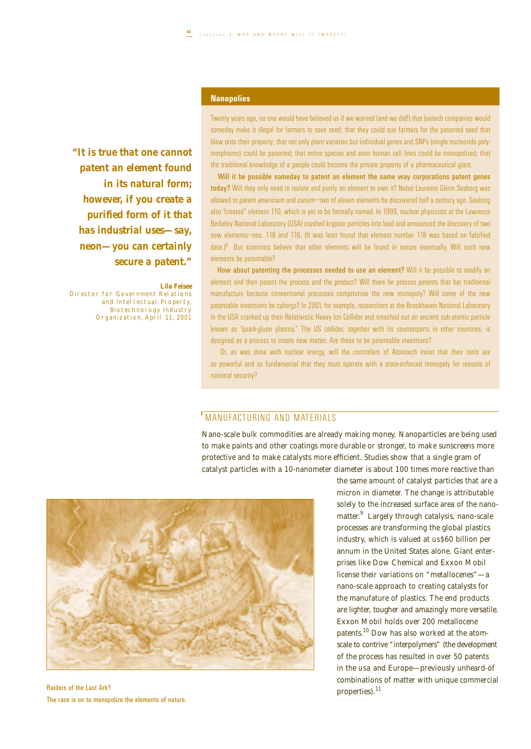*"It is true that one cannot patent an element found in its natural form; however, if you create a purified form of it that has industrial uses—say, neon—you can certainly secure a patent."*

**Lila Feisee** Director for Government Relations and Intellectual Property, Biotechnology Industry Organization, April 11, 2001

#### **Nanopolies**

Twenty years ago, no one would have believed us if we warned (and we did!) that biotech companies would someday make it illegal for farmers to save seed; that they could sue farmers for the patented seed that blew onto their property; that not only plant varieties but individual genes and SNPs (single nucleotide polymorphisms) could be patented; that entire species and even human cell lines could be monopolized; that the traditional knowledge of a people could become the private property of a pharmaceutical giant.

Will it be possible someday to patent an element the same way corporations patent genes today? Will they only need to isolate and purify an element to own it? Nobel Laureate Glenn Seaborg was allowed to patent *americium* and *curium*—two of eleven elements he discovered half a century ago. Seaborg also "created" element 110, which is yet to be formally named. In 1999, nuclear physicists at the Lawrence Berkeley National Laboratory (USA) crashed krypton particles into lead and announced the discovery of two new elements–nos. 118 and 116. (It was later found that element number 118 was based on falsified data.)<sup>6</sup> But scientists believe that other elements will be found in nature eventually. Will such new elements be patentable?

How about patenting the processes needed to use an element? Will it be possible to modify an element and then patent the process and the product? Will there be process patents that bar traditional manufacture because conventional processes compromise the new monopoly? Will some of the new patentable inventions be cyborgs? In 2001, for example, researchers at the Brookhaven National Laboratory in the USA cranked up their Relativistic Heavy Ion Collider and smashed out an ancient sub-atomic particle known as "quark-gluon plasma." The US collider, together with its counterparts in other countries, is designed as a process to create new matter. Are these to be patentable inventions?

Or, as was done with nuclear energy, will the controllers of Atomtech insist that their tools are so powerful and so fundamental that they must operate with a state-enforced monopoly for reasons of national security?

# MANUFACTURING AND MATERIALS

Nano-scale bulk commodities are already making money. Nanoparticles are being used to make paints and other coatings more durable or stronger, to make sunscreens more protective and to make catalysts more efficient. Studies show that a single gram of catalyst particles with a 10-nanometer diameter is about 100 times more reactive than



Raiders of the Last Ark? The race is on to monopolize the elements of nature.

the same amount of catalyst particles that are a micron in diameter. The change is attributable solely to the increased surface area of the nanomatter.<sup>9</sup> Largely through catalysis, nano-scale processes are transforming the global plastics industry, which is valued at us\$60 billion per annum in the United States alone. Giant enterprises like Dow Chemical and Exxon Mobil license their variations on "metallocenes"—a nano-scale approach to creating catalysts for the manufature of plastics. The end products are lighter, tougher and amazingly more versatile. Exxon Mobil holds over 200 metallocene patents.<sup>10</sup> Dow has also worked at the atomscale to contrive "interpolymers" (the development of the process has resulted in over 50 patents in the usa and Europe—previously unheard-of combinations of matter with unique commercial properties).<sup>11</sup>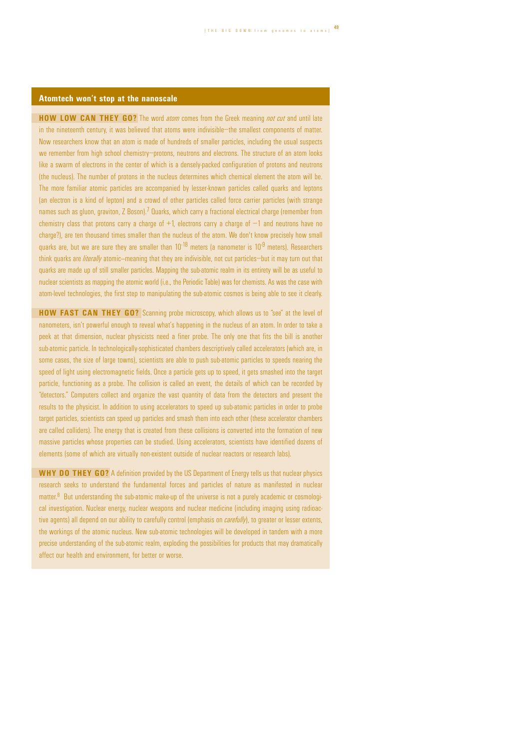#### Atomtech won't stop at the nanoscale

HOW LOW CAN THEY GO? The word atom comes from the Greek meaning not cut and until late in the nineteenth century, it was believed that atoms were indivisible–the smallest components of matter. Now researchers know that an atom is made of hundreds of smaller particles, including the usual suspects we remember from high school chemistry–protons, neutrons and electrons. The structure of an atom looks like a swarm of electrons in the center of which is a densely-packed configuration of protons and neutrons (the nucleus). The number of protons in the nucleus determines which chemical element the atom will be. The more familiar atomic particles are accompanied by lesser-known particles called quarks and leptons (an electron is a kind of lepton) and a crowd of other particles called force carrier particles (with strange names such as gluon, graviton, Z Boson).<sup>7</sup> Quarks, which carry a fractional electrical charge (remember from chemistry class that protons carry a charge of  $+1$ , electrons carry a charge of  $-1$  and neutrons have no charge?), are ten thousand times smaller than the nucleus of the atom. We don't know precisely how small quarks are, but we are sure they are smaller than  $10^{-18}$  meters (a nanometer is  $10^{-9}$  meters). Researchers think quarks are *literally* atomic—meaning that they are indivisible, not cut particles—but it may turn out that quarks are made up of still smaller particles. Mapping the sub-atomic realm in its entirety will be as useful to nuclear scientists as mapping the atomic world (i.e., the Periodic Table) was for chemists. As was the case with atom-level technologies, the first step to manipulating the sub-atomic cosmos is being able to see it clearly.

HOW FAST CAN THEY GO? Scanning probe microscopy, which allows us to "see" at the level of nanometers, isn't powerful enough to reveal what's happening in the nucleus of an atom. In order to take a peek at that dimension, nuclear physicists need a finer probe. The only one that fits the bill is another sub-atomic particle. In technologically-sophisticated chambers descriptively called accelerators (which are, in some cases, the size of large towns), scientists are able to push sub-atomic particles to speeds nearing the speed of light using electromagnetic fields. Once a particle gets up to speed, it gets smashed into the target particle, functioning as a probe. The collision is called an event, the details of which can be recorded by "detectors." Computers collect and organize the vast quantity of data from the detectors and present the results to the physicist. In addition to using accelerators to speed up sub-atomic particles in order to probe target particles, scientists can speed up particles and smash them into each other (these accelerator chambers are called colliders). The energy that is created from these collisions is converted into the formation of new massive particles whose properties can be studied. Using accelerators, scientists have identified dozens of elements (some of which are virtually non-existent outside of nuclear reactors or research labs).

WHY DO THEY GO? A definition provided by the US Department of Energy tells us that nuclear physics research seeks to understand the fundamental forces and particles of nature as manifested in nuclear matter.<sup>8</sup> But understanding the sub-atomic make-up of the universe is not a purely academic or cosmological investigation. Nuclear energy, nuclear weapons and nuclear medicine (including imaging using radioactive agents) all depend on our ability to carefully control (emphasis on *carefully*), to greater or lesser extents, the workings of the atomic nucleus. New sub-atomic technologies will be developed in tandem with a more precise understanding of the sub-atomic realm, exploding the possibilities for products that may dramatically affect our health and environment, for better or worse.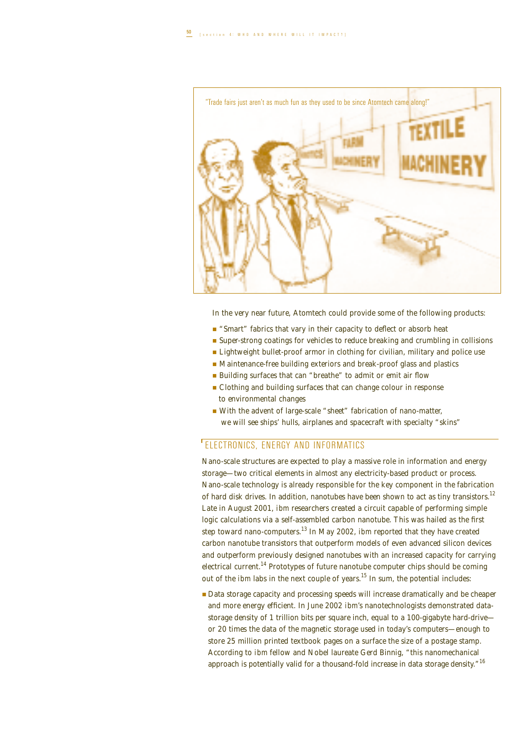

In the very near future, Atomtech could provide some of the following products:

- **Smart**" fabrics that vary in their capacity to deflect or absorb heat
- **Example 3 Super-strong coatings for vehicles to reduce breaking and crumbling in collisions**
- **Example 1** Lightweight bullet-proof armor in clothing for civilian, military and police use
- **IF** Maintenance-free building exteriors and break-proof glass and plastics
- Building surfaces that can "breathe" to admit or emit air flow
- Clothing and building surfaces that can change colour in response to environmental changes
- With the advent of large-scale "sheet" fabrication of nano-matter, we will see ships' hulls, airplanes and spacecraft with specialty "skins"

# ELECTRONICS, ENERGY AND INFORMATICS

Nano-scale structures are expected to play a massive role in information and energy storage—two critical elements in almost any electricity-based product or process. Nano-scale technology is already responsible for the key component in the fabrication of hard disk drives. In addition, nanotubes have been shown to act as tiny transistors.<sup>12</sup> Late in August 2001, ibm researchers created a circuit capable of performing simple logic calculations via a self-assembled carbon nanotube. This was hailed as the first step toward nano-computers.<sup>13</sup> In May 2002, ibm reported that they have created carbon nanotube transistors that outperform models of even advanced silicon devices and outperform previously designed nanotubes with an increased capacity for carrying electrical current.<sup>14</sup> Prototypes of future nanotube computer chips should be coming out of the ibm labs in the next couple of years.<sup>15</sup> In sum, the potential includes:

- Data storage capacity and processing speeds will increase dramatically and be cheaper and more energy efficient. In June 2002 ibm's nanotechnologists demonstrated datastorage density of 1 trillion bits per square inch, equal to a 100-gigabyte hard-drive or 20 times the data of the magnetic storage used in today's computers—enough to store 25 million printed textbook pages on a surface the size of a postage stamp. According to ibm fellow and Nobel laureate Gerd Binnig, "this nanomechanical approach is potentially valid for a thousand-fold increase in data storage density."<sup>16</sup>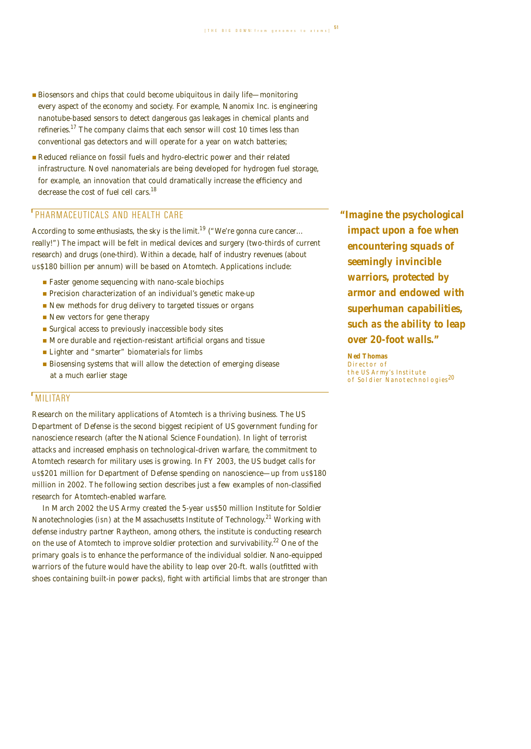- Biosensors and chips that could become ubiquitous in daily life—monitoring every aspect of the economy and society. For example, Nanomix Inc. is engineering nanotube-based sensors to detect dangerous gas leakages in chemical plants and refineries.<sup>17</sup> The company claims that each sensor will cost 10 times less than conventional gas detectors and will operate for a year on watch batteries;
- Reduced reliance on fossil fuels and hydro-electric power and their related infrastructure. Novel nanomaterials are being developed for hydrogen fuel storage, for example, an innovation that could dramatically increase the efficiency and decrease the cost of fuel cell cars.<sup>18</sup>

# PHARMACEUTICALS AND HEALTH CARE

According to some enthusiasts, the sky is the limit.<sup>19</sup> ("We're gonna cure cancer... really!") The impact will be felt in medical devices and surgery (two-thirds of current research) and drugs (one-third). Within a decade, half of industry revenues (about us\$180 billion per annum) will be based on Atomtech. Applications include:

- **Easter genome sequencing with nano-scale biochips**
- **Precision characterization of an individual's genetic make-up**
- New methods for drug delivery to targeted tissues or organs
- **New vectors for gene therapy**
- Surgical access to previously inaccessible body sites
- More durable and rejection-resistant artificial organs and tissue
- Lighter and "smarter" biomaterials for limbs
- **Biosensing systems that will allow the detection of emerging disease** at a much earlier stage

*"Imagine the psychological impact upon a foe when encountering squads of seemingly invincible warriors, protected by armor and endowed with superhuman capabilities, such as the ability to leap over 20-foot walls."* 

#### **Ned Thomas**

Director of the US Army's Institute of Soldier Nanotechnologies20

# **MILITARY**

Research on the military applications of Atomtech is a thriving business. The US Department of Defense is the second biggest recipient of US government funding for nanoscience research (after the National Science Foundation). In light of terrorist attacks and increased emphasis on technological-driven warfare, the commitment to Atomtech research for military uses is growing. In FY 2003, the US budget calls for us\$201 million for Department of Defense spending on nanoscience—up from us\$180 million in 2002. The following section describes just a few examples of non-classified research for Atomtech-enabled warfare.

In March 2002 the US Army created the 5-year us\$50 million Institute for Soldier Nanotechnologies (isn) at the Massachusetts Institute of Technology.<sup>21</sup> Working with defense industry partner Raytheon, among others, the institute is conducting research on the use of Atomtech to improve soldier protection and survivability.<sup>22</sup> One of the primary goals is to enhance the performance of the individual soldier. Nano-equipped warriors of the future would have the ability to leap over 20-ft. walls (outfitted with shoes containing built-in power packs), fight with artificial limbs that are stronger than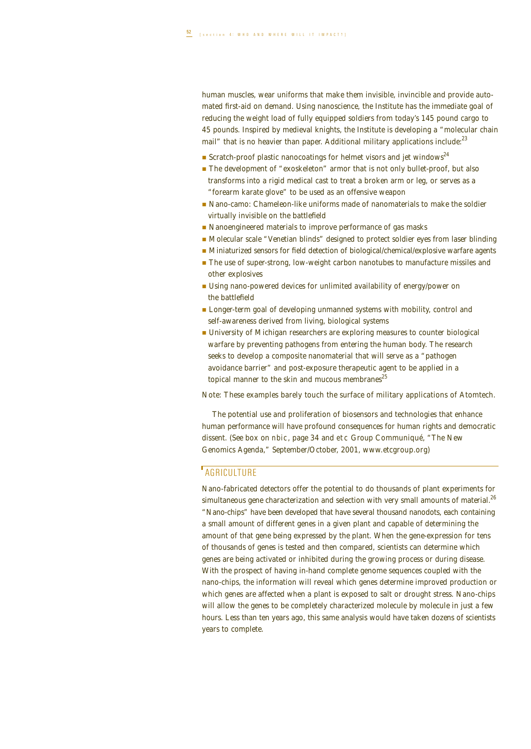human muscles, wear uniforms that make them invisible, invincible and provide automated first-aid on demand. Using nanoscience, the Institute has the immediate goal of reducing the weight load of fully equipped soldiers from today's 145 pound cargo to 45 pounds. Inspired by medieval knights, the Institute is developing a "molecular chain mail" that is no heavier than paper. Additional military applications include:<sup>23</sup>

- Scratch-proof plastic nanocoatings for helmet visors and jet windows<sup>24</sup>
- **The development of "exoskeleton" armor that is not only bullet-proof, but also** transforms into a rigid medical cast to treat a broken arm or leg, or serves as a "forearm karate glove" to be used as an offensive weapon
- **Nano-camo: Chameleon-like uniforms made of nanomaterials to make the soldier** virtually invisible on the battlefield
- **Nanoengineered materials to improve performance of gas masks**
- **Molecular scale "Venetian blinds" designed to protect soldier eyes from laser blinding**
- **Miniaturized sensors for field detection of biological/chemical/explosive warfare agents**
- **The use of super-strong, low-weight carbon nanotubes to manufacture missiles and** other explosives
- Using nano-powered devices for unlimited availability of energy/power on the battlefield
- **Longer-term goal of developing unmanned systems with mobility, control and** self-awareness derived from living, biological systems
- **University of Michigan researchers are exploring measures to counter biological** warfare by preventing pathogens from entering the human body. The research seeks to develop a composite nanomaterial that will serve as a "pathogen avoidance barrier" and post-exposure therapeutic agent to be applied in a topical manner to the skin and mucous membranes<sup>25</sup>

*Note: These examples barely touch the surface of military applications of Atomtech.*

The potential use and proliferation of biosensors and technologies that enhance human performance will have profound consequences for human rights and democratic dissent. (See box on nbic, page 34 and etc Group *Communiqué*, "The New Genomics Agenda," September/October, 2001, *www.etcgroup.org*)

## **AGRICULTURE**

Nano-fabricated detectors offer the potential to do thousands of plant experiments for simultaneous gene characterization and selection with very small amounts of material.<sup>26</sup> "Nano-chips" have been developed that have several thousand nanodots, each containing a small amount of different genes in a given plant and capable of determining the amount of that gene being expressed by the plant. When the gene-expression for tens of thousands of genes is tested and then compared, scientists can determine which genes are being activated or inhibited during the growing process or during disease. With the prospect of having in-hand complete genome sequences coupled with the nano-chips, the information will reveal which genes determine improved production or which genes are affected when a plant is exposed to salt or drought stress. Nano-chips will allow the genes to be completely characterized molecule by molecule in just a few hours. Less than ten years ago, this same analysis would have taken dozens of scientists years to complete.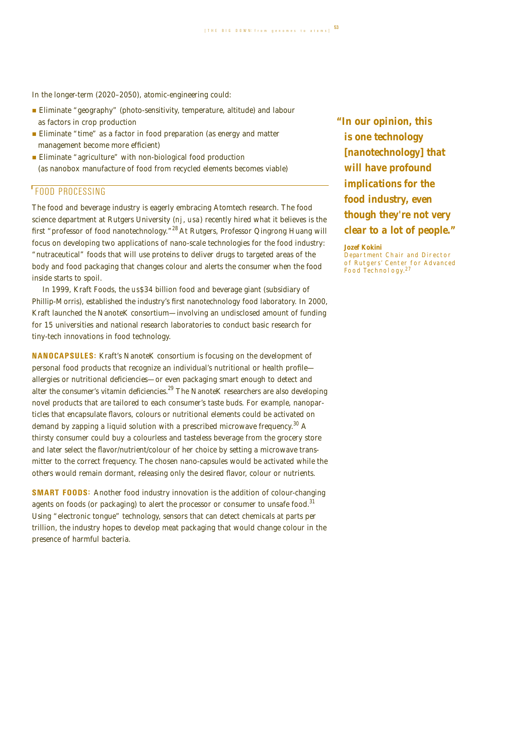In the longer-term (2020–2050), atomic-engineering could:

- **Eliminate** "geography" (photo-sensitivity, temperature, altitude) and labour as factors in crop production
- **Eliminate** "time" as a factor in food preparation (as energy and matter management become more efficient)
- **Eliminate "agriculture" with non-biological food production** (as nanobox manufacture of food from recycled elements becomes viable)

## FOOD PROCESSING

The food and beverage industry is eagerly embracing Atomtech research. The food science department at Rutgers University (nj, usa) recently hired what it believes is the first "professor of food nanotechnology."28 At Rutgers, Professor Qingrong Huang will focus on developing two applications of nano-scale technologies for the food industry: "nutraceutical" foods that will use proteins to deliver drugs to targeted areas of the body and food packaging that changes colour and alerts the consumer when the food inside starts to spoil.

In 1999, Kraft Foods, the us\$34 billion food and beverage giant (subsidiary of Phillip-Morris), established the industry's first nanotechnology food laboratory. In 2000, Kraft launched the NanoteK consortium—involving an undisclosed amount of funding for 15 universities and national research laboratories to conduct basic research for tiny-tech innovations in food technology.

NANOCAPSULES: Kraft's NanoteK consortium is focusing on the development of personal food products that recognize an individual's nutritional or health profile allergies or nutritional deficiencies—or even packaging smart enough to detect and alter the consumer's vitamin deficiencies.<sup>29</sup> The NanoteK researchers are also developing novel products that are tailored to each consumer's taste buds. For example, nanoparticles that encapsulate flavors, colours or nutritional elements could be activated on demand by zapping a liquid solution with a prescribed microwave frequency.<sup>30</sup> A thirsty consumer could buy a colourless and tasteless beverage from the grocery store and later select the flavor/nutrient/colour of her choice by setting a microwave transmitter to the correct frequency. The chosen nano-capsules would be activated while the others would remain dormant, releasing only the desired flavor, colour or nutrients.

SMART FOODS: Another food industry innovation is the addition of colour-changing agents on foods (or packaging) to alert the processor or consumer to unsafe food.<sup>31</sup> Using "electronic tongue" technology, sensors that can detect chemicals at parts per trillion, the industry hopes to develop meat packaging that would change colour in the presence of harmful bacteria.

*"In our opinion, this is one technology [nanotechnology] that will have profound implications for the food industry, even though they're not very clear to a lot of people."* 

**Jozef Kokini**

Department Chair and Director of Rutgers' Center for Advanced Food Technology.<sup>27</sup>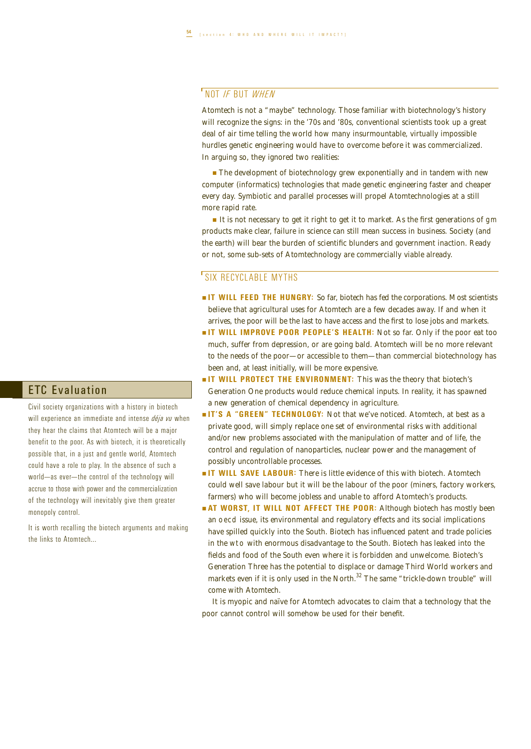# NOT IF BUT WHEN

Atomtech is not a "maybe" technology. Those familiar with biotechnology's history will recognize the signs: in the '70s and '80s, conventional scientists took up a great deal of air time telling the world how many insurmountable, virtually impossible hurdles genetic engineering would have to overcome before it was commercialized. In arguing so, they ignored two realities:

**The development of biotechnology grew exponentially and in tandem with new** computer (informatics) technologies that made genetic engineering faster and cheaper every day. Symbiotic and parallel processes will propel Atomtechnologies at a still more rapid rate.

It is not necessary to get it right to get it to market. As the first generations of gm products make clear, failure in science can still mean success in business. Society (and the earth) will bear the burden of scientific blunders and government inaction. Ready or not, some sub-sets of Atomtechnology are commercially viable already.

# **SIX RECYCLABLE MYTHS**

- **IT WILL FEED THE HUNGRY:** So far, biotech has fed the corporations. Most scientists believe that agricultural uses for Atomtech are a few decades away. If and when it arrives, the poor will be the last to have access and the first to lose jobs and markets.
- **IT WILL IMPROVE POOR PEOPLE'S HEALTH:** Not so far. Only if the poor eat too much, suffer from depression, or are going bald. Atomtech will be no more relevant to the needs of the poor—or accessible to them—than commercial biotechnology has been and, at least initially, will be more expensive.
- **IT WILL PROTECT THE ENVIRONMENT:** This was the theory that biotech's Generation One products would reduce chemical inputs. In reality, it has spawned a new generation of chemical dependency in agriculture.
- **IT'S A "GREEN" TECHNOLOGY:** Not that we've noticed. Atomtech, at best as a private good, will simply replace one set of environmental risks with additional and/or new problems associated with the manipulation of matter and of life, the control and regulation of nanoparticles, nuclear power and the management of possibly uncontrollable processes.
- **IT WILL SAVE LABOUR:** There is little evidence of this with biotech. Atomtech could well save labour but it will be the labour of the poor (miners, factory workers, farmers) who will become jobless and unable to afford Atomtech's products.
- **AT WORST, IT WILL NOT AFFECT THE POOR:** Although biotech has mostly been an oecd issue, its environmental and regulatory effects and its social implications have spilled quickly into the South. Biotech has influenced patent and trade policies in the wto with enormous disadvantage to the South. Biotech has leaked into the fields and food of the South even where it is forbidden and unwelcome. Biotech's Generation Three has the potential to displace or damage Third World workers and markets even if it is only used in the North.<sup>32</sup> The same "trickle-down trouble" will come with Atomtech.

It is myopic and naïve for Atomtech advocates to claim that a technology that the poor cannot control will somehow be used for their benefit.

# ETC Evaluation

Civil society organizations with a history in biotech will experience an immediate and intense  $d\acute{e}j\acute{a}$  vu when they hear the claims that Atomtech will be a major benefit to the poor. As with biotech, it is theoretically possible that, in a just and gentle world, Atomtech could have a role to play. In the absence of such a world—as ever—the control of the technology will accrue to those with power and the commercialization of the technology will inevitably give them greater monopoly control.

It is worth recalling the biotech arguments and making the links to Atomtech...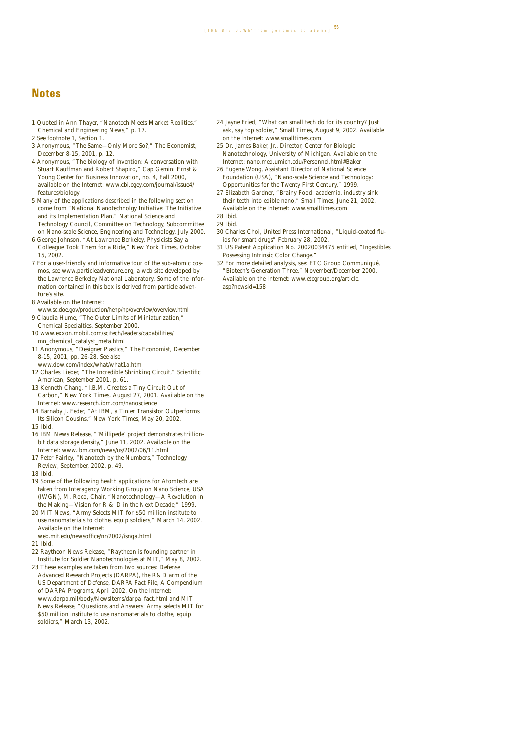# **Notes**

- 1 Quoted in Ann Thayer, "Nanotech Meets Market Realities," *Chemical and Engineering News*," p. 17.
- 2 See footnote 1, Section 1.
- 3 Anonymous, "The Same—Only More So?," *The Economist*, December 8-15, 2001, p. 12.
- 4 Anonymous, "The biology of invention: A conversation with Stuart Kauffman and Robert Shapiro," *Cap Gemini Ernst & Young Center for Business Innovation*, no. 4, Fall 2000, available on the Internet: www.cbi.cgey.com/journal/issue4/ features/biology
- 5 Many of the applications described in the following section come from "National Nanotechnolgy Initiative: The Initiative and its Implementation Plan," National Science and Technology Council, Committee on Technology, Subcommittee on Nano-scale Science, Engineering and Technology, July 2000.
- 6 George Johnson, "At Lawrence Berkeley, Physicists Say a Colleague Took Them for a Ride," *New York Times*, October 15, 2002.
- 7 For a user-friendly and informative tour of the sub-atomic cosmos, see www.particleadventure.org, a web site developed by the Lawrence Berkeley National Laboratory. Some of the information contained in this box is derived from particle adventure's site.
- 8 Available on the Internet:
- www.sc.doe.gov/production/henp/np/overview/overview.html 9 Claudia Hume, "The Outer Limits of Miniaturization,"
- *Chemical Specialties*, September 2000. 10 www.exxon.mobil.com/scitech/leaders/capabilities/
- mn\_chemical\_catalyst\_meta.html 11 Anonymous, "Designer Plastics," *The Economist*, December
- 8-15, 2001, pp. 26-28. See also www.dow.com/index/what/what1a.htm
- 
- 12 Charles Lieber, "The Incredible Shrinking Circuit," *Scientific American*, September 2001, p. 61.
- 13 Kenneth Chang, "I.B.M. Creates a Tiny Circuit Out of Carbon," *New York Times*, August 27, 2001. Available on the Internet: www.research.ibm.com/nanoscience
- 14 Barnaby J. Feder, "At IBM, a Tinier Transistor Outperforms Its Silicon Cousins," *New York Times*, May 20, 2002.
- 15 *Ibid*.
- 16 IBM News Release, "'Millipede' project demonstrates trillionbit data storage density," June 11, 2002. Available on the Internet: www.ibm.com/news/us/2002/06/11.html
- 17 Peter Fairley, "Nanotech by the Numbers," *Technology Review*, September, 2002, p. 49.
- 18 *Ibid*.
- 19 Some of the following health applications for Atomtech are taken from Interagency Working Group on Nano Science, USA (IWGN), M. Roco, Chair, "Nanotechnology—A Revolution in
- the Making—Vision for R & D in the Next Decade," 1999. 20 MIT News, "Army Selects MIT for \$50 million institute to use nanomaterials to clothe, equip soldiers," March 14, 2002.
- Available on the Internet: web.mit.edu/newsoffice/nr/2002/isnqa.html
- 21 *Ibid*.
- 22 Raytheon News Release, "Raytheon is founding partner in Institute for Soldier Nanotechnologies at MIT," May 8, 2002. 23 These examples are taken from two sources: Defense
- Advanced Research Projects (DARPA), the R&D arm of the US Department of Defense, DARPA Fact File, A Compendium of DARPA Programs, April 2002. On the Internet: www.darpa.mil/body/NewsItems/darpa\_fact.html and MIT News Release, "Questions and Answers: Army selects MIT for \$50 million institute to use nanomaterials to clothe, equip soldiers," March 13, 2002.
- 24 Jayne Fried, "What can small tech do for its country? Just ask, say top soldier," *Small Times*, August 9, 2002. Available on the Internet: www.smalltimes.com
- 25 Dr. James Baker, Jr., Director, Center for Biologic Nanotechnology, University of Michigan. Available on the Internet: nano.med.umich.edu/Personnel.html#Baker
- 26 Eugene Wong, Assistant Director of National Science Foundation (USA), "Nano-scale Science and Technology: Opportunities for the Twenty First Century," 1999.
- 27 Elizabeth Gardner, "Brainy Food: academia, industry sink their teeth into edible nano," *Small Times*, June 21, 2002. Available on the Internet: www.smalltimes.com
- 28 *Ibid*.
- 29 *Ibid*.
- 30 Charles Choi, United Press International, "Liquid-coated fluids for smart drugs" February 28, 2002.
- 31 US Patent Application No. 20020034475 entitled, "Ingestibles Possessing Intrinsic Color Change."
- 32 For more detailed analysis, see: ETC Group *Communiqué*, "Biotech's Generation Three," November/December 2000. Available on the Internet: www.etcgroup.org/article. asp?newsid=158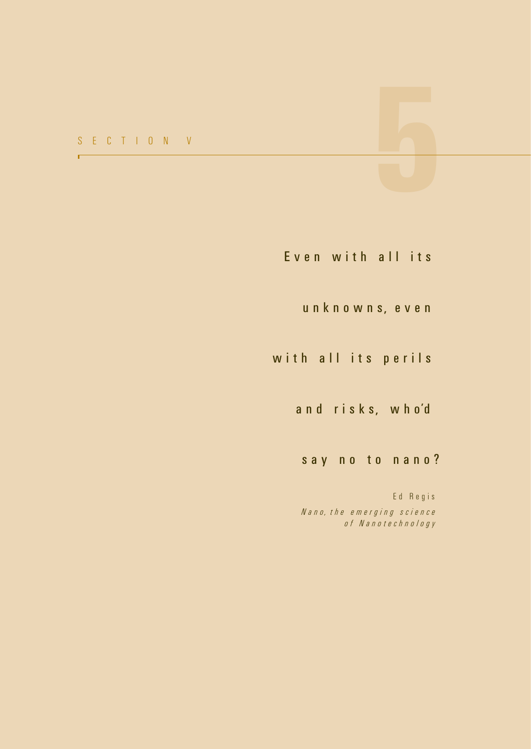Even with all its

unknowns, even

with all its perils

and risks, who'd

# say no to nano?

Ed Regis N a n o, the emerging science of Nanotechnology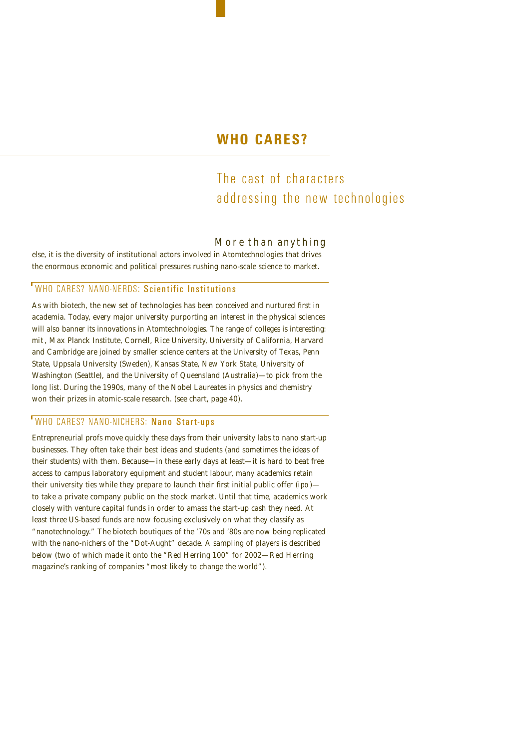# WHO CARES?

The cast of characters addressing the new technologies

## More than anything

else, it is the diversity of institutional actors involved in Atomtechnologies that drives the enormous economic and political pressures rushing nano-scale science to market.

# WHO CARES? NANO-NERDS: Scientific Institutions

As with biotech, the new set of technologies has been conceived and nurtured first in academia. Today, every major university purporting an interest in the physical sciences will also banner its innovations in Atomtechnologies. The range of colleges is interesting: mit, Max Planck Institute, Cornell, Rice University, University of California, Harvard and Cambridge are joined by smaller science centers at the University of Texas, Penn State, Uppsala University (Sweden), Kansas State, New York State, University of Washington (Seattle), and the University of Queensland (Australia)—to pick from the long list. During the 1990s, many of the Nobel Laureates in physics and chemistry won their prizes in atomic-scale research. (see chart, page 40).

# WHO CARES? NANO-NICHERS: Nano Start-ups

Entrepreneurial profs move quickly these days from their university labs to nano start-up businesses. They often take their best ideas and students (and sometimes the ideas of their students) with them. Because—in these early days at least—it is hard to beat free access to campus laboratory equipment and student labour, many academics retain their university ties while they prepare to launch their first initial public offer (ipo) to take a private company public on the stock market. Until that time, academics work closely with venture capital funds in order to amass the start-up cash they need. At least three US-based funds are now focusing exclusively on what they classify as "nanotechnology." The biotech boutiques of the '70s and '80s are now being replicated with the nano-nichers of the "Dot-Aught" decade. A sampling of players is described below (two of which made it onto the "Red Herring 100" for 2002—*Red Herring* magazine's ranking of companies "most likely to change the world").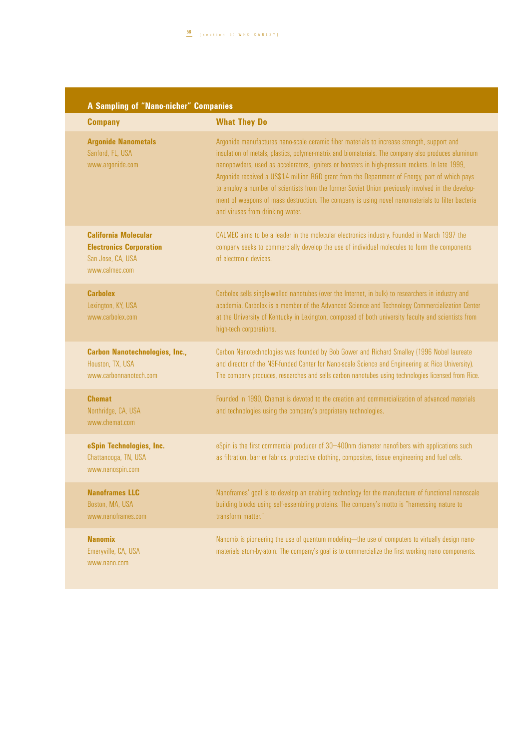| <b>A Sampling of "Nano-nicher" Companies</b>                                                         |                                                                                                                                                                                                                                                                                                                                                                                                                                                                                                                                                                                                                                                      |  |  |
|------------------------------------------------------------------------------------------------------|------------------------------------------------------------------------------------------------------------------------------------------------------------------------------------------------------------------------------------------------------------------------------------------------------------------------------------------------------------------------------------------------------------------------------------------------------------------------------------------------------------------------------------------------------------------------------------------------------------------------------------------------------|--|--|
| <b>Company</b>                                                                                       | <b>What They Do</b>                                                                                                                                                                                                                                                                                                                                                                                                                                                                                                                                                                                                                                  |  |  |
| <b>Argonide Nanometals</b><br>Sanford, FL, USA<br>www.argonide.com                                   | Argonide manufactures nano-scale ceramic fiber materials to increase strength, support and<br>insulation of metals, plastics, polymer-matrix and biomaterials. The company also produces aluminum<br>nanopowders, used as accelerators, igniters or boosters in high-pressure rockets. In late 1999,<br>Argonide received a US\$1.4 million R&D grant from the Department of Energy, part of which pays<br>to employ a number of scientists from the former Soviet Union previously involved in the develop-<br>ment of weapons of mass destruction. The company is using novel nanomaterials to filter bacteria<br>and viruses from drinking water. |  |  |
| <b>California Molecular</b><br><b>Electronics Corporation</b><br>San Jose, CA, USA<br>www.calmec.com | CALMEC aims to be a leader in the molecular electronics industry. Founded in March 1997 the<br>company seeks to commercially develop the use of individual molecules to form the components<br>of electronic devices.                                                                                                                                                                                                                                                                                                                                                                                                                                |  |  |
| <b>Carbolex</b><br>Lexington, KY, USA<br>www.carbolex.com                                            | Carbolex sells single-walled nanotubes (over the Internet, in bulk) to researchers in industry and<br>academia. Carbolex is a member of the Advanced Science and Technology Commercialization Center<br>at the University of Kentucky in Lexington, composed of both university faculty and scientists from<br>high-tech corporations.                                                                                                                                                                                                                                                                                                               |  |  |
| <b>Carbon Nanotechnologies, Inc.,</b><br>Houston, TX, USA<br>www.carbonnanotech.com                  | Carbon Nanotechnologies was founded by Bob Gower and Richard Smalley (1996 Nobel laureate<br>and director of the NSF-funded Center for Nano-scale Science and Engineering at Rice University).<br>The company produces, researches and sells carbon nanotubes using technologies licensed from Rice.                                                                                                                                                                                                                                                                                                                                                 |  |  |
| <b>Chemat</b><br>Northridge, CA, USA<br>www.chemat.com                                               | Founded in 1990, Chemat is devoted to the creation and commercialization of advanced materials<br>and technologies using the company's proprietary technologies.                                                                                                                                                                                                                                                                                                                                                                                                                                                                                     |  |  |
| eSpin Technologies, Inc.<br>Chattanooga, TN, USA<br>www.nanospin.com                                 | eSpin is the first commercial producer of 30-400nm diameter nanofibers with applications such<br>as filtration, barrier fabrics, protective clothing, composites, tissue engineering and fuel cells.                                                                                                                                                                                                                                                                                                                                                                                                                                                 |  |  |
| <b>Nanoframes LLC</b><br>Boston, MA, USA<br>www.nanoframes.com                                       | Nanoframes' goal is to develop an enabling technology for the manufacture of functional nanoscale<br>building blocks using self-assembling proteins. The company's motto is "harnessing nature to<br>transform matter."                                                                                                                                                                                                                                                                                                                                                                                                                              |  |  |
| <b>Nanomix</b><br>Emeryville, CA, USA<br>www.nano.com                                                | Nanomix is pioneering the use of quantum modeling-the use of computers to virtually design nano-<br>materials atom-by-atom. The company's goal is to commercialize the first working nano components.                                                                                                                                                                                                                                                                                                                                                                                                                                                |  |  |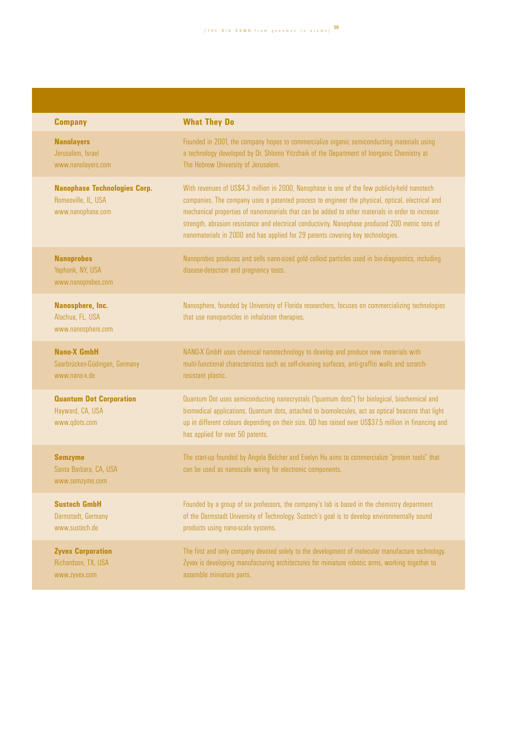| <b>Company</b>                                                                  | <b>What They Do</b>                                                                                                                                                                                                                                                                                                                                                                                                                                                                         |
|---------------------------------------------------------------------------------|---------------------------------------------------------------------------------------------------------------------------------------------------------------------------------------------------------------------------------------------------------------------------------------------------------------------------------------------------------------------------------------------------------------------------------------------------------------------------------------------|
| <b>Nanolayers</b><br>Jerusalem, Israel<br>www.nanolayers.com                    | Founded in 2001, the company hopes to commercialize organic semiconducting materials using<br>a technology developed by Dr. Shlomo Yitzchaik of the Department of Inorganic Chemistry at<br>The Hebrew University of Jerusalem.                                                                                                                                                                                                                                                             |
| <b>Nanophase Technologies Corp.</b><br>Romeoville, IL, USA<br>www.nanophase.com | With revenues of US\$4.3 million in 2000, Nanophase is one of the few publicly-held nanotech<br>companies. The company uses a patented process to engineer the physical, optical, electrical and<br>mechanical properties of nanomaterials that can be added to other materials in order to increase<br>strength, abrasion resistance and electrical conductivity. Nanophase produced 200 metric tons of<br>nanomaterials in 2000 and has applied for 29 patents covering key technologies. |
| <b>Nanoprobes</b><br>Yaphank, NY, USA<br>www.nanoprobes.com                     | Nanoprobes produces and sells nano-sized gold colloid particles used in bio-diagnostics, including<br>disease-detection and pregnancy tests.                                                                                                                                                                                                                                                                                                                                                |
| Nanosphere, Inc.<br>Alachua, FL, USA<br>www.nanosphere.com                      | Nanosphere, founded by University of Florida researchers, focuses on commercializing technologies<br>that use nanoparticles in inhalation therapies.                                                                                                                                                                                                                                                                                                                                        |
| <b>Nano-X GmbH</b><br>Saarbrücken-Güdingen, Germany<br>www.nano-x.de            | NANO-X GmbH uses chemical nanotechnology to develop and produce new materials with<br>multi-functional characteristics such as self-cleaning surfaces, anti-graffiti walls and scratch-<br>resistant plastic.                                                                                                                                                                                                                                                                               |
| <b>Quantum Dot Corporation</b><br>Hayward, CA, USA<br>www.qdots.com             | Quantum Dot uses semiconducting nanocrystals ("quantum dots") for biological, biochemical and<br>biomedical applications. Quantum dots, attached to biomolecules, act as optical beacons that light<br>up in different colours depending on their size. QD has raised over US\$37.5 million in financing and<br>has applied for over 50 patents.                                                                                                                                            |
| <b>Semzyme</b><br>Santa Barbara, CA, USA<br>www.semzyme.com                     | The start-up founded by Angela Belcher and Evelyn Hu aims to commercialize "protein tools" that<br>can be used as nanoscale wiring for electronic components.                                                                                                                                                                                                                                                                                                                               |
| <b>Sustech GmbH</b><br>Darmstadt, Germany<br>www.sustech.de                     | Founded by a group of six professors, the company's lab is based in the chemistry department<br>of the Darmstadt University of Technology. Sustech's goal is to develop environmentally sound<br>products using nano-scale systems.                                                                                                                                                                                                                                                         |
| <b>Zyvex Corporation</b><br>Richardson, TX, USA<br>www.zyvex.com                | The first and only company devoted solely to the development of molecular manufacture technology.<br>Zyvex is developing manufacturing architectures for miniature robotic arms, working together to<br>assemble miniature parts.                                                                                                                                                                                                                                                           |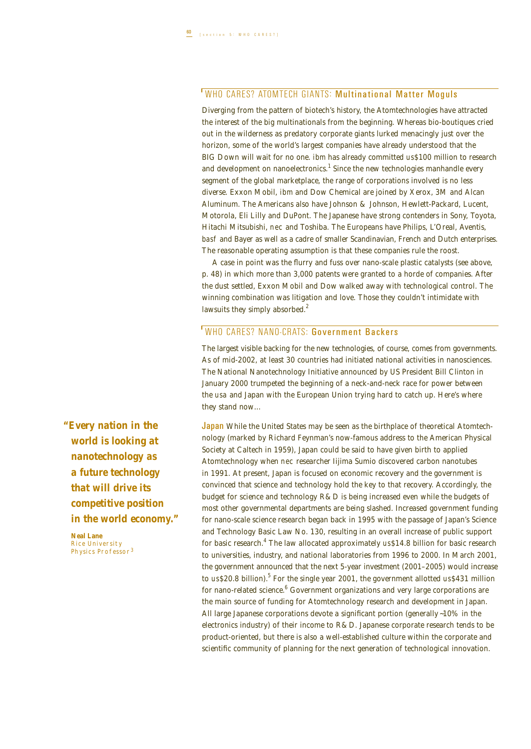## WHO CARES? ATOMTECH GIANTS: Multinational Matter Moguls

Diverging from the pattern of biotech's history, the Atomtechnologies have attracted the interest of the big multinationals from the beginning. Whereas bio-boutiques cried out in the wilderness as predatory corporate giants lurked menacingly just over the horizon, some of the world's largest companies have already understood that the BIG *Down* will wait for no one. ibm has already committed us\$100 million to research and development on nanoelectronics.<sup>1</sup> Since the new technologies manhandle every segment of the global marketplace, the range of corporations involved is no less diverse. Exxon Mobil, ibm and Dow Chemical are joined by Xerox, 3M and Alcan Aluminum. The Americans also have Johnson & Johnson, Hewlett-Packard, Lucent, Motorola, Eli Lilly and DuPont. The Japanese have strong contenders in Sony, Toyota, Hitachi Mitsubishi, nec and Toshiba. The Europeans have Philips, L'Oreal, Aventis, basf and Bayer as well as a cadre of smaller Scandinavian, French and Dutch enterprises. The reasonable operating assumption is that these companies rule the roost.

A case in point was the flurry and fuss over nano-scale plastic catalysts (see above, p. 48) in which more than 3,000 patents were granted to a horde of companies. After the dust settled, Exxon Mobil and Dow walked away with technological control. The winning combination was litigation and love. Those they couldn't intimidate with lawsuits they simply absorbed.<sup>2</sup>

# WHO CARES? NANO-CRATS: Government Backers

The largest visible backing for the new technologies, of course, comes from governments. As of mid-2002, at least 30 countries had initiated national activities in nanosciences. The National Nanotechnology Initiative announced by US President Bill Clinton in January 2000 trumpeted the beginning of a neck-and-neck race for power between the usa and Japan with the European Union trying hard to catch up. Here's where they stand now…

Japan While the United States may be seen as the birthplace of theoretical Atomtechnology (marked by Richard Feynman's now-famous address to the American Physical Society at Caltech in 1959), Japan could be said to have given birth to applied Atomtechnology when nec researcher Iijima Sumio discovered carbon nanotubes in 1991. At present, Japan is focused on economic recovery and the government is convinced that science and technology hold the key to that recovery. Accordingly, the budget for science and technology R&D is being increased even while the budgets of most other governmental departments are being slashed. Increased government funding for nano-scale science research began back in 1995 with the passage of Japan's Science and Technology Basic Law No. 130, resulting in an overall increase of public support for basic research.<sup>4</sup> The law allocated approximately us\$14.8 billion for basic research to universities, industry, and national laboratories from 1996 to 2000. In March 2001, the government announced that the next 5-year investment (2001–2005) would increase to us\$20.8 billion).<sup>5</sup> For the single year 2001, the government allotted us\$431 million for nano-related science. $6$  Government organizations and very large corporations are the main source of funding for Atomtechnology research and development in Japan. All large Japanese corporations devote a significant portion (generally~10% in the electronics industry) of their income to R&D. Japanese corporate research tends to be product-oriented, but there is also a well-established culture within the corporate and scientific community of planning for the next generation of technological innovation.

*"Every nation in the world is looking at nanotechnology as a future technology that will drive its competitive position in the world economy."*

**Neal Lane** Rice University Physics Professor<sup>3</sup>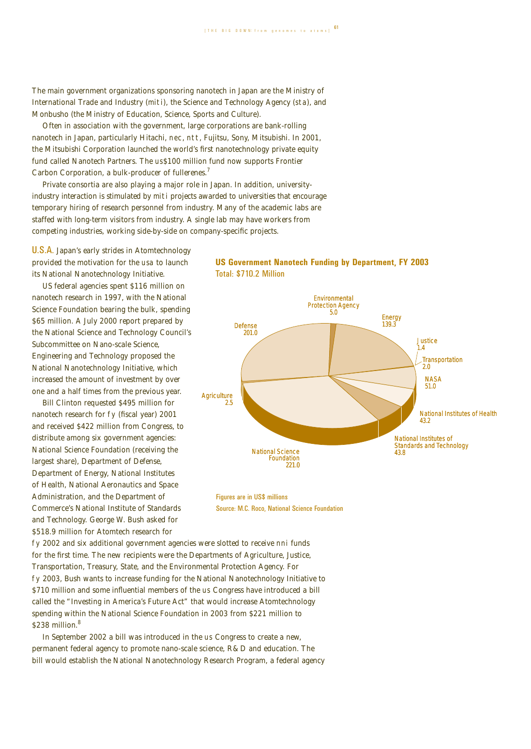The main government organizations sponsoring nanotech in Japan are the Ministry of International Trade and Industry (miti), the Science and Technology Agency (sta), and Monbusho (the Ministry of Education, Science, Sports and Culture).

Often in association with the government, large corporations are bank-rolling nanotech in Japan, particularly Hitachi, nec, ntt, Fujitsu, Sony, Mitsubishi. In 2001, the Mitsubishi Corporation launched the world's first nanotechnology private equity fund called Nanotech Partners. The us\$100 million fund now supports Frontier Carbon Corporation, a bulk-producer of fullerenes.<sup>7</sup>

Private consortia are also playing a major role in Japan. In addition, universityindustry interaction is stimulated by miti projects awarded to universities that encourage temporary hiring of research personnel from industry. Many of the academic labs are staffed with long-term visitors from industry. A single lab may have workers from competing industries, working side-by-side on company-specific projects.

U.S.A. Japan's early strides in Atomtechnology provided the motivation for the usa to launch its National Nanotechnology Initiative.

US federal agencies spent \$116 million on nanotech research in 1997, with the National Science Foundation bearing the bulk, spending \$65 million. A July 2000 report prepared by the National Science and Technology Council's Subcommittee on Nano-scale Science, Engineering and Technology proposed the National Nanotechnology Initiative, which increased the amount of investment by over one and a half times from the previous year.

Bill Clinton requested \$495 million for nanotech research for fy (fiscal year) 2001 and received \$422 million from Congress, to distribute among six government agencies: National Science Foundation (receiving the largest share), Department of Defense, Department of Energy, National Institutes of Health, National Aeronautics and Space Administration, and the Department of Commerce's National Institute of Standards and Technology. George W. Bush asked for \$518.9 million for Atomtech research for

Energy<br>139.3 Defense 139.3 201.0 **Agriculture** 2.5 National Science Foundation **Environmental** Protection Agency  $\overline{5.0}$ **Justice** 1.4 Transportation 2.0 **NASA** 51.0 National Institutes of Health 43.2 National Institutes of Standards and Technology 43.8

Figures are in US\$ millions Source: M.C. Roco, National Science Foundation

221.0

fy 2002 and six additional government agencies were slotted to receive nni funds for the first time. The new recipients were the Departments of Agriculture, Justice, Transportation, Treasury, State, and the Environmental Protection Agency. For fy 2003, Bush wants to increase funding for the National Nanotechnology Initiative to \$710 million and some influential members of the us Congress have introduced a bill called the "Investing in America's Future Act" that would increase Atomtechnology spending within the National Science Foundation in 2003 from \$221 million to \$238 million.<sup>8</sup>

In September 2002 a bill was introduced in the us Congress to create a new, permanent federal agency to promote nano-scale science, R&D and education. The bill would establish the National Nanotechnology Research Program, a federal agency

# US Government Nanotech Funding by Department, FY 2003 Total: \$710.2 Million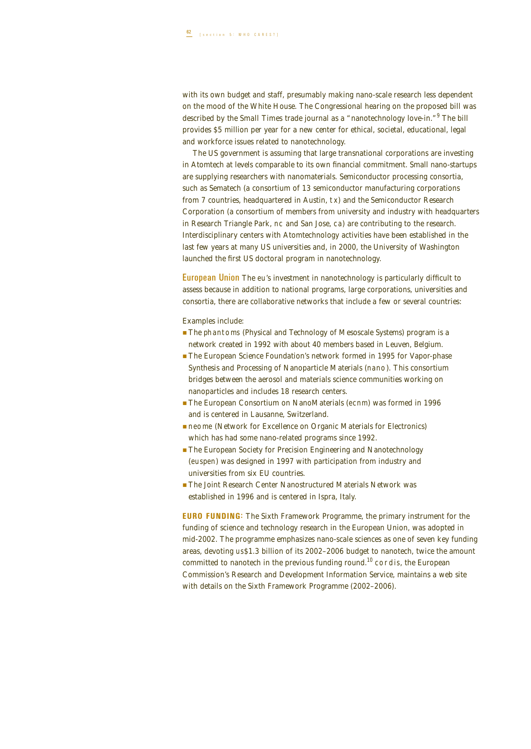with its own budget and staff, presumably making nano-scale research less dependent on the mood of the White House. The Congressional hearing on the proposed bill was described by the *Small Times* trade journal as a "nanotechnology love-in."<sup>9</sup> The bill provides \$5 million per year for a new center for ethical, societal, educational, legal and workforce issues related to nanotechnology.

The US government is assuming that large transnational corporations are investing in Atomtech at levels comparable to its own financial commitment. Small nano-startups are supplying researchers with nanomaterials. Semiconductor processing consortia, such as Sematech (a consortium of 13 semiconductor manufacturing corporations from 7 countries, headquartered in Austin, tx) and the Semiconductor Research Corporation (a consortium of members from university and industry with headquarters in Research Triangle Park, nc and San Jose, ca) are contributing to the research. Interdisciplinary centers with Atomtechnology activities have been established in the last few years at many US universities and, in 2000, the University of Washington launched the first US doctoral program in nanotechnology.

European Union The eu's investment in nanotechnology is particularly difficult to assess because in addition to national programs, large corporations, universities and consortia, there are collaborative networks that include a few or several countries:

Examples include:

- **The phantoms (Physical and Technology of Mesoscale Systems) program is a** network created in 1992 with about 40 members based in Leuven, Belgium.
- **The European Science Foundation's network formed in 1995 for Vapor-phase** Synthesis and Processing of Nanoparticle Materials (nano). This consortium bridges between the aerosol and materials science communities working on nanoparticles and includes 18 research centers.
- **The European Consortium on NanoMaterials (ecnm) was formed in 1996** and is centered in Lausanne, Switzerland.
- **neome (Network for Excellence on Organic Materials for Electronics)** which has had some nano-related programs since 1992.
- **The European Society for Precision Engineering and Nanotechnology** (euspen) was designed in 1997 with participation from industry and universities from six EU countries.
- The Joint Research Center Nanostructured Materials Network was established in 1996 and is centered in Ispra, Italy.

EURO FUNDING: The Sixth Framework Programme, the primary instrument for the funding of science and technology research in the European Union, was adopted in mid-2002. The programme emphasizes nano-scale sciences as one of seven key funding areas, devoting us\$1.3 billion of its 2002–2006 budget to nanotech, twice the amount committed to nanotech in the previous funding round.<sup>10</sup> cordis, the European Commission's Research and Development Information Service, maintains a web site with details on the Sixth Framework Programme (2002–2006).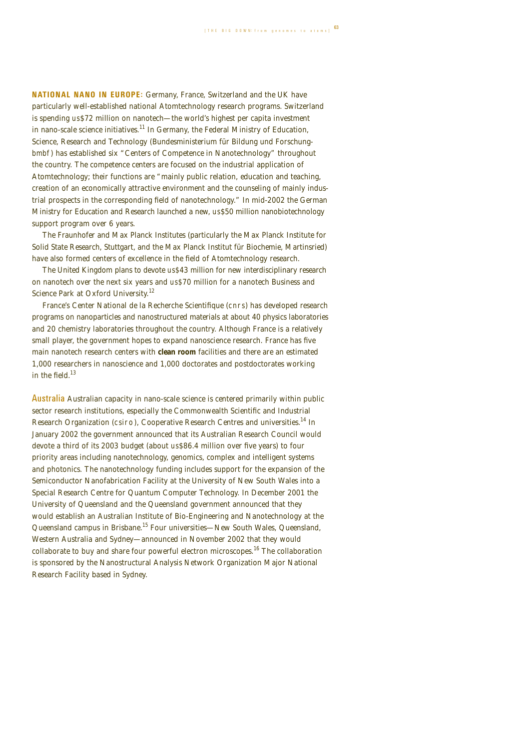NATIONAL NANO IN EUROPE: Germany, France, Switzerland and the UK have particularly well-established national Atomtechnology research programs. Switzerland is spending us\$72 million on nanotech—the world's highest per capita investment in nano-scale science initiatives. $^{11}$  In Germany, the Federal Ministry of Education, Science, Research and Technology (Bundesministerium für Bildung und Forschungbmbf) has established six "Centers of Competence in Nanotechnology" throughout the country. The competence centers are focused on the industrial application of Atomtechnology; their functions are "mainly public relation, education and teaching, creation of an economically attractive environment and the counseling of mainly industrial prospects in the corresponding field of nanotechnology." In mid-2002 the German Ministry for Education and Research launched a new, us\$50 million nanobiotechnology support program over 6 years.

The Fraunhofer and Max Planck Institutes (particularly the Max Planck Institute for Solid State Research, Stuttgart, and the Max Planck Institut für Biochemie, Martinsried) have also formed centers of excellence in the field of Atomtechnology research.

The United Kingdom plans to devote us\$43 million for new interdisciplinary research on nanotech over the next six years and us\$70 million for a nanotech Business and Science Park at Oxford University.<sup>12</sup>

France's Center National de la Recherche Scientifique (cnrs) has developed research programs on nanoparticles and nanostructured materials at about 40 physics laboratories and 20 chemistry laboratories throughout the country. Although France is a relatively small player, the government hopes to expand nanoscience research. France has five main nanotech research centers with **clean room** facilities and there are an estimated 1,000 researchers in nanoscience and 1,000 doctorates and postdoctorates working in the field. $13$ 

Australia Australian capacity in nano-scale science is centered primarily within public sector research institutions, especially the Commonwealth Scientific and Industrial Research Organization (csiro), Cooperative Research Centres and universities.<sup>14</sup> In January 2002 the government announced that its Australian Research Council would devote a third of its 2003 budget (about us\$86.4 million over five years) to four priority areas including nanotechnology, genomics, complex and intelligent systems and photonics. The nanotechnology funding includes support for the expansion of the Semiconductor Nanofabrication Facility at the University of New South Wales into a Special Research Centre for Quantum Computer Technology. In December 2001 the University of Queensland and the Queensland government announced that they would establish an Australian Institute of Bio-Engineering and Nanotechnology at the Queensland campus in Brisbane.<sup>15</sup> Four universities—New South Wales, Queensland, Western Australia and Sydney—announced in November 2002 that they would collaborate to buy and share four powerful electron microscopes.<sup>16</sup> The collaboration is sponsored by the Nanostructural Analysis Network Organization Major National Research Facility based in Sydney.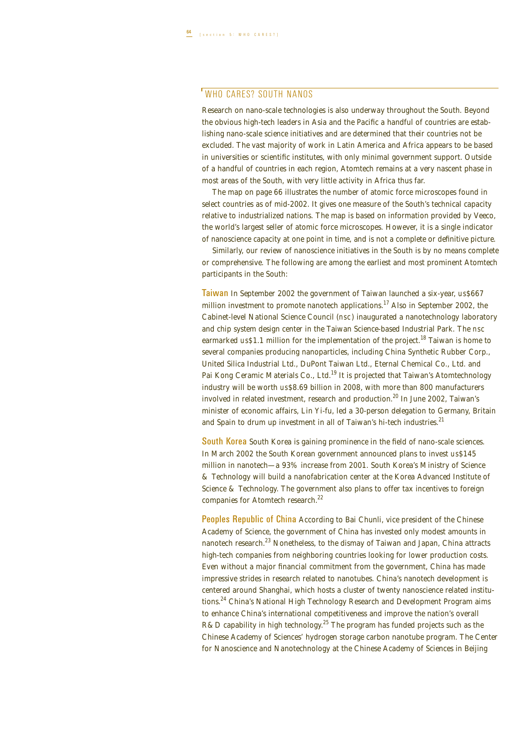### WHO CARES? SOUTH NANOS

Research on nano-scale technologies is also underway throughout the South. Beyond the obvious high-tech leaders in Asia and the Pacific a handful of countries are establishing nano-scale science initiatives and are determined that their countries not be excluded. The vast majority of work in Latin America and Africa appears to be based in universities or scientific institutes, with only minimal government support. Outside of a handful of countries in each region, Atomtech remains at a very nascent phase in most areas of the South, with very little activity in Africa thus far.

The map on page 66 illustrates the number of atomic force microscopes found in select countries as of mid-2002. It gives one measure of the South's technical capacity relative to industrialized nations. The map is based on information provided by Veeco, the world's largest seller of atomic force microscopes. However, it is a single indicator of nanoscience capacity at one point in time, and is not a complete or definitive picture.

Similarly, our review of nanoscience initiatives in the South is by no means complete or comprehensive. The following are among the earliest and most prominent Atomtech participants in the South:

Taiwan In September 2002 the government of Taiwan launched a six-year, us\$667 million investment to promote nanotech applications.<sup>17</sup> Also in September 2002, the Cabinet-level National Science Council (nsc) inaugurated a nanotechnology laboratory and chip system design center in the Taiwan Science-based Industrial Park. The nsc earmarked us\$1.1 million for the implementation of the project.<sup>18</sup> Taiwan is home to several companies producing nanoparticles, including China Synthetic Rubber Corp., United Silica Industrial Ltd., DuPont Taiwan Ltd., Eternal Chemical Co., Ltd. and Pai Kong Ceramic Materials Co., Ltd.<sup>19</sup> It is projected that Taiwan's Atomtechnology industry will be worth us\$8.69 billion in 2008, with more than 800 manufacturers involved in related investment, research and production.<sup>20</sup> In June 2002, Taiwan's minister of economic affairs, Lin Yi-fu, led a 30-person delegation to Germany, Britain and Spain to drum up investment in all of Taiwan's hi-tech industries.<sup>21</sup>

South Korea South Korea is gaining prominence in the field of nano-scale sciences. In March 2002 the South Korean government announced plans to invest us\$145 million in nanotech—a 93% increase from 2001. South Korea's Ministry of Science & Technology will build a nanofabrication center at the Korea Advanced Institute of Science & Technology. The government also plans to offer tax incentives to foreign companies for Atomtech research.<sup>22</sup>

Peoples Republic of China According to Bai Chunli, vice president of the Chinese Academy of Science, the government of China has invested only modest amounts in nanotech research.<sup>23</sup> Nonetheless, to the dismay of Taiwan and Japan, China attracts high-tech companies from neighboring countries looking for lower production costs. Even without a major financial commitment from the government, China has made impressive strides in research related to nanotubes. China's nanotech development is centered around Shanghai, which hosts a cluster of twenty nanoscience related institutions.<sup>24</sup> China's National High Technology Research and Development Program aims to enhance China's international competitiveness and improve the nation's overall R&D capability in high technology.<sup>25</sup> The program has funded projects such as the Chinese Academy of Sciences' hydrogen storage carbon nanotube program. The Center for Nanoscience and Nanotechnology at the Chinese Academy of Sciences in Beijing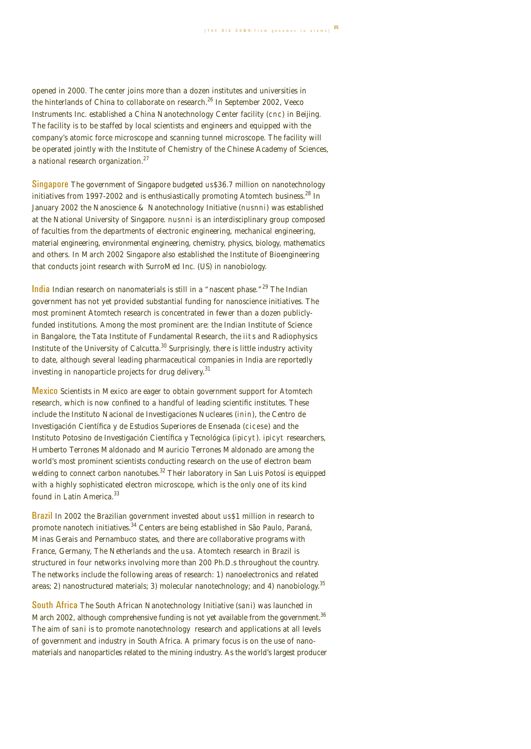opened in 2000. The center joins more than a dozen institutes and universities in the hinterlands of China to collaborate on research.<sup>26</sup> In September 2002, Veeco Instruments Inc. established a China Nanotechnology Center facility (cnc) in Beijing. The facility is to be staffed by local scientists and engineers and equipped with the company's atomic force microscope and scanning tunnel microscope. The facility will be operated jointly with the Institute of Chemistry of the Chinese Academy of Sciences, a national research organization.<sup>27</sup>

Singapore The government of Singapore budgeted us\$36.7 million on nanotechnology initiatives from 1997-2002 and is enthusiastically promoting Atomtech business.<sup>28</sup> In January 2002 the Nanoscience & Nanotechnology Initiative (nusnni) was established at the National University of Singapore. nusnni is an interdisciplinary group composed of faculties from the departments of electronic engineering, mechanical engineering, material engineering, environmental engineering, chemistry, physics, biology, mathematics and others. In March 2002 Singapore also established the Institute of Bioengineering that conducts joint research with SurroMed Inc. (US) in nanobiology.

India Indian research on nanomaterials is still in a "nascent phase."<sup>29</sup> The Indian government has not yet provided substantial funding for nanoscience initiatives. The most prominent Atomtech research is concentrated in fewer than a dozen publiclyfunded institutions. Among the most prominent are: the Indian Institute of Science in Bangalore, the Tata Institute of Fundamental Research, the iits and Radiophysics Institute of the University of Calcutta.<sup>30</sup> Surprisingly, there is little industry activity to date, although several leading pharmaceutical companies in India are reportedly investing in nanoparticle projects for drug delivery.<sup>31</sup>

Mexico Scientists in Mexico are eager to obtain government support for Atomtech research, which is now confined to a handful of leading scientific institutes. These include the Instituto Nacional de Investigaciones Nucleares (inin), the Centro de Investigación Científica y de Estudios Superiores de Ensenada (cicese) and the Instituto Potosino de Investigación Científica y Tecnológica (ipicyt). ipicyt researchers, Humberto Terrones Maldonado and Mauricio Terrones Maldonado are among the world's most prominent scientists conducting research on the use of electron beam welding to connect carbon nanotubes.<sup>32</sup> Their laboratory in San Luis Potosí is equipped with a highly sophisticated electron microscope, which is the only one of its kind found in Latin America.<sup>33</sup>

Brazil In 2002 the Brazilian government invested about us\$1 million in research to promote nanotech initiatives.<sup>34</sup> Centers are being established in São Paulo, Paraná, Minas Gerais and Pernambuco states, and there are collaborative programs with France, Germany, The Netherlands and the usa. Atomtech research in Brazil is structured in four networks involving more than 200 Ph.D.s throughout the country. The networks include the following areas of research: 1) nanoelectronics and related areas; 2) nanostructured materials; 3) molecular nanotechnology; and 4) nanobiology.<sup>35</sup>

South Africa The South African Nanotechnology Initiative (sani) was launched in March 2002, although comprehensive funding is not yet available from the government.<sup>36</sup> The aim of sani is to promote nanotechnology research and applications at all levels of government and industry in South Africa. A primary focus is on the use of nanomaterials and nanoparticles related to the mining industry. As the world's largest producer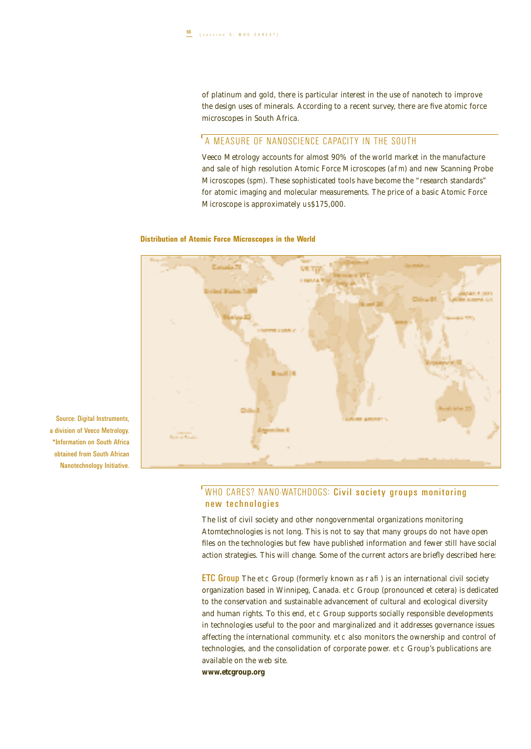of platinum and gold, there is particular interest in the use of nanotech to improve the design uses of minerals. According to a recent survey, there are five atomic force microscopes in South Africa.

# A MEASURE OF NANOSCIENCE CAPACITY IN THE SOUTH

Veeco Metrology accounts for almost 90% of the world market in the manufacture and sale of high resolution Atomic Force Microscopes (afm) and new Scanning Probe Microscopes (spm). These sophisticated tools have become the "research standards" for atomic imaging and molecular measurements. The price of a basic Atomic Force Microscope is approximately us\$175,000.

#### Distribution of Atomic Force Microscopes in the World



Source: Digital Instruments, a division of Veeco Metrology. \*Information on South Africa obtained from South African Nanotechnology Initiative.

# WHO CARES? NANO-WATCHDOGS: Civil society groups monitoring new technologies

The list of civil society and other nongovernmental organizations monitoring Atomtechnologies is not long. This is not to say that many groups do not have open files on the technologies but few have published information and fewer still have social action strategies. This will change. Some of the current actors are briefly described here:

ETC Group The etc Group (formerly known as rafi) is an international civil society organization based in Winnipeg, Canada. etc Group (pronounced et cetera) is dedicated to the conservation and sustainable advancement of cultural and ecological diversity and human rights. To this end, etc Group supports socially responsible developments in technologies useful to the poor and marginalized and it addresses governance issues affecting the international community. etc also monitors the ownership and control of technologies, and the consolidation of corporate power. etc Group's publications are available on the web site.

*www.etcgroup.org*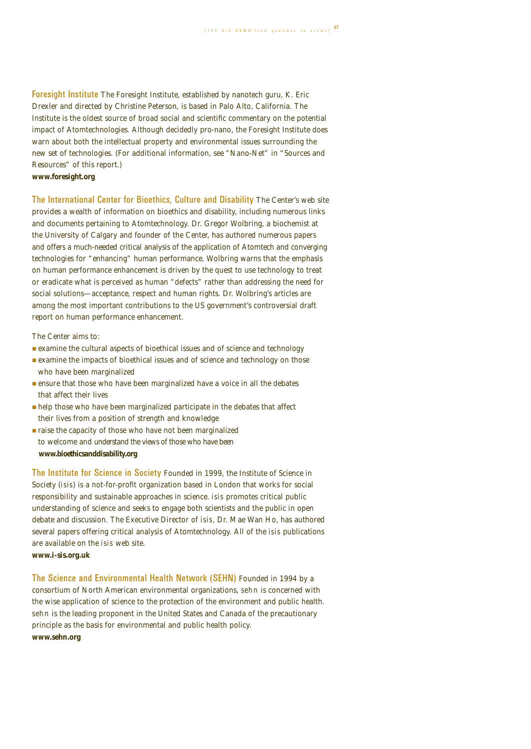Foresight Institute The Foresight Institute, established by nanotech guru, K. Eric Drexler and directed by Christine Peterson, is based in Palo Alto, California. The Institute is the oldest source of broad social and scientific commentary on the potential impact of Atomtechnologies. Although decidedly pro-nano, the Foresight Institute does warn about both the intellectual property and environmental issues surrounding the new set of technologies. (For additional information, see "Nano-Net" in "Sources and Resources" of this report.)

#### *www.foresight.org*

The International Center for Bioethics, Culture and Disability The Center's web site provides a wealth of information on bioethics and disability, including numerous links and documents pertaining to Atomtechnology. Dr. Gregor Wolbring, a biochemist at the University of Calgary and founder of the Center, has authored numerous papers and offers a much-needed critical analysis of the application of Atomtech and converging technologies for "enhancing" human performance. Wolbring warns that the emphasis on human performance enhancement is driven by the quest to use technology to treat or eradicate what is perceived as human "defects" rather than addressing the need for social solutions—acceptance, respect and human rights. Dr. Wolbring's articles are among the most important contributions to the US government's controversial draft report on human performance enhancement.

The Center aims to:

- **Examine the cultural aspects of bioethical issues and of science and technology**
- **Examine the impacts of bioethical issues and of science and technology on those** who have been marginalized
- **Exercise 1** ensure that those who have been marginalized have a voice in all the debates that affect their lives
- **h**elp those who have been marginalized participate in the debates that affect their lives from a position of strength and knowledge
- **raise the capacity of those who have not been marginalized**
- to welcome and understand the views of those who have been *www.bioethicsanddisability.org*

The Institute for Science in Society Founded in 1999, the Institute of Science in Society (isis) is a not-for-profit organization based in London that works for social responsibility and sustainable approaches in science. isis promotes critical public understanding of science and seeks to engage both scientists and the public in open debate and discussion. The Executive Director of isis, Dr. Mae Wan Ho, has authored several papers offering critical analysis of Atomtechnology. All of the isis publications are available on the isis web site.

*www.i-sis.org.uk*

The Science and Environmental Health Network (SEHN) Founded in 1994 by a consortium of North American environmental organizations, sehn is concerned with the wise application of science to the protection of the environment and public health. sehn is the leading proponent in the United States and Canada of the precautionary principle as the basis for environmental and public health policy. *www.sehn.org*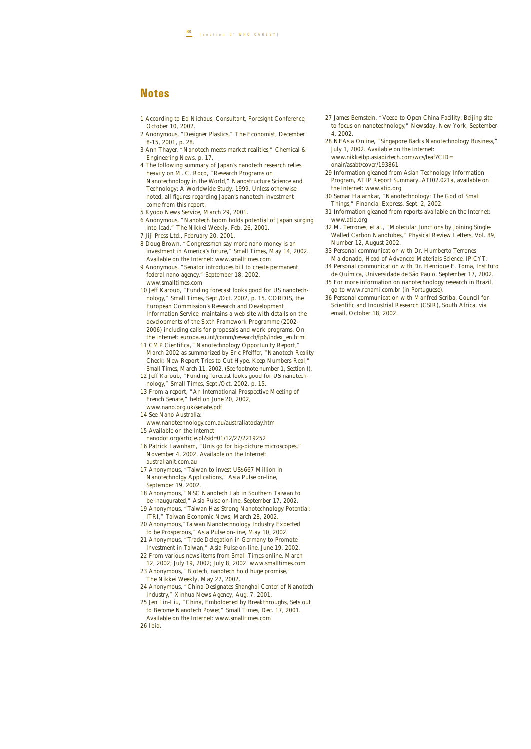# **Notes**

- 1 According to Ed Niehaus, Consultant, Foresight Conference, October 10, 2002.
- 2 Anonymous, "Designer Plastics," *The Economist*, December 8-15, 2001, p. 28.
- 3 Ann Thayer, "Nanotech meets market realities," *Chemical & Engineering News*, p. 17.
- 4 The following summary of Japan's nanotech research relies heavily on M. C. Roco, "Research Programs on Nanotechnology in the World," *Nanostructure Science and Technology: A Worldwide Study, 1999*. Unless otherwise noted, all figures regarding Japan's nanotech investment come from this report.
- 5 Kyodo News Service, March 29, 2001.
- 6 Anonymous, "Nanotech boom holds potential of Japan surging into lead," *The Nikkei Weekly*, Feb. 26, 2001.
- 7 Jiji Press Ltd., February 20, 2001.
- 8 Doug Brown, "Congressmen say more nano money is an investment in America's future," *Small Times*, May 14, 2002. Available on the Internet: www.smalltimes.com
- 9 Anonymous, "Senator introduces bill to create permanent federal nano agency," September 18, 2002, www.smalltimes.com
- 10 Jeff Karoub, "Funding forecast looks good for US nanotechnology," *Small Times*, Sept./Oct. 2002, p. 15. CORDIS, the European Commission's Research and Development Information Service, maintains a web site with details on the developments of the Sixth Framework Programme (2002- 2006) including calls for proposals and work programs. On the Internet: europa.eu.int/comm/research/fp6/index\_en.html
- 11 CMP Cientifica, "Nanotechnology Opportunity Report, March 2002 as summarized by Eric Pfeiffer, "Nanotech Reality Check: New Report Tries to Cut Hype, Keep Numbers Real," *Small Times*, March 11, 2002. (See footnote number 1, Section I).
- 12 Jeff Karoub, "Funding forecast looks good for US nanotechnology," *Small Times*, Sept./Oct. 2002, p. 15.
- 13 From a report, "An International Prospective Meeting of French Senate," held on June 20, 2002,
- www.nano.org.uk/senate.pdf
- 14 See Nano Australia:
- www.nanotechnology.com.au/australiatoday.htm 15 Available on the Internet:
	- nanodot.org/article.pl?sid=01/12/27/2219252
- 16 Patrick Lawnham, "Unis go for big-picture microscopes," November 4, 2002. Available on the Internet: australianit.com.au
- 17 Anonymous, "Taiwan to invest US\$667 Million in Nanotechnolgy Applications," *Asia Pulse* on-line, September 19, 2002.
- 18 Anonymous, "NSC Nanotech Lab in Southern Taiwan to be Inaugurated," *Asia Pulse* on-line, September 17, 2002.
- 19 Anonymous, "Taiwan Has Strong Nanotechnology Potential: ITRI," *Taiwan Economic News*, March 28, 2002.
- 20 Anonymous,"Taiwan Nanotechnology Industry Expected
- to be Prosperous," *Asia Pulse* on-line, May 10, 2002. 21 Anonymous, "Trade Delegation in Germany to Promote
- Investment in Taiwan," *Asia Pulse* on-line, June 19, 2002. 22 From various news items from *Small Times* online, March
- 12, 2002; July 19, 2002; July 8, 2002. www.smalltimes.com
- 23 Anonymous, "Biotech, nanotech hold huge promise," *The Nikkei Weekly*, May 27, 2002.
- 24 Anonymous, "China Designates Shanghai Center of Nanotech Industry," *Xinhua News Agency*, Aug. 7, 2001.
- 25 Jen Lin-Liu, "China, Emboldened by Breakthroughs, Sets out to Become Nanotech Power," *Small Times*, Dec. 17, 2001.
	- Available on the Internet: www.smalltimes.com
- 26 *Ibid*.
- 27 James Bernstein, "Veeco to Open China Facility; Beijing site to focus on nanotechnology," *Newsday*, New York, September 4, 2002.
- 28 NEAsia Online, "Singapore Backs Nanotechnology Business," July 1, 2002. Available on the Internet: www.nikkeibp.asiabiztech.com/wcs/leaf?CID=
	- onair/asabt/cover/193861
- 29 Information gleaned from Asian Technology Information Program, *ATIP Report Summary*, ATI02.021a, available on the Internet: www.atip.org
- 30 Samar Halarnkar, "Nanotechnology: The God of Small Things," *Financial Express*, Sept. 2, 2002.
- 31 Information gleaned from reports available on the Internet: www.atip.org
- 32 M. Terrones, et al., "Molecular Junctions by Joining Single-Walled Carbon Nanotubes," *Physical Review Letters*, Vol. 89, Number 12, August 2002.
- 33 Personal communication with Dr. Humberto Terrones Maldonado, Head of Advanced Materials Science, IPICYT.
- 34 Personal communication with Dr. Henrique E. Toma, Instituto de Química, Universidade de São Paulo, September 17, 2002.
- 35 For more information on nanotechnology research in Brazil, go to www.renami.com.br (in Portuguese).
- 36 Personal communication with Manfred Scriba, Council for Scientific and Industrial Research (CSIR), South Africa, via email, October 18, 2002.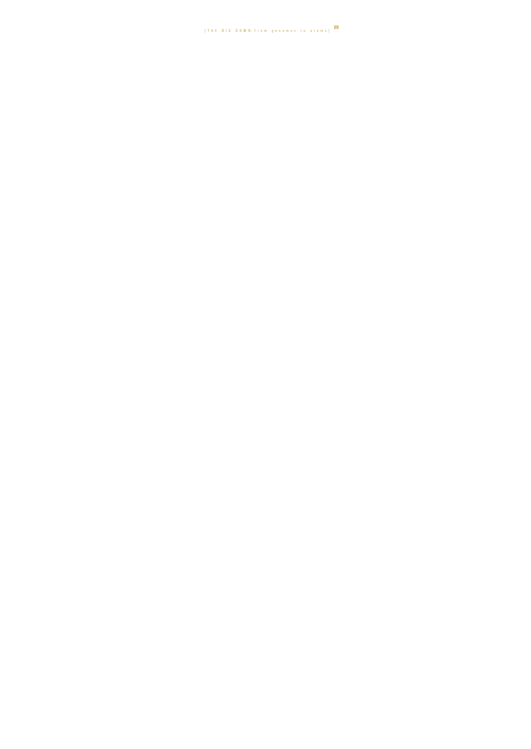# [THE BIG DOWN : from genomes to atoms] <sup>69</sup>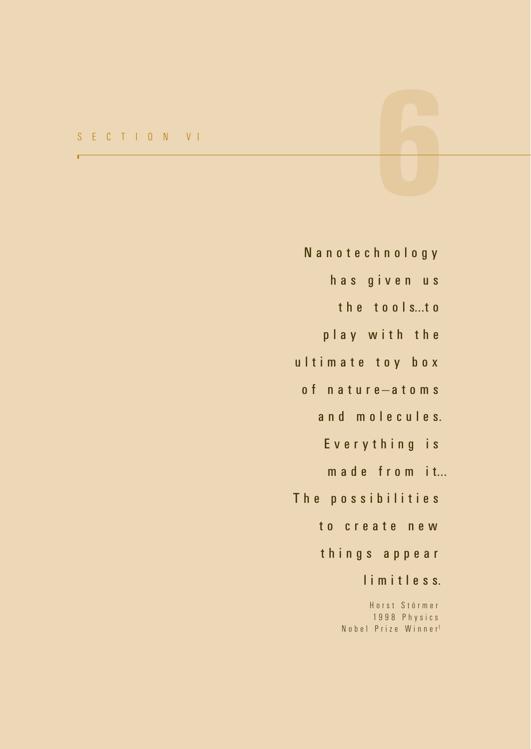- Nanotechnology
	- has given us
	- the tools...to
	- play with the
- ultimate toy box
- of nature-atoms
	- and molecules.
	- Everything is
	- made from it...
- The possibilities
	- to create new
	- things appear
		- limit less.
		- Horst Störmer 1998 Physics Nobel Prize Winner<sup>1</sup>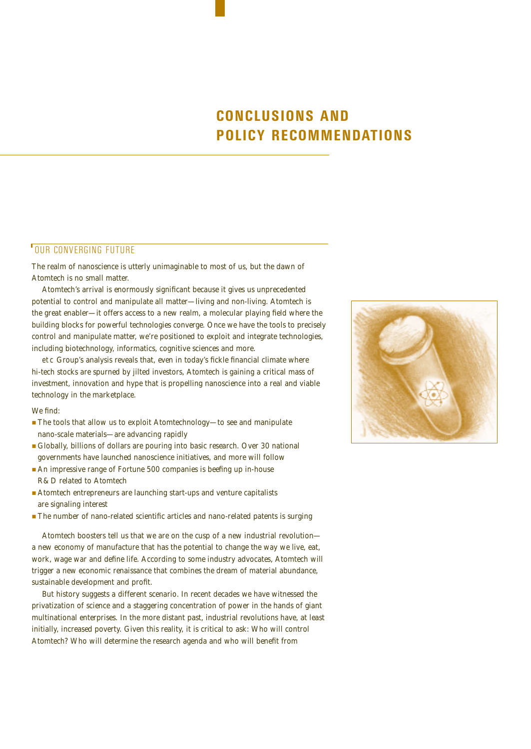# CONCLUSIONS AND POLICY RECOMMENDATIONS

### **OUR CONVERGING FUTURE**

The realm of nanoscience is utterly unimaginable to most of us, but the dawn of Atomtech is no small matter.

Atomtech's arrival is enormously significant because it gives us unprecedented potential to control and manipulate all matter—living and non-living. Atomtech is the great enabler—it offers access to a new realm, a molecular playing field where the building blocks for powerful technologies converge. Once we have the tools to precisely control and manipulate matter, we're positioned to exploit and integrate technologies, including biotechnology, informatics, cognitive sciences and more.

etc Group's analysis reveals that, even in today's fickle financial climate where hi-tech stocks are spurned by jilted investors, Atomtech is gaining a critical mass of investment, innovation and hype that is propelling nanoscience into a real and viable technology in the marketplace.

We find:

- The tools that allow us to exploit Atomtechnology—to see and manipulate nano-scale materials—are advancing rapidly
- Globally, billions of dollars are pouring into basic research. Over 30 national governments have launched nanoscience initiatives, and more will follow
- **An impressive range of Fortune 500 companies is beefing up in-house** R&D related to Atomtech
- Atomtech entrepreneurs are launching start-ups and venture capitalists are signaling interest
- The number of nano-related scientific articles and nano-related patents is surging

Atomtech boosters tell us that we are on the cusp of a new industrial revolution a new economy of manufacture that has the potential to change the way we live, eat, work, wage war and define life. According to some industry advocates, Atomtech will trigger a new economic renaissance that combines the dream of material abundance, sustainable development and profit.

But history suggests a different scenario. In recent decades we have witnessed the privatization of science and a staggering concentration of power in the hands of giant multinational enterprises. In the more distant past, industrial revolutions have, at least initially, increased poverty. Given this reality, it is critical to ask: Who will control Atomtech? Who will determine the research agenda and who will benefit from

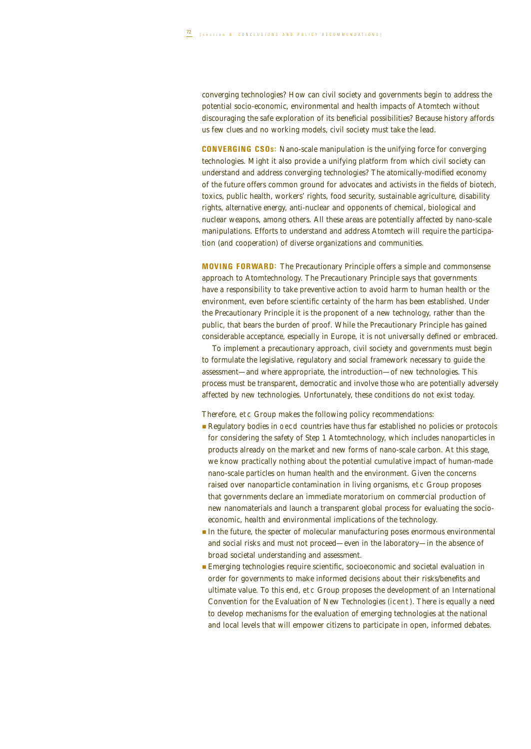converging technologies? How can civil society and governments begin to address the potential socio-economic, environmental and health impacts of Atomtech without discouraging the safe exploration of its beneficial possibilities? Because history affords us few clues and no working models, civil society must take the lead.

CONVERGING CSOS: Nano-scale manipulation is the unifying force for converging technologies. Might it also provide a unifying platform from which civil society can understand and address converging technologies? The atomically-modified economy of the future offers common ground for advocates and activists in the fields of biotech, toxics, public health, workers' rights, food security, sustainable agriculture, disability rights, alternative energy, anti-nuclear and opponents of chemical, biological and nuclear weapons, among others. All these areas are potentially affected by nano-scale manipulations. Efforts to understand and address Atomtech will require the participation (and cooperation) of diverse organizations and communities.

MOVING FORWARD: The Precautionary Principle offers a simple and commonsense approach to Atomtechnology. The Precautionary Principle says that governments have a responsibility to take preventive action to avoid harm to human health or the environment, even before scientific certainty of the harm has been established. Under the Precautionary Principle it is the proponent of a new technology, rather than the public, that bears the burden of proof. While the Precautionary Principle has gained considerable acceptance, especially in Europe, it is not universally defined or embraced.

To implement a precautionary approach, civil society and governments must begin to formulate the legislative, regulatory and social framework necessary to guide the assessment—and where appropriate, the introduction—of new technologies. This process must be transparent, democratic and involve those who are potentially adversely affected by new technologies. Unfortunately, these conditions do not exist today.

Therefore, etc Group makes the following policy recommendations:

- **Regulatory bodies in oecd countries have thus far established no policies or protocols** for considering the safety of Step 1 Atomtechnology, which includes nanoparticles in products already on the market and new forms of nano-scale carbon. At this stage, we know practically nothing about the potential cumulative impact of human-made nano-scale particles on human health and the environment. Given the concerns raised over nanoparticle contamination in living organisms, etc Group proposes that governments declare an immediate moratorium on commercial production of new nanomaterials and launch a transparent global process for evaluating the socioeconomic, health and environmental implications of the technology.
- In the future, the specter of molecular manufacturing poses enormous environmental and social risks and must not proceed—even in the laboratory—in the absence of broad societal understanding and assessment.
- **Emerging technologies require scientific, socioeconomic and societal evaluation in** order for governments to make informed decisions about their risks/benefits and ultimate value. To this end, etc Group proposes the development of an International Convention for the Evaluation of New Technologies (icent). There is equally a need to develop mechanisms for the evaluation of emerging technologies at the national and local levels that will empower citizens to participate in open, informed debates.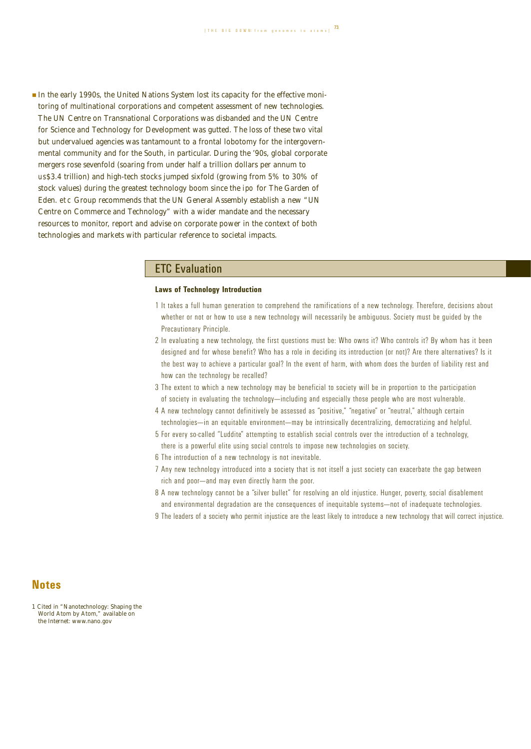- In the early 1990s, the United Nations System lost its capacity for the effective monitoring of multinational corporations and competent assessment of new technologies. The UN Centre on Transnational Corporations was disbanded and the UN Centre for Science and Technology for Development was gutted. The loss of these two vital but undervalued agencies was tantamount to a frontal lobotomy for the intergovernmental community and for the South, in particular. During the '90s, global corporate mergers rose sevenfold (soaring from under half a trillion dollars per annum to us\$3.4 trillion) and high-tech stocks jumped sixfold (growing from 5% to 30% of stock values) during the greatest technology boom since the ipo for The Garden of Eden. etc Group recommends that the UN General Assembly establish a new "UN Centre on Commerce and Technology" with a wider mandate and the necessary resources to monitor, report and advise on corporate power in the context of both technologies and markets with particular reference to societal impacts.

### ETC Evaluation

#### Laws of Technology Introduction

- 1 It takes a full human generation to comprehend the ramifications of a new technology. Therefore, decisions about whether or not or how to use a new technology will necessarily be ambiguous. Society must be guided by the Precautionary Principle.
- 2 In evaluating a new technology, the first questions must be: Who owns it? Who controls it? By whom has it been designed and for whose benefit? Who has a role in deciding its introduction (or not)? Are there alternatives? Is it the best way to achieve a particular goal? In the event of harm, with whom does the burden of liability rest and how can the technology be recalled?
- 3 The extent to which a new technology may be beneficial to society will be in proportion to the participation of society in evaluating the technology—including and especially those people who are most vulnerable.
- 4 A new technology cannot definitively be assessed as "positive," "negative" or "neutral," although certain technologies—in an equitable environment—may be intrinsically decentralizing, democratizing and helpful.
- 5 For every so-called "Luddite" attempting to establish social controls over the introduction of a technology, there is a powerful elite using social controls to impose new technologies on society.
- 6 The introduction of a new technology is not inevitable.
- 7 Any new technology introduced into a society that is not itself a just society can exacerbate the gap between rich and poor—and may even directly harm the poor.
- 8 A new technology cannot be a "silver bullet" for resolving an old injustice. Hunger, poverty, social disablement and environmental degradation are the consequences of inequitable systems—not of inadequate technologies.
- 9 The leaders of a society who permit injustice are the least likely to introduce a new technology that will correct injustice.

## **Notes**

1 Cited in "Nanotechnology: Shaping the World Atom by Atom," available on the Internet: www.nano.gov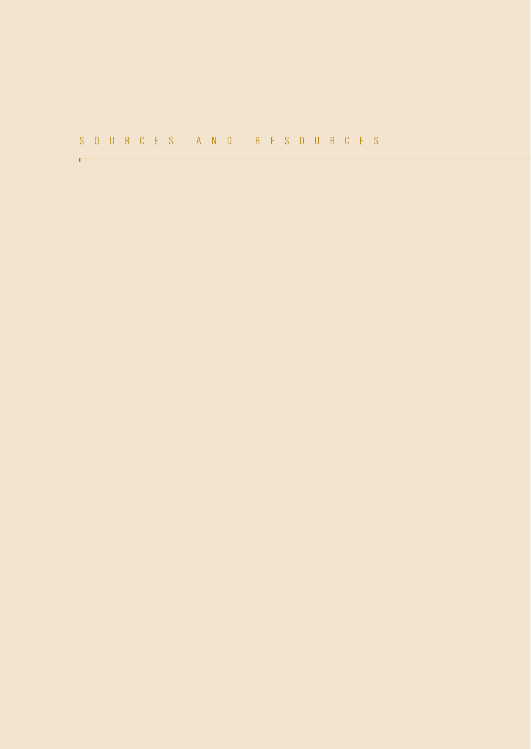$\overline{1}$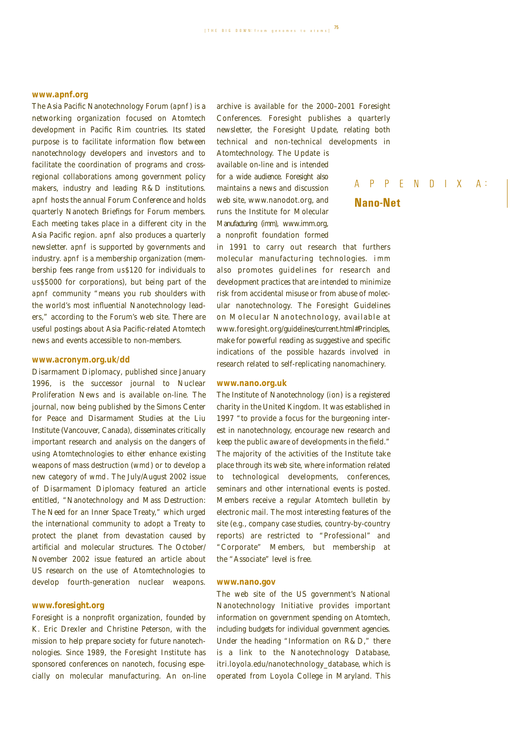#### *www.apnf.org*

The Asia Pacific Nanotechnology Forum (apnf) is a networking organization focused on Atomtech development in Pacific Rim countries. Its stated purpose is to facilitate information flow between nanotechnology developers and investors and to facilitate the coordination of programs and crossregional collaborations among government policy makers, industry and leading R&D institutions. apnf hosts the annual Forum Conference and holds quarterly Nanotech Briefings for Forum members. Each meeting takes place in a different city in the Asia Pacific region. apnf also produces a quarterly newsletter. apnf is supported by governments and industry. apnf is a membership organization (membership fees range from us\$120 for individuals to us\$5000 for corporations), but being part of the apnf community "means you rub shoulders with the world's most influential Nanotechnology leaders," according to the Forum's web site. There are useful postings about Asia Pacific-related Atomtech news and events accessible to non-members.

#### *www.acronym.org.uk/dd*

*Disarmament Diplomacy*, published since January 1996, is the successor journal to *Nuclear Proliferation News* and is available on-line. The journal, now being published by the Simons Center for Peace and Disarmament Studies at the Liu Institute (Vancouver, Canada), disseminates critically important research and analysis on the dangers of using Atomtechnologies to either enhance existing weapons of mass destruction (wmd) or to develop a new category of wmd. The July/August 2002 issue of *Disarmament Diplomacy* featured an article entitled, "Nanotechnology and Mass Destruction: The Need for an Inner Space Treaty," which urged the international community to adopt a Treaty to protect the planet from devastation caused by artificial and molecular structures. The October/ November 2002 issue featured an article about US research on the use of Atomtechnologies to develop fourth-generation nuclear weapons.

#### *www.foresight.org*

Foresight is a nonprofit organization, founded by K. Eric Drexler and Christine Peterson, with the mission to help prepare society for future nanotechnologies. Since 1989, the *Foresight Institute* has sponsored conferences on nanotech, focusing especially on molecular manufacturing. An on-line

archive is available for the 2000–2001 Foresight Conferences. Foresight publishes a quarterly newsletter, the *Foresight Update*, relating both technical and non-technical developments in Atomtechnology. The *Update* is

available on-line and is intended for a wide audience. Foresight also maintains a news and discussion web site, *www.nanodot.org*, and runs the Institute for Molecular Manufacturing (imm), *www.imm.org*, a nonprofit foundation formed

in 1991 to carry out research that furthers molecular manufacturing technologies. imm also promotes guidelines for research and development practices that are intended to minimize risk from accidental misuse or from abuse of molecular nanotechnology. The Foresight Guidelines on Molecular Nanotechnology, available at *www.foresight.org/guidelines/current.html#Principles*, make for powerful reading as suggestive and specific indications of the possible hazards involved in research related to self-replicating nanomachinery.

#### *www.nano.org.uk*

The Institute of Nanotechnology (ion) is a registered charity in the United Kingdom. It was established in 1997 "to provide a focus for the burgeoning interest in nanotechnology, encourage new research and keep the public aware of developments in the field." The majority of the activities of the Institute take place through its web site, where information related to technological developments, conferences, seminars and other international events is posted. Members receive a regular Atomtech bulletin by electronic mail. The most interesting features of the site (e.g., company case studies, country-by-country reports) are restricted to "Professional" and "Corporate" Members, but membership at the "Associate" level is free.

#### *www.nano.gov*

The web site of the US government's National Nanotechnology Initiative provides important information on government spending on Atomtech, including budgets for individual government agencies. Under the heading "Information on R&D," there is a link to the Nanotechnology Database, *itri.loyola.edu/nanotechnology\_database*, which is operated from Loyola College in Maryland. This

## PPENDIX A: Nano-Net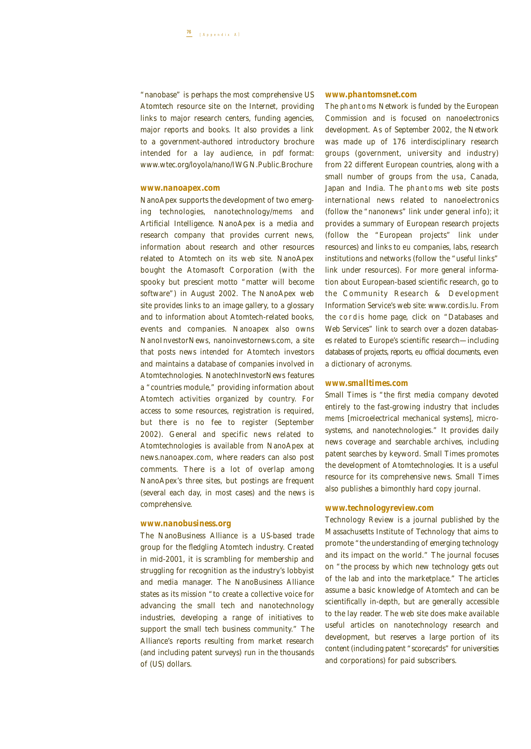"nanobase" is perhaps the most comprehensive US Atomtech resource site on the Internet, providing links to major research centers, funding agencies, major reports and books. It also provides a link to a government-authored introductory brochure intended for a lay audience, in pdf format: *www.wtec.org/loyola/nano/IWGN.Public.Brochure*

#### *www.nanoapex.com*

NanoApex supports the development of two emerging technologies, nanotechnology/mems and Artificial Intelligence. NanoApex is a media and research company that provides current news, information about research and other resources related to Atomtech on its web site. NanoApex bought the Atomasoft Corporation (with the spooky but prescient motto "matter will become software") in August 2002. The NanoApex web site provides links to an image gallery, to a glossary and to information about Atomtech-related books, events and companies. Nanoapex also owns *NanoInvestorNews*, nanoinvestornews.com, a site that posts news intended for Atomtech investors and maintains a database of companies involved in Atomtechnologies. NanotechInvestorNews features a "countries module," providing information about Atomtech activities organized by country. For access to some resources, registration is required, but there is no fee to register (September 2002). General and specific news related to Atomtechnologies is available from NanoApex at *news.nanoapex.com*, where readers can also post comments. There is a lot of overlap among NanoApex's three sites, but postings are frequent (several each day, in most cases) and the news is comprehensive.

#### *www.nanobusiness.org*

The NanoBusiness Alliance is a US-based trade group for the fledgling Atomtech industry. Created in mid-2001, it is scrambling for membership and struggling for recognition as the industry's lobbyist and media manager. The NanoBusiness Alliance states as its mission "to create a collective voice for advancing the small tech and nanotechnology industries, developing a range of initiatives to support the small tech business community." The Alliance's reports resulting from market research (and including patent surveys) run in the thousands of (US) dollars.

#### *www.phantomsnet.com*

The phantoms Network is funded by the European Commission and is focused on nanoelectronics development. As of September 2002, the Network was made up of 176 interdisciplinary research groups (government, university and industry) from 22 different European countries, along with a small number of groups from the usa, Canada, Japan and India. The phantoms web site posts international news related to nanoelectronics (follow the "nanonews" link under *general info*); it provides a summary of European research projects (follow the "European projects" link under *resources*) and links to eu companies, labs, research institutions and networks (follow the "useful links" link under *resources*). For more general information about European-based scientific research, go to the Community Research & Development Information Service's web site: *www.cordis.lu*. From the cordis home page, click on "Databases and Web Services" link to search over a dozen databases related to Europe's scientific research—including databases of projects, reports, eu official documents, even a dictionary of acronyms.

#### *www.smalltimes.com*

Small Times is "the first media company devoted entirely to the fast-growing industry that includes mems [microelectrical mechanical systems], microsystems, and nanotechnologies." It provides daily news coverage and searchable archives, including patent searches by keyword. Small Times promotes the development of Atomtechnologies. It is a useful resource for its comprehensive news. Small Times also publishes a bimonthly hard copy journal.

#### *www.technologyreview.com*

*Technology Review* is a journal published by the Massachusetts Institute of Technology that aims to promote "the understanding of emerging technology and its impact on the world." The journal focuses on "the process by which new technology gets out of the lab and into the marketplace." The articles assume a basic knowledge of Atomtech and can be scientifically in-depth, but are generally accessible to the lay reader. The web site does make available useful articles on nanotechnology research and development, but reserves a large portion of its content (including patent "scorecards" for universities and corporations) for paid subscribers.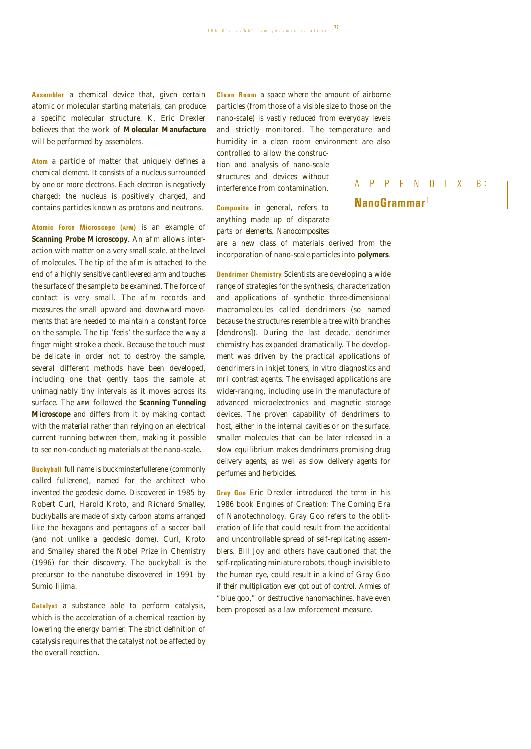Assembler a chemical device that, given certain atomic or molecular starting materials, can produce a specific molecular structure. K. Eric Drexler believes that the work of **Molecular Manufacture** will be performed by assemblers.

Atom a particle of matter that uniquely defines a chemical element. It consists of a nucleus surrounded by one or more electrons. Each electron is negatively charged; the nucleus is positively charged, and contains particles known as protons and neutrons.

Atomic Force Microscope (AFM) is an example of **Scanning Probe Microscopy**. An afm allows interaction with matter on a very small scale, at the level of molecules. The tip of the afm is attached to the end of a highly sensitive cantilevered arm and touches the surface of the sample to be examined. The force of contact is very small. The afm records and measures the small upward and downward movements that are needed to maintain a constant force on the sample. The tip 'feels' the surface the way a finger might stroke a cheek. Because the touch must be delicate in order not to destroy the sample, several different methods have been developed, including one that gently taps the sample at unimaginably tiny intervals as it moves across its surface. The **AFM** followed the **Scanning Tunneling Microscope** and differs from it by making contact with the material rather than relying on an electrical current running between them, making it possible to see non-conducting materials at the nano-scale.

Buckyball full name is buckminsterfullerene (commonly called fullerene), named for the architect who invented the geodesic dome. Discovered in 1985 by Robert Curl, Harold Kroto, and Richard Smalley, buckyballs are made of sixty carbon atoms arranged like the hexagons and pentagons of a soccer ball (and not unlike a geodesic dome). Curl, Kroto and Smalley shared the Nobel Prize in Chemistry (1996) for their discovery. The buckyball is the precursor to the nanotube discovered in 1991 by Sumio Iijima.

Catalyst a substance able to perform catalysis, which is the acceleration of a chemical reaction by lowering the energy barrier. The strict definition of catalysis requires that the catalyst not be affected by the overall reaction.

Clean Room a space where the amount of airborne particles (from those of a visible size to those on the nano-scale) is vastly reduced from everyday levels and strictly monitored. The temperature and humidity in a clean room environment are also controlled to allow the construction and analysis of nano-scale

structures and devices without interference from contamination.

Composite in general, refers to anything made up of disparate parts or elements. Nanocomposites are a new class of materials derived from the incorporation of nano-scale particles into **polymers**.

Dendrimer Chemistry Scientists are developing a wide range of strategies for the synthesis, characterization and applications of synthetic three-dimensional macromolecules called dendrimers (so named because the structures resemble a tree with branches [dendrons]). During the last decade, dendrimer chemistry has expanded dramatically. The development was driven by the practical applications of dendrimers in inkjet toners, in vitro diagnostics and mri contrast agents. The envisaged applications are wider-ranging, including use in the manufacture of advanced microelectronics and magnetic storage devices. The proven capability of dendrimers to host, either in the internal cavities or on the surface, smaller molecules that can be later released in a slow equilibrium makes dendrimers promising drug delivery agents, as well as slow delivery agents for perfumes and herbicides.

Gray Goo Eric Drexler introduced the term in his 1986 book *Engines of Creation: The Coming Era of Nanotechnology*. Gray Goo refers to the obliteration of life that could result from the accidental and uncontrollable spread of self-replicating assemblers. Bill Joy and others have cautioned that the self-replicating miniature robots, though invisible to the human eye, could result in a kind of Gray Goo if their multiplication ever got out of control. Armies of "blue goo," or destructive nanomachines, have even been proposed as a law enforcement measure.

## PPENDIX B: NanoGrammar<sup>1</sup>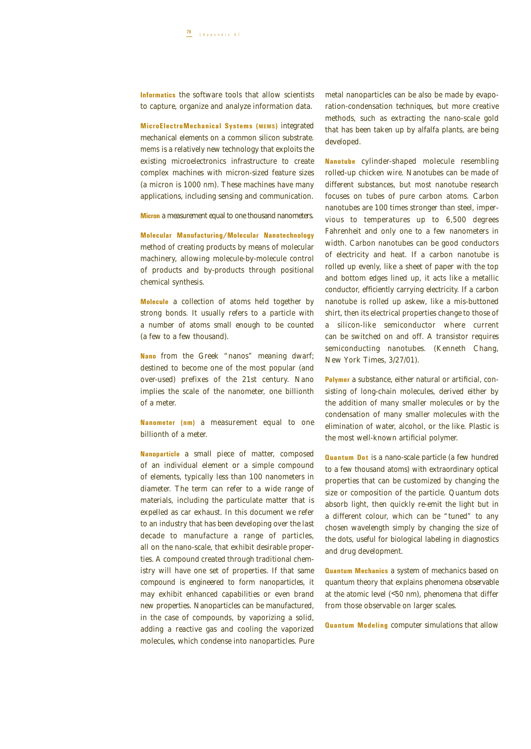Informatics the software tools that allow scientists to capture, organize and analyze information data.

MicroElectroMechanical Systems (MEMS) integrated mechanical elements on a common silicon substrate. mems is a relatively new technology that exploits the existing microelectronics infrastructure to create complex machines with micron-sized feature sizes (a micron is 1000 nm). These machines have many applications, including sensing and communication.

Micron a measurement equal to one thousand nanometers.

Molecular Manufacturing/Molecular Nanotechnology method of creating products by means of molecular machinery, allowing molecule-by-molecule control of products and by-products through positional chemical synthesis.

Molecule a collection of atoms held together by strong bonds. It usually refers to a particle with a number of atoms small enough to be counted (a few to a few thousand).

Nano from the Greek "nanos" meaning dwarf; destined to become one of the most popular (and over-used) prefixes of the 21st century. Nano implies the scale of the nanometer, one billionth of a meter.

Nanometer (nm) a measurement equal to one billionth of a meter.

Nanoparticle a small piece of matter, composed of an individual element or a simple compound of elements, typically less than 100 nanometers in diameter. The term can refer to a wide range of materials, including the particulate matter that is expelled as car exhaust. In this document we refer to an industry that has been developing over the last decade to manufacture a range of particles, all on the nano-scale, that exhibit desirable properties. A compound created through traditional chemistry will have one set of properties. If that same compound is engineered to form nanoparticles, it may exhibit enhanced capabilities or even brand new properties. Nanoparticles can be manufactured, in the case of compounds, by vaporizing a solid, adding a reactive gas and cooling the vaporized molecules, which condense into nanoparticles. Pure metal nanoparticles can be also be made by evaporation-condensation techniques, but more creative methods, such as extracting the nano-scale gold that has been taken up by alfalfa plants, are being developed.

Nanotube cylinder-shaped molecule resembling rolled-up chicken wire. Nanotubes can be made of different substances, but most nanotube research focuses on tubes of pure carbon atoms. Carbon nanotubes are 100 times stronger than steel, impervious to temperatures up to 6,500 degrees Fahrenheit and only one to a few nanometers in width. Carbon nanotubes can be good conductors of electricity and heat. If a carbon nanotube is rolled up evenly, like a sheet of paper with the top and bottom edges lined up, it acts like a metallic conductor, efficiently carrying electricity. If a carbon nanotube is rolled up askew, like a mis-buttoned shirt, then its electrical properties change to those of a silicon-like semiconductor where current can be switched on and off. A transistor requires semiconducting nanotubes. (Kenneth Chang, *New York Times*, 3/27/01).

Polymer a substance, either natural or artificial, consisting of long-chain molecules, derived either by the addition of many smaller molecules or by the condensation of many smaller molecules with the elimination of water, alcohol, or the like. Plastic is the most well-known artificial polymer.

Quantum Dot is a nano-scale particle (a few hundred to a few thousand atoms) with extraordinary optical properties that can be customized by changing the size or composition of the particle. Quantum dots absorb light, then quickly re-emit the light but in a different colour, which can be "tuned" to any chosen wavelength simply by changing the size of the dots, useful for biological labeling in diagnostics and drug development.

Quantum Mechanics a system of mechanics based on quantum theory that explains phenomena observable at the atomic level (<50 nm), phenomena that differ from those observable on larger scales.

Quantum Modeling computer simulations that allow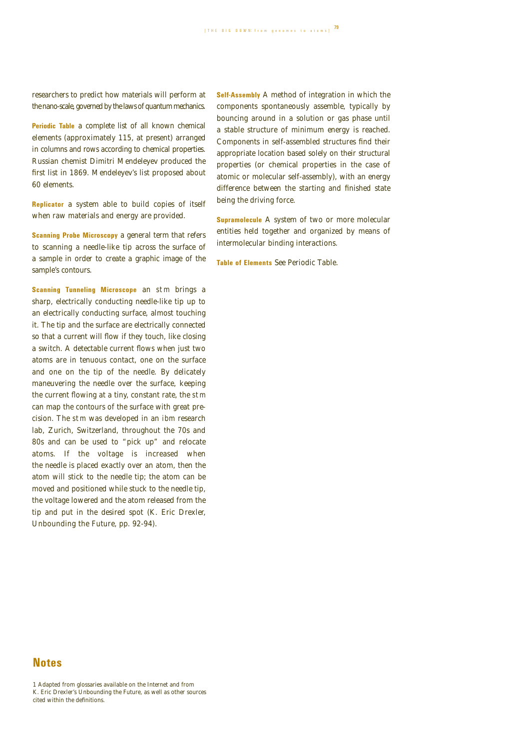researchers to predict how materials will perform at the nano-scale, governed by the laws of quantum mechanics.

Periodic Table a complete list of all known chemical elements (approximately 115, at present) arranged in columns and rows according to chemical properties. Russian chemist Dimitri Mendeleyev produced the first list in 1869. Mendeleyev's list proposed about 60 elements.

Replicator a system able to build copies of itself when raw materials and energy are provided.

Scanning Probe Microscopy a general term that refers to scanning a needle-like tip across the surface of a sample in order to create a graphic image of the sample's contours.

Scanning Tunneling Microscope an stm brings a sharp, electrically conducting needle-like tip up to an electrically conducting surface, almost touching it. The tip and the surface are electrically connected so that a current will flow if they touch, like closing a switch. A detectable current flows when just two atoms are in tenuous contact, one on the surface and one on the tip of the needle. By delicately maneuvering the needle over the surface, keeping the current flowing at a tiny, constant rate, the stm can map the contours of the surface with great precision. The stm was developed in an ibm research lab, Zurich, Switzerland, throughout the 70s and 80s and can be used to "pick up" and relocate atoms. If the voltage is increased when the needle is placed exactly over an atom, then the atom will stick to the needle tip; the atom can be moved and positioned while stuck to the needle tip, the voltage lowered and the atom released from the tip and put in the desired spot (K. Eric Drexler, *Unbounding the Future*, pp. 92-94).

Self-Assembly A method of integration in which the components spontaneously assemble, typically by bouncing around in a solution or gas phase until a stable structure of minimum energy is reached. Components in self-assembled structures find their appropriate location based solely on their structural properties (or chemical properties in the case of atomic or molecular self-assembly), with an energy difference between the starting and finished state being the driving force.

Supramolecule A system of two or more molecular entities held together and organized by means of intermolecular binding interactions.

Table of Elements See Periodic Table.

## **Notes**

1 Adapted from glossaries available on the Internet and from K. Eric Drexler's *Unbounding the Future*, as well as other sources cited within the definitions.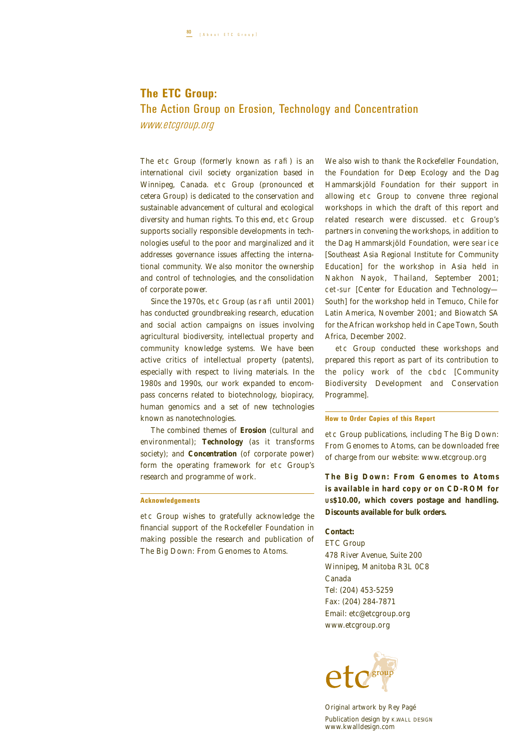## The ETC Group: The Action Group on Erosion, Technology and Concentration www.etcgroup.org

The etc Group (formerly known as rafi) is an international civil society organization based in Winnipeg, Canada. etc Group (pronounced et cetera Group) is dedicated to the conservation and sustainable advancement of cultural and ecological diversity and human rights. To this end, etc Group supports socially responsible developments in technologies useful to the poor and marginalized and it addresses governance issues affecting the international community. We also monitor the ownership and control of technologies, and the consolidation of corporate power.

Since the 1970s, etc Group (as rafi until 2001) has conducted groundbreaking research, education and social action campaigns on issues involving agricultural biodiversity, intellectual property and community knowledge systems. We have been active critics of intellectual property (patents), especially with respect to living materials. In the 1980s and 1990s, our work expanded to encompass concerns related to biotechnology, biopiracy, human genomics and a set of new technologies known as nanotechnologies.

The combined themes of **Erosion** (cultural and environmental); **Technology** (as it transforms society); and **Concentration** (of corporate power) form the operating framework for etc Group's research and programme of work.

#### Acknowledgements

etc Group wishes to gratefully acknowledge the financial support of the Rockefeller Foundation in making possible the research and publication of *The Big Down: From Genomes to Atoms.*

We also wish to thank the Rockefeller Foundation, the Foundation for Deep Ecology and the Dag Hammarskjöld Foundation for their support in allowing etc Group to convene three regional workshops in which the draft of this report and related research were discussed. etc Group's partners in convening the workshops, in addition to the Dag Hammarskjöld Foundation, were searice [Southeast Asia Regional Institute for Community Education] for the workshop in Asia held in Nakhon Nayok, Thailand, September 2001; cet-sur [Center for Education and Technology— South] for the workshop held in Temuco, Chile for Latin America, November 2001; and Biowatch SA for the African workshop held in Cape Town, South Africa, December 2002.

etc Group conducted these workshops and prepared this report as part of its contribution to the policy work of the cbdc [Community Biodiversity Development and Conservation Programme].

#### How to Order Copies of this Report

etc Group publications, including *The Big Down: From Genomes to Atoms*, can be downloaded free of charge from our website: *www.etcgroup.org*

*The Big Down: From Genomes to Atoms* **is available in hard copy or on CD-ROM for US\$10.00, which covers postage and handling. Discounts available for bulk orders.**

### **Contact:**

ETC Group 478 River Avenue, Suite 200 Winnipeg, Manitoba R3L 0C8 Canada Tel: (204) 453-5259 Fax: (204) 284-7871 Email: *etc@etcgroup.org www.etcgroup.org*



Original artwork by Rey Pagé Publication design by K.WALL DESIGN *www.kwalldesign.com*